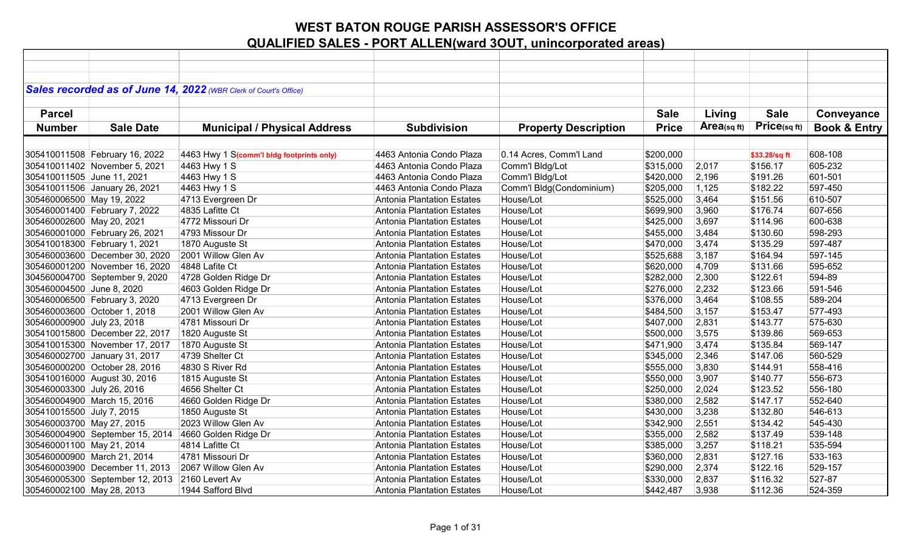|                            |                                 | Sales recorded as of June 14, 2022 (WBR Clerk of Court's Office) |                                   |                             |              |             |               |                         |
|----------------------------|---------------------------------|------------------------------------------------------------------|-----------------------------------|-----------------------------|--------------|-------------|---------------|-------------------------|
|                            |                                 |                                                                  |                                   |                             |              |             |               |                         |
| <b>Parcel</b>              |                                 |                                                                  |                                   |                             | <b>Sale</b>  | Living      | <b>Sale</b>   | Conveyance              |
|                            |                                 |                                                                  |                                   |                             |              | Area(sq ft) | Price(sq ft)  |                         |
| <b>Number</b>              | <b>Sale Date</b>                | <b>Municipal / Physical Address</b>                              | <b>Subdivision</b>                | <b>Property Description</b> | <b>Price</b> |             |               | <b>Book &amp; Entry</b> |
|                            |                                 |                                                                  |                                   |                             |              |             |               |                         |
|                            | 305410011508 February 16, 2022  | 4463 Hwy 1 S(comm'l bldg footprints only)                        | 4463 Antonia Condo Plaza          | 0.14 Acres, Comm'l Land     | \$200,000    |             | \$33.28/sq ft | 608-108                 |
|                            | 305410011402 November 5, 2021   | 4463 Hwy 1 S                                                     | 4463 Antonia Condo Plaza          | Comm'l Bldg/Lot             | \$315,000    | 2,017       | \$156.17      | 605-232                 |
| 305410011505 June 11, 2021 |                                 | 4463 Hwy 1 S                                                     | 4463 Antonia Condo Plaza          | Comm'l Bldg/Lot             | \$420,000    | 2,196       | \$191.26      | 601-501                 |
|                            | 305410011506 January 26, 2021   | 4463 Hwy 1 S                                                     | 4463 Antonia Condo Plaza          | Comm'l Bldg(Condominium)    | \$205,000    | 1,125       | \$182.22      | 597-450                 |
| 305460006500 May 19, 2022  |                                 | 4713 Evergreen Dr                                                | <b>Antonia Plantation Estates</b> | House/Lot                   | \$525,000    | 3,464       | \$151.56      | 610-507                 |
|                            | 305460001400 February 7, 2022   | 4835 Lafitte Ct                                                  | <b>Antonia Plantation Estates</b> | House/Lot                   | \$699,900    | 3,960       | \$176.74      | 607-656                 |
| 305460002600 May 20, 2021  |                                 | 4772 Missouri Dr                                                 | Antonia Plantation Estates        | House/Lot                   | \$425,000    | 3,697       | \$114.96      | 600-638                 |
|                            | 305460001000 February 26, 2021  | 4793 Missour Dr                                                  | Antonia Plantation Estates        | House/Lot                   | \$455,000    | 3,484       | \$130.60      | 598-293                 |
|                            | 305410018300 February 1, 2021   | 1870 Auguste St                                                  | <b>Antonia Plantation Estates</b> | House/Lot                   | \$470,000    | 3,474       | \$135.29      | 597-487                 |
|                            | 305460003600 December 30, 2020  | 2001 Willow Glen Av                                              | <b>Antonia Plantation Estates</b> | House/Lot                   | \$525,688    | 3,187       | \$164.94      | 597-145                 |
|                            | 305460001200 November 16, 2020  | 4848 Lafite Ct                                                   | Antonia Plantation Estates        | House/Lot                   | \$620,000    | 4,709       | \$131.66      | 595-652                 |
|                            | 304560004700 September 9, 2020  | 4728 Golden Ridge Dr                                             | Antonia Plantation Estates        | House/Lot                   | \$282,000    | 2,300       | \$122.61      | 594-89                  |
| 305460004500 June 8, 2020  |                                 | 4603 Golden Ridge Dr                                             | Antonia Plantation Estates        | House/Lot                   | \$276,000    | 2,232       | \$123.66      | 591-546                 |
|                            | 305460006500 February 3, 2020   | 4713 Evergreen Dr                                                | <b>Antonia Plantation Estates</b> | House/Lot                   | \$376,000    | 3,464       | \$108.55      | 589-204                 |
|                            | 305460003600 October 1, 2018    | 2001 Willow Glen Av                                              | <b>Antonia Plantation Estates</b> | House/Lot                   | \$484,500    | 3,157       | \$153.47      | 577-493                 |
| 305460000900 July 23, 2018 |                                 | 4781 Missouri Dr                                                 | <b>Antonia Plantation Estates</b> | House/Lot                   | \$407,000    | 2,831       | \$143.77      | 575-630                 |
|                            | 305410015800 December 22, 2017  | 1820 Auguste St                                                  | Antonia Plantation Estates        | House/Lot                   | \$500,000    | 3,575       | \$139.86      | 569-653                 |
|                            | 305410015300 November 17, 2017  | 1870 Auguste St                                                  | <b>Antonia Plantation Estates</b> | House/Lot                   | \$471,900    | 3,474       | \$135.84      | 569-147                 |
|                            | 305460002700 January 31, 2017   | 4739 Shelter Ct                                                  | Antonia Plantation Estates        | House/Lot                   | \$345,000    | 2,346       | \$147.06      | 560-529                 |
|                            | 305460000200 October 28, 2016   | 4830 S River Rd                                                  | Antonia Plantation Estates        | House/Lot                   | \$555,000    | 3,830       | \$144.91      | 558-416                 |
|                            | 305410016000 August 30, 2016    | 1815 Auguste St                                                  | Antonia Plantation Estates        | House/Lot                   | \$550,000    | 3,907       | \$140.77      | 556-673                 |
| 305460003300 July 26, 2016 |                                 | 4656 Shelter Ct                                                  | Antonia Plantation Estates        | House/Lot                   | \$250,000    | 2,024       | \$123.52      | 556-180                 |
|                            | 305460004900 March 15, 2016     | 4660 Golden Ridge Dr                                             | <b>Antonia Plantation Estates</b> | House/Lot                   | \$380,000    | 2,582       | \$147.17      | 552-640                 |
| 305410015500 July 7, 2015  |                                 | 1850 Auguste St                                                  | <b>Antonia Plantation Estates</b> | House/Lot                   | \$430,000    | 3,238       | \$132.80      | 546-613                 |
| 305460003700 May 27, 2015  |                                 | 2023 Willow Glen Av                                              | Antonia Plantation Estates        | House/Lot                   | \$342,900    | 2,551       | \$134.42      | 545-430                 |
|                            | 305460004900 September 15, 2014 | 4660 Golden Ridge Dr                                             | Antonia Plantation Estates        | House/Lot                   | \$355,000    | 2,582       | \$137.49      | 539-148                 |
| 305460001100 May 21, 2014  |                                 | 4814 Lafitte Ct                                                  | Antonia Plantation Estates        | House/Lot                   | \$385,000    | 3,257       | \$118.21      | 535-594                 |
|                            | 305460000900 March 21, 2014     | 4781 Missouri Dr                                                 | <b>Antonia Plantation Estates</b> | House/Lot                   | \$360,000    | 2,831       | \$127.16      | 533-163                 |
|                            | 305460003900 December 11, 2013  | 2067 Willow Glen Av                                              | <b>Antonia Plantation Estates</b> | House/Lot                   | \$290,000    | 2,374       | \$122.16      | 529-157                 |
|                            | 305460005300 September 12, 2013 | 2160 Levert Av                                                   | Antonia Plantation Estates        | House/Lot                   | \$330,000    | 2,837       | \$116.32      | 527-87                  |
| 305460002100 May 28, 2013  |                                 | 1944 Safford Blvd                                                | Antonia Plantation Estates        | House/Lot                   | \$442,487    | 3,938       | \$112.36      | 524-359                 |
|                            |                                 |                                                                  |                                   |                             |              |             |               |                         |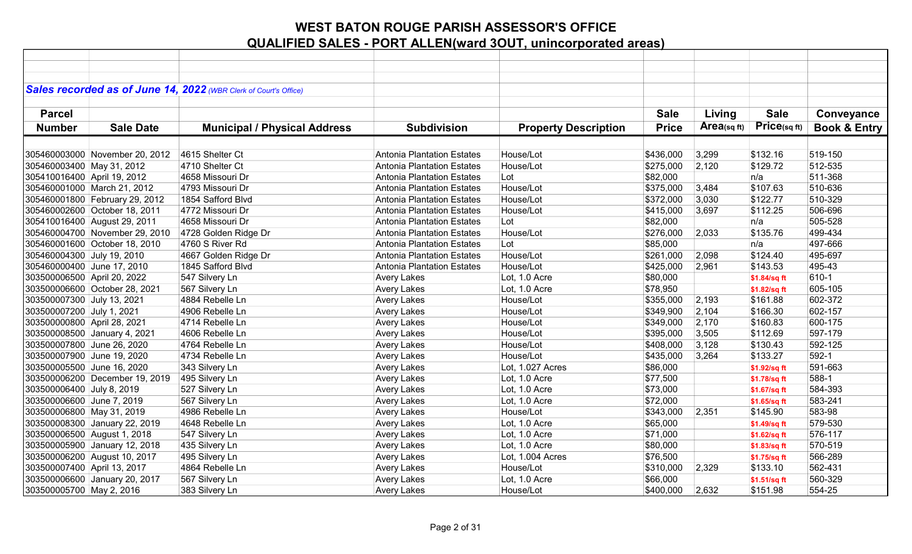|                             |                                                                 | Sales recorded as of June 14, 2022 (WBR Clerk of Court's Office) |                                                                        |                             |                        |                |                      |                         |
|-----------------------------|-----------------------------------------------------------------|------------------------------------------------------------------|------------------------------------------------------------------------|-----------------------------|------------------------|----------------|----------------------|-------------------------|
|                             |                                                                 |                                                                  |                                                                        |                             |                        |                |                      |                         |
| <b>Parcel</b>               |                                                                 |                                                                  |                                                                        |                             | <b>Sale</b>            | Living         | <b>Sale</b>          | Conveyance              |
| <b>Number</b>               | <b>Sale Date</b>                                                | <b>Municipal / Physical Address</b>                              | <b>Subdivision</b>                                                     | <b>Property Description</b> | <b>Price</b>           | Area(sqft)     | Price(sq ft)         | <b>Book &amp; Entry</b> |
|                             |                                                                 |                                                                  |                                                                        |                             |                        |                |                      |                         |
|                             | 305460003000 November 20, 2012                                  | 4615 Shelter Ct                                                  | <b>Antonia Plantation Estates</b>                                      | House/Lot                   | \$436,000              | 3,299          | \$132.16             | 519-150                 |
| 305460003400 May 31, 2012   |                                                                 | 4710 Shelter Ct                                                  | <b>Antonia Plantation Estates</b>                                      | House/Lot                   | \$275,000              | 2,120          | \$129.72             | 512-535                 |
| 305410016400 April 19, 2012 |                                                                 | 4658 Missouri Dr                                                 | <b>Antonia Plantation Estates</b>                                      | Lot                         | \$82,000               |                | n/a                  | 511-368                 |
|                             | 305460001000 March 21, 2012                                     | 4793 Missouri Dr                                                 | <b>Antonia Plantation Estates</b>                                      | House/Lot                   | \$375,000              | 3,484          | \$107.63             | 510-636                 |
|                             |                                                                 | 1854 Safford Blvd                                                |                                                                        | House/Lot                   |                        |                |                      | 510-329                 |
|                             | 305460001800 February 29, 2012<br>305460002600 October 18, 2011 | 4772 Missouri Dr                                                 | <b>Antonia Plantation Estates</b><br><b>Antonia Plantation Estates</b> | House/Lot                   | \$372,000<br>\$415,000 | 3,030<br>3,697 | \$122.77<br>\$112.25 | 506-696                 |
|                             |                                                                 | 4658 Missouri Dr                                                 |                                                                        |                             |                        |                |                      |                         |
|                             | 305410016400 August 29, 2011                                    |                                                                  | <b>Antonia Plantation Estates</b>                                      | Lot<br>House/Lot            | \$82,000               |                | n/a<br>\$135.76      | 505-528<br>499-434      |
|                             | 305460004700 November 29, 2010<br>305460001600 October 18, 2010 | 4728 Golden Ridge Dr<br>4760 S River Rd                          | <b>Antonia Plantation Estates</b>                                      |                             | \$276,000              | 2,033          |                      | 497-666                 |
|                             |                                                                 |                                                                  | <b>Antonia Plantation Estates</b>                                      | Lot                         | \$85,000               |                | n/a                  |                         |
| 305460004300 July 19, 2010  |                                                                 | 4667 Golden Ridge Dr                                             | <b>Antonia Plantation Estates</b>                                      | House/Lot                   | \$261,000              | 2,098          | \$124.40             | 495-697                 |
| 305460000400 June 17, 2010  |                                                                 | 1845 Safford Blvd                                                | <b>Antonia Plantation Estates</b>                                      | House/Lot                   | \$425,000              | 2,961          | \$143.53             | 495-43                  |
| 303500006500 April 20, 2022 |                                                                 | 547 Silvery Ln                                                   | <b>Avery Lakes</b>                                                     | Lot, 1.0 Acre               | \$80,000               |                | \$1.84/sq ft         | 610-1                   |
|                             | 303500006600 October 28, 2021                                   | 567 Silvery Ln                                                   | <b>Avery Lakes</b>                                                     | Lot, 1.0 Acre               | \$78,950               |                | \$1.82/sq ft         | 605-105                 |
| 303500007300 July 13, 2021  |                                                                 | 4884 Rebelle Ln                                                  | <b>Avery Lakes</b>                                                     | House/Lot                   | \$355,000              | 2,193          | \$161.88             | 602-372                 |
| 303500007200 July 1, 2021   |                                                                 | 4906 Rebelle Ln                                                  | <b>Avery Lakes</b>                                                     | House/Lot                   | \$349,900              | 2,104          | \$166.30             | 602-157                 |
| 303500000800 April 28, 2021 |                                                                 | 4714 Rebelle Ln                                                  | <b>Avery Lakes</b>                                                     | House/Lot                   | \$349,000              | 2,170          | \$160.83             | 600-175                 |
|                             | 303500008500 January 4, 2021                                    | 4606 Rebelle Ln                                                  | <b>Avery Lakes</b>                                                     | House/Lot                   | \$395,000              | 3,505          | \$112.69             | 597-179                 |
|                             | 303500007800 June 26, 2020                                      | 4764 Rebelle Ln                                                  | <b>Avery Lakes</b>                                                     | House/Lot                   | \$408,000              | 3,128          | \$130.43             | 592-125                 |
|                             | 303500007900 June 19, 2020                                      | 4734 Rebelle Ln                                                  | <b>Avery Lakes</b>                                                     | House/Lot                   | \$435,000              | 3,264          | \$133.27             | 592-1                   |
|                             | 303500005500 June 16, 2020                                      | 343 Silvery Ln                                                   | <b>Avery Lakes</b>                                                     | Lot, 1.027 Acres            | \$86,000               |                | \$1.92/sq ft         | 591-663                 |
|                             | 303500006200 December 19, 2019                                  | 495 Silvery Ln                                                   | <b>Avery Lakes</b>                                                     | Lot, 1.0 Acre               | \$77,500               |                | \$1.78/sq ft         | 588-1                   |
| 303500006400 July 8, 2019   |                                                                 | 527 Silvery Ln                                                   | <b>Avery Lakes</b>                                                     | Lot, 1.0 Acre               | \$73,000               |                | \$1.67/sq ft         | 584-393                 |
| 303500006600 June 7, 2019   |                                                                 | 567 Silvery Ln                                                   | <b>Avery Lakes</b>                                                     | Lot, 1.0 Acre               | \$72,000               |                | \$1.65/sq ft         | 583-241                 |
| 303500006800 May 31, 2019   |                                                                 | 4986 Rebelle Ln                                                  | <b>Avery Lakes</b>                                                     | House/Lot                   | \$343,000              | 2,351          | \$145.90             | 583-98                  |
|                             | 303500008300 January 22, 2019                                   | 4648 Rebelle Ln                                                  | <b>Avery Lakes</b>                                                     | Lot, 1.0 Acre               | \$65,000               |                | \$1.49/sq ft         | 579-530                 |
|                             | 303500006500 August 1, 2018                                     | 547 Silvery Ln                                                   | <b>Avery Lakes</b>                                                     | Lot, 1.0 Acre               | \$71,000               |                | \$1.62/sq ft         | 576-117                 |
|                             | 303500005900 January 12, 2018                                   | 435 Silvery Ln                                                   | <b>Avery Lakes</b>                                                     | Lot, 1.0 Acre               | \$80,000               |                | \$1.83/sq ft         | 570-519                 |
|                             | 303500006200 August 10, 2017                                    | 495 Silvery Ln                                                   | <b>Avery Lakes</b>                                                     | Lot, 1.004 Acres            | \$76,500               |                | \$1.75/sq ft         | 566-289                 |
| 303500007400 April 13, 2017 |                                                                 | 4864 Rebelle Ln                                                  | <b>Avery Lakes</b>                                                     | House/Lot                   | \$310,000              | 2,329          | \$133.10             | 562-431                 |
|                             | 303500006600 January 20, 2017                                   | 567 Silvery Ln                                                   | <b>Avery Lakes</b>                                                     | Lot, 1.0 Acre               | \$66,000               |                | \$1.51/sq ft         | 560-329                 |
| 303500005700 May 2, 2016    |                                                                 | 383 Silvery Ln                                                   | <b>Avery Lakes</b>                                                     | House/Lot                   | \$400,000              | 2,632          | \$151.98             | 554-25                  |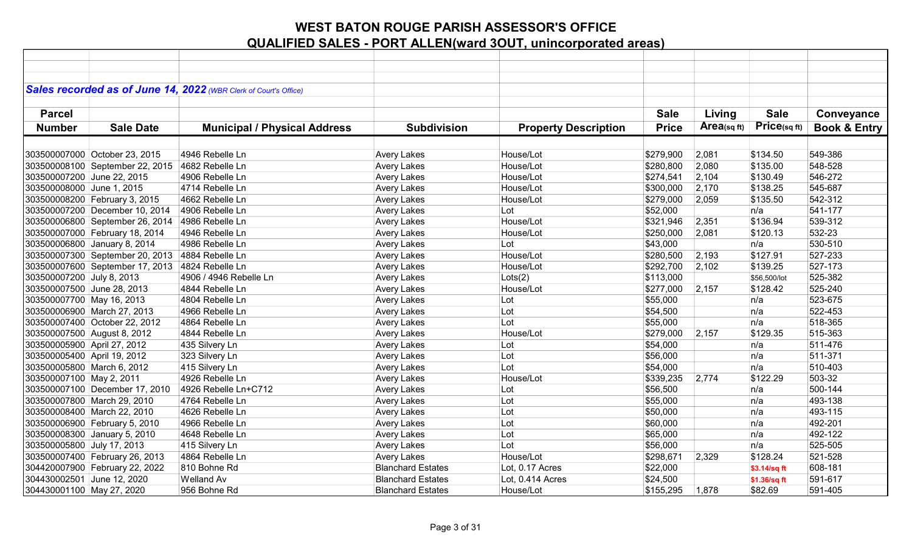|                             |                                                 | Sales recorded as of June 14, 2022 (WBR Clerk of Court's Office) |                          |                             |              |            |              |                         |
|-----------------------------|-------------------------------------------------|------------------------------------------------------------------|--------------------------|-----------------------------|--------------|------------|--------------|-------------------------|
|                             |                                                 |                                                                  |                          |                             |              |            |              |                         |
| <b>Parcel</b>               |                                                 |                                                                  |                          |                             | <b>Sale</b>  | Living     | <b>Sale</b>  |                         |
|                             |                                                 |                                                                  |                          |                             |              |            |              | Conveyance              |
| <b>Number</b>               | <b>Sale Date</b>                                | <b>Municipal / Physical Address</b>                              | <b>Subdivision</b>       | <b>Property Description</b> | <b>Price</b> | Area(sqft) | Price(sq ft) | <b>Book &amp; Entry</b> |
|                             |                                                 |                                                                  |                          |                             |              |            |              |                         |
|                             | 303500007000 October 23, 2015                   | 4946 Rebelle Ln                                                  | <b>Avery Lakes</b>       | House/Lot                   | \$279,900    | 2,081      | \$134.50     | 549-386                 |
|                             | 303500008100 September 22, 2015                 | 4682 Rebelle Ln                                                  | <b>Avery Lakes</b>       | House/Lot                   | \$280,800    | 2,080      | \$135.00     | 548-528                 |
| 303500007200 June 22, 2015  |                                                 | 4906 Rebelle Ln                                                  | <b>Avery Lakes</b>       | House/Lot                   | \$274,541    | 2,104      | \$130.49     | 546-272                 |
| 303500008000 June 1, 2015   |                                                 | 4714 Rebelle Ln                                                  | <b>Avery Lakes</b>       | House/Lot                   | \$300,000    | 2,170      | \$138.25     | 545-687                 |
|                             | 303500008200 February 3, 2015                   | 4662 Rebelle Ln                                                  | Avery Lakes              | House/Lot                   | \$279,000    | 2,059      | \$135.50     | 542-312                 |
|                             | 303500007200 December 10, 2014                  | 4906 Rebelle Ln                                                  | Avery Lakes              | Lot                         | \$52,000     |            | n/a          | 541-177                 |
|                             | 303500006800 September 26, 2014                 | 4986 Rebelle Ln                                                  | <b>Avery Lakes</b>       | House/Lot                   | \$321,946    | 2,351      | \$136.94     | 539-312                 |
|                             | 303500007000 February 18, 2014                  | 4946 Rebelle Ln                                                  | <b>Avery Lakes</b>       | House/Lot                   | \$250,000    | 2,081      | \$120.13     | 532-23                  |
|                             | 303500006800 January 8, 2014                    | 4986 Rebelle Ln                                                  | Avery Lakes              | Lot                         | \$43,000     |            | n/a          | 530-510                 |
|                             | 303500007300 September 20, 2013 4884 Rebelle Ln |                                                                  | <b>Avery Lakes</b>       | House/Lot                   | \$280,500    | 2,193      | \$127.91     | 527-233                 |
|                             | 303500007600 September 17, 2013                 | 4824 Rebelle Ln                                                  | <b>Avery Lakes</b>       | House/Lot                   | \$292,700    | 2,102      | \$139.25     | 527-173                 |
| 303500007200 July 8, 2013   |                                                 | 4906 / 4946 Rebelle Ln                                           | <b>Avery Lakes</b>       | Lots(2)                     | \$113,000    |            | \$56,500/lot | 525-382                 |
| 303500007500 June 28, 2013  |                                                 | 4844 Rebelle Ln                                                  | <b>Avery Lakes</b>       | House/Lot                   | \$277,000    | 2,157      | \$128.42     | 525-240                 |
| 303500007700 May 16, 2013   |                                                 | 4804 Rebelle Ln                                                  | <b>Avery Lakes</b>       | Lot                         | \$55,000     |            | n/a          | 523-675                 |
|                             | 303500006900 March 27, 2013                     | 4966 Rebelle Ln                                                  | <b>Avery Lakes</b>       | Lot                         | \$54,500     |            | n/a          | 522-453                 |
|                             | 303500007400 October 22, 2012                   | 4864 Rebelle Ln                                                  | <b>Avery Lakes</b>       | Lot                         | \$55,000     |            | n/a          | 518-365                 |
|                             | 303500007500 August 8, 2012                     | 4844 Rebelle Ln                                                  | <b>Avery Lakes</b>       | House/Lot                   | \$279,000    | 2,157      | \$129.35     | 515-363                 |
| 303500005900 April 27, 2012 |                                                 | 435 Silvery Ln                                                   | <b>Avery Lakes</b>       | Lot                         | \$54,000     |            | n/a          | 511-476                 |
| 303500005400 April 19, 2012 |                                                 | 323 Silvery Ln                                                   | <b>Avery Lakes</b>       | Lot                         | \$56,000     |            | n/a          | 511-371                 |
| 303500005800 March 6, 2012  |                                                 | 415 Silvery Ln                                                   | <b>Avery Lakes</b>       | Lot                         | \$54,000     |            | n/a          | 510-403                 |
| 303500007100 May 2, 2011    |                                                 | 4926 Rebelle Ln                                                  | <b>Avery Lakes</b>       | House/Lot                   | \$339,235    | 2,774      | \$122.29     | 503-32                  |
|                             | 303500007100 December 17, 2010                  | 4926 Rebelle Ln+C712                                             | <b>Avery Lakes</b>       | Lot                         | \$56,500     |            | n/a          | 500-144                 |
|                             | 303500007800 March 29, 2010                     | 4764 Rebelle Ln                                                  | <b>Avery Lakes</b>       | Lot                         | \$55,000     |            | n/a          | 493-138                 |
|                             | 303500008400 March 22, 2010                     | 4626 Rebelle Ln                                                  | Avery Lakes              | Lot                         | \$50,000     |            | n/a          | 493-115                 |
|                             | 303500006900 February 5, 2010                   | 4966 Rebelle Ln                                                  | <b>Avery Lakes</b>       | Lot                         | \$60,000     |            | n/a          | 492-201                 |
|                             | 303500008300 January 5, 2010                    | 4648 Rebelle Ln                                                  | <b>Avery Lakes</b>       | Lot                         | \$65,000     |            | n/a          | 492-122                 |
| 303500005800 July 17, 2013  |                                                 | 415 Silvery Ln                                                   | Avery Lakes              | Lot                         | \$56,000     |            | n/a          | 525-505                 |
|                             | 303500007400 February 26, 2013                  | 4864 Rebelle Ln                                                  | <b>Avery Lakes</b>       | House/Lot                   | \$298,671    | 2,329      | \$128.24     | 521-528                 |
|                             | 304420007900 February 22, 2022                  | 810 Bohne Rd                                                     | <b>Blanchard Estates</b> | Lot, 0.17 Acres             | \$22,000     |            | \$3.14/sq ft | 608-181                 |
| 304430002501 June 12, 2020  |                                                 | <b>Welland Av</b>                                                | <b>Blanchard Estates</b> | Lot, 0.414 Acres            | \$24,500     |            | \$1.36/sq ft | 591-617                 |
| 304430001100 May 27, 2020   |                                                 | 956 Bohne Rd                                                     | <b>Blanchard Estates</b> | House/Lot                   | \$155,295    | 1,878      | \$82.69      | 591-405                 |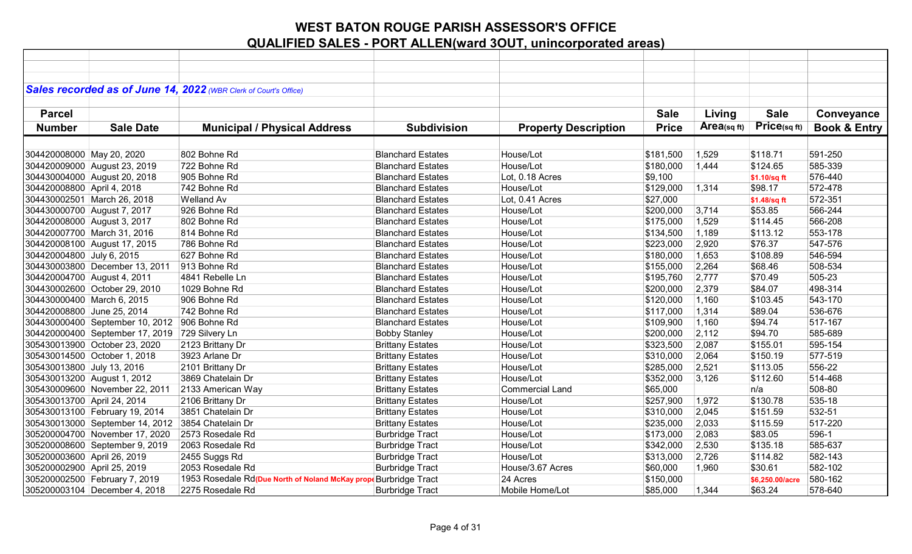|                             |                                                | Sales recorded as of June 14, 2022 (WBR Clerk of Court's Office) |                          |                             |              |                         |                 |                         |
|-----------------------------|------------------------------------------------|------------------------------------------------------------------|--------------------------|-----------------------------|--------------|-------------------------|-----------------|-------------------------|
|                             |                                                |                                                                  |                          |                             |              |                         |                 |                         |
| <b>Parcel</b>               |                                                |                                                                  |                          |                             | <b>Sale</b>  | Living                  | <b>Sale</b>     | Conveyance              |
| <b>Number</b>               | <b>Sale Date</b>                               | <b>Municipal / Physical Address</b>                              | <b>Subdivision</b>       | <b>Property Description</b> | <b>Price</b> | Area <sub>(sq ft)</sub> | Price(sqft)     | <b>Book &amp; Entry</b> |
|                             |                                                |                                                                  |                          |                             |              |                         |                 |                         |
| 304420008000 May 20, 2020   |                                                | 802 Bohne Rd                                                     | <b>Blanchard Estates</b> | House/Lot                   | \$181,500    | 1,529                   | \$118.71        | 591-250                 |
|                             | 304420009000 August 23, 2019                   | 722 Bohne Rd                                                     | <b>Blanchard Estates</b> | House/Lot                   | \$180,000    | 1,444                   | \$124.65        | 585-339                 |
|                             | 304430004000 August 20, 2018                   | 905 Bohne Rd                                                     | <b>Blanchard Estates</b> | Lot, 0.18 Acres             | \$9,100      |                         | \$1.10/sq ft    | 576-440                 |
| 304420008800 April 4, 2018  |                                                | 742 Bohne Rd                                                     | <b>Blanchard Estates</b> | House/Lot                   | \$129,000    | 1,314                   | \$98.17         | 572-478                 |
|                             | 304430002501 March 26, 2018                    | <b>Welland Av</b>                                                | <b>Blanchard Estates</b> | Lot, 0.41 Acres             | \$27,000     |                         | \$1.48/sq ft    | 572-351                 |
|                             | 304430000700 August 7, 2017                    | 926 Bohne Rd                                                     | <b>Blanchard Estates</b> | House/Lot                   | \$200,000    | 3,714                   | \$53.85         | 566-244                 |
|                             | 304420008000 August 3, 2017                    | 802 Bohne Rd                                                     | <b>Blanchard Estates</b> | House/Lot                   | \$175,000    | 1,529                   | \$114.45        | 566-208                 |
|                             | 304420007700 March 31, 2016                    | 814 Bohne Rd                                                     | <b>Blanchard Estates</b> | House/Lot                   | \$134,500    | 1,189                   | \$113.12        | 553-178                 |
|                             | 304420008100 August 17, 2015                   | 786 Bohne Rd                                                     | <b>Blanchard Estates</b> | House/Lot                   | \$223,000    | 2,920                   | \$76.37         | 547-576                 |
| 304420004800 July 6, 2015   |                                                | 627 Bohne Rd                                                     | <b>Blanchard Estates</b> | House/Lot                   | \$180,000    | 1,653                   | \$108.89        | 546-594                 |
|                             | 304430003800 December 13, 2011                 | 913 Bohne Rd                                                     | <b>Blanchard Estates</b> | House/Lot                   | \$155,000    | 2,264                   | \$68.46         | 508-534                 |
|                             | 304420004700 August 4, 2011                    | 4841 Rebelle Ln                                                  | <b>Blanchard Estates</b> | House/Lot                   | \$195,760    | 2,777                   | \$70.49         | 505-23                  |
|                             | 304430002600 October 29, 2010                  | 1029 Bohne Rd                                                    | <b>Blanchard Estates</b> | House/Lot                   | \$200,000    | 2,379                   | \$84.07         | 498-314                 |
| 304430000400 March 6, 2015  |                                                | 906 Bohne Rd                                                     | <b>Blanchard Estates</b> | House/Lot                   | \$120,000    | 1,160                   | \$103.45        | 543-170                 |
| 304420008800 June 25, 2014  |                                                | 742 Bohne Rd                                                     | <b>Blanchard Estates</b> | House/Lot                   | \$117,000    | 1,314                   | \$89.04         | 536-676                 |
|                             | 304430000400 September 10, 2012 906 Bohne Rd   |                                                                  | <b>Blanchard Estates</b> | House/Lot                   | \$109,900    | 1,160                   | \$94.74         | 517-167                 |
|                             | 304420000400 September 17, 2019 729 Silvery Ln |                                                                  | <b>Bobby Stanley</b>     | House/Lot                   | \$200,000    | 2,112                   | \$94.70         | 585-689                 |
|                             | 305430013900 October 23, 2020                  | 2123 Brittany Dr                                                 | <b>Brittany Estates</b>  | House/Lot                   | \$323,500    | 2,087                   | \$155.01        | 595-154                 |
|                             | 305430014500 October 1, 2018                   | 3923 Arlane Dr                                                   | <b>Brittany Estates</b>  | House/Lot                   | \$310,000    | 2,064                   | \$150.19        | 577-519                 |
| 305430013800 July 13, 2016  |                                                | 2101 Brittany Dr                                                 | <b>Brittany Estates</b>  | House/Lot                   | \$285,000    | 2,521                   | \$113.05        | 556-22                  |
|                             | 305430013200 August 1, 2012                    | 3869 Chatelain Dr                                                | <b>Brittany Estates</b>  | House/Lot                   | \$352,000    | 3,126                   | \$112.60        | 514-468                 |
|                             | 305430009600 November 22, 2011                 | 2133 American Way                                                | <b>Brittany Estates</b>  | <b>Commercial Land</b>      | \$65,000     |                         | n/a             | 508-80                  |
| 305430013700 April 24, 2014 |                                                | 2106 Brittany Dr                                                 | <b>Brittany Estates</b>  | House/Lot                   | \$257,900    | 1,972                   | \$130.78        | 535-18                  |
|                             | 305430013100 February 19, 2014                 | 3851 Chatelain Dr                                                | <b>Brittany Estates</b>  | House/Lot                   | \$310,000    | 2,045                   | \$151.59        | 532-51                  |
|                             | 305430013000 September 14, 2012                | 3854 Chatelain Dr                                                | <b>Brittany Estates</b>  | House/Lot                   | \$235,000    | 2,033                   | \$115.59        | 517-220                 |
|                             | 305200004700 November 17, 2020                 | 2573 Rosedale Rd                                                 | <b>Burbridge Tract</b>   | House/Lot                   | \$173,000    | 2,083                   | \$83.05         | 596-1                   |
|                             | 305200008600 September 9, 2019                 | 2063 Rosedale Rd                                                 | <b>Burbridge Tract</b>   | House/Lot                   | \$342,000    | 2,530                   | \$135.18        | 585-637                 |
| 305200003600 April 26, 2019 |                                                | 2455 Suggs Rd                                                    | <b>Burbridge Tract</b>   | House/Lot                   | \$313,000    | 2,726                   | \$114.82        | 582-143                 |
| 305200002900 April 25, 2019 |                                                | 2053 Rosedale Rd                                                 | <b>Burbridge Tract</b>   | House/3.67 Acres            | \$60,000     | 1,960                   | \$30.61         | 582-102                 |
|                             | 305200002500 February 7, 2019                  | 1953 Rosedale Rd(Due North of Noland McKay prop                  | <b>Burbridge Tract</b>   | 24 Acres                    | \$150,000    |                         | \$6,250.00/acre | 580-162                 |
|                             | 305200003104 December 4, 2018                  | 2275 Rosedale Rd                                                 | <b>Burbridge Tract</b>   | Mobile Home/Lot             | \$85,000     | 1,344                   | \$63.24         | 578-640                 |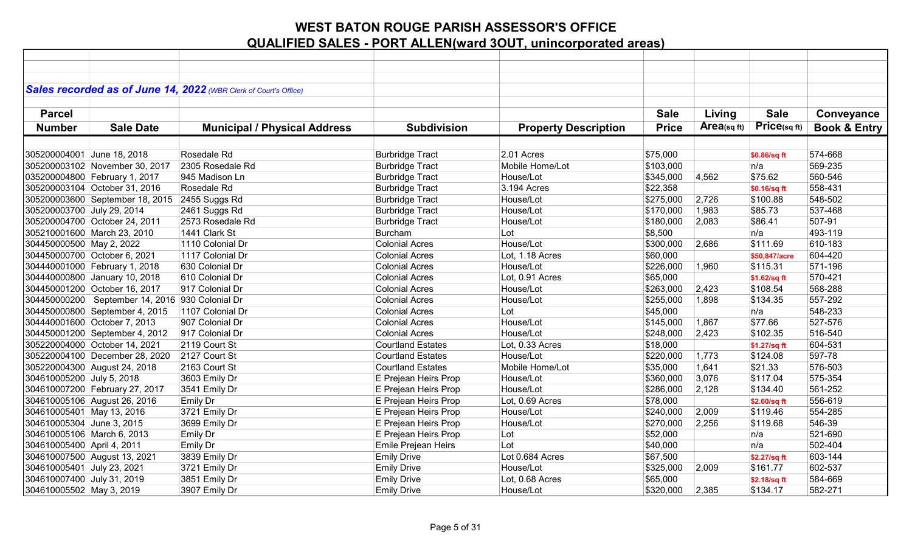|                            |                                                   | Sales recorded as of June 14, 2022 (WBR Clerk of Court's Office) |                          |                             |              |             |               |                         |
|----------------------------|---------------------------------------------------|------------------------------------------------------------------|--------------------------|-----------------------------|--------------|-------------|---------------|-------------------------|
|                            |                                                   |                                                                  |                          |                             |              |             |               |                         |
| <b>Parcel</b>              |                                                   |                                                                  |                          |                             | <b>Sale</b>  | Living      | <b>Sale</b>   | Conveyance              |
| <b>Number</b>              | <b>Sale Date</b>                                  | <b>Municipal / Physical Address</b>                              | <b>Subdivision</b>       | <b>Property Description</b> | <b>Price</b> | Area(sq ft) | Price(sqft)   | <b>Book &amp; Entry</b> |
|                            |                                                   |                                                                  |                          |                             |              |             |               |                         |
| 305200004001 June 18, 2018 |                                                   | Rosedale Rd                                                      | <b>Burbridge Tract</b>   | 2.01 Acres                  | \$75,000     |             | \$0.86/sq ft  | 574-668                 |
|                            | 305200003102 November 30, 2017                    | 2305 Rosedale Rd                                                 | <b>Burbridge Tract</b>   | Mobile Home/Lot             | \$103,000    |             | n/a           | 569-235                 |
|                            | 035200004800 February 1, 2017                     | 945 Madison Ln                                                   | <b>Burbridge Tract</b>   | House/Lot                   | \$345,000    | 4,562       | \$75.62       | 560-546                 |
|                            | 305200003104 October 31, 2016                     | Rosedale Rd                                                      | <b>Burbridge Tract</b>   | 3.194 Acres                 | \$22,358     |             | \$0.16/sq ft  | 558-431                 |
|                            | 305200003600 September 18, 2015                   | 2455 Suggs Rd                                                    | <b>Burbridge Tract</b>   | House/Lot                   | \$275,000    | 2,726       | \$100.88      | 548-502                 |
| 305200003700 July 29, 2014 |                                                   | 2461 Suggs Rd                                                    | <b>Burbridge Tract</b>   | House/Lot                   | \$170,000    | 1,983       | \$85.73       | 537-468                 |
|                            | 305200004700 October 24, 2011                     | 2573 Rosedale Rd                                                 | <b>Burbridge Tract</b>   | House/Lot                   | \$180,000    | 2,083       | \$86.41       | 507-91                  |
|                            | 305210001600 March 23, 2010                       | 1441 Clark St                                                    | Burcham                  | Lot                         | \$8,500      |             | n/a           | 493-119                 |
| 304450000500 May 2, 2022   |                                                   | 1110 Colonial Dr                                                 | <b>Colonial Acres</b>    | House/Lot                   | \$300,000    | 2,686       | \$111.69      | 610-183                 |
|                            | 304450000700 October 6, 2021                      | 1117 Colonial Dr                                                 | <b>Colonial Acres</b>    | Lot, 1.18 Acres             | \$60,000     |             | \$50,847/acre | 604-420                 |
|                            | 304440001000 February 1, 2018                     | 630 Colonial Dr                                                  | <b>Colonial Acres</b>    | House/Lot                   | \$226,000    | 1,960       | \$115.31      | 571-196                 |
|                            | 304440000800 January 10, 2018                     | 610 Colonial Dr                                                  | <b>Colonial Acres</b>    | Lot, 0.91 Acres             | \$65,000     |             | \$1.62/sq ft  | 570-421                 |
|                            | 304450001200 October 16, 2017                     | 917 Colonial Dr                                                  | <b>Colonial Acres</b>    | House/Lot                   | \$263,000    | 2,423       | \$108.54      | 568-288                 |
|                            | 304450000200   September 14, 2016 930 Colonial Dr |                                                                  | <b>Colonial Acres</b>    | House/Lot                   | \$255,000    | 1,898       | \$134.35      | 557-292                 |
|                            | 304450000800 September 4, 2015                    | 1107 Colonial Dr                                                 | <b>Colonial Acres</b>    | Lot                         | \$45,000     |             | n/a           | 548-233                 |
|                            | 304440001600 October 7, 2013                      | 907 Colonial Dr                                                  | <b>Colonial Acres</b>    | House/Lot                   | \$145,000    | 1,867       | \$77.66       | 527-576                 |
|                            | 304450001200 September 4, 2012                    | 917 Colonial Dr                                                  | <b>Colonial Acres</b>    | House/Lot                   | \$248,000    | 2,423       | \$102.35      | 516-540                 |
|                            | 305220004000 October 14, 2021                     | 2119 Court St                                                    | <b>Courtland Estates</b> | Lot, 0.33 Acres             | \$18,000     |             | \$1.27/sq ft  | 604-531                 |
|                            | 305220004100 December 28, 2020                    | 2127 Court St                                                    | <b>Courtland Estates</b> | House/Lot                   | \$220,000    | 1,773       | \$124.08      | 597-78                  |
|                            | 305220004300 August 24, 2018                      | 2163 Court St                                                    | <b>Courtland Estates</b> | Mobile Home/Lot             | \$35,000     | 1,641       | \$21.33       | 576-503                 |
| 304610005200 July 5, 2018  |                                                   | 3603 Emily Dr                                                    | E Prejean Heirs Prop     | House/Lot                   | \$360,000    | 3,076       | \$117.04      | 575-354                 |
|                            | 304610007200 February 27, 2017                    | 3541 Emily Dr                                                    | E Prejean Heirs Prop     | House/Lot                   | \$286,000    | 2,128       | \$134.40      | 561-252                 |
|                            | 304610005106 August 26, 2016                      | <b>Emily Dr</b>                                                  | E Prejean Heirs Prop     | Lot, 0.69 Acres             | \$78,000     |             | \$2.60/sq ft  | 556-619                 |
| 304610005401 May 13, 2016  |                                                   | 3721 Emily Dr                                                    | E Prejean Heirs Prop     | House/Lot                   | \$240,000    | 2,009       | \$119.46      | 554-285                 |
| 304610005304 June 3, 2015  |                                                   | 3699 Emily Dr                                                    | E Prejean Heirs Prop     | House/Lot                   | \$270,000    | 2,256       | \$119.68      | 546-39                  |
| 304610005106 March 6, 2013 |                                                   | Emily Dr                                                         | E Prejean Heirs Prop     | Lot                         | \$52,000     |             | n/a           | 521-690                 |
| 304610005400 April 4, 2011 |                                                   | Emily Dr                                                         | Emile Prejean Heirs      | Lot                         | \$40,000     |             | n/a           | 502-404                 |
|                            | 304610007500 August 13, 2021                      | 3839 Emily Dr                                                    | <b>Emily Drive</b>       | Lot 0.684 Acres             | \$67,500     |             | \$2.27/sq ft  | 603-144                 |
| 304610005401 July 23, 2021 |                                                   | 3721 Emily Dr                                                    | <b>Emily Drive</b>       | House/Lot                   | \$325,000    | 2,009       | \$161.77      | 602-537                 |
| 304610007400 July 31, 2019 |                                                   | 3851 Emily Dr                                                    | <b>Emily Drive</b>       | Lot, 0.68 Acres             | \$65,000     |             | \$2.18/sq ft  | 584-669                 |
| 304610005502 May 3, 2019   |                                                   | 3907 Emily Dr                                                    | <b>Emily Drive</b>       | House/Lot                   | \$320,000    | 2,385       | \$134.17      | 582-271                 |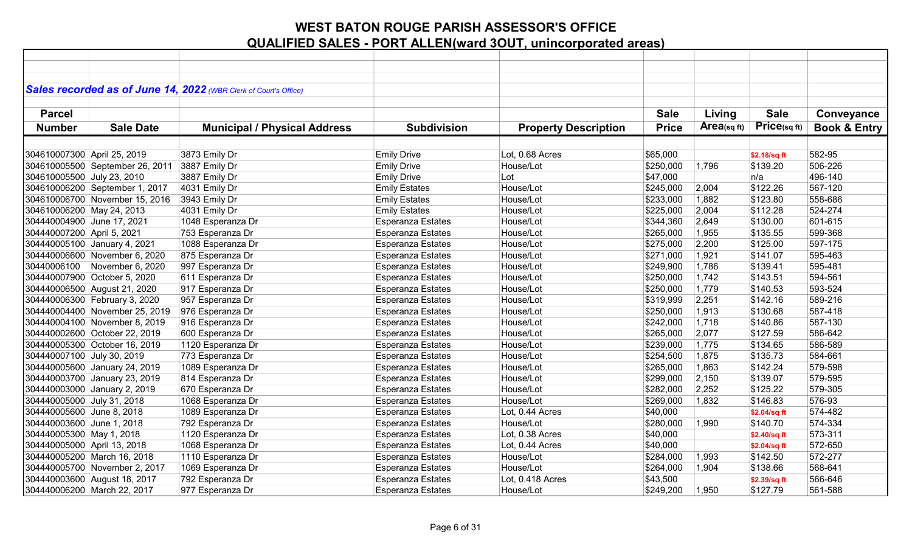|                             |                                 | Sales recorded as of June 14, 2022 (WBR Clerk of Court's Office) |                          |                             |              |             |              |                         |
|-----------------------------|---------------------------------|------------------------------------------------------------------|--------------------------|-----------------------------|--------------|-------------|--------------|-------------------------|
|                             |                                 |                                                                  |                          |                             |              |             |              |                         |
| <b>Parcel</b>               |                                 |                                                                  |                          |                             | <b>Sale</b>  | Living      | <b>Sale</b>  | Conveyance              |
|                             | <b>Sale Date</b>                |                                                                  |                          |                             | <b>Price</b> | Area(sq ft) | Price(sq ft) |                         |
| <b>Number</b>               |                                 | <b>Municipal / Physical Address</b>                              | <b>Subdivision</b>       | <b>Property Description</b> |              |             |              | <b>Book &amp; Entry</b> |
|                             |                                 |                                                                  |                          |                             |              |             |              |                         |
| 304610007300 April 25, 2019 |                                 | 3873 Emily Dr                                                    | <b>Emily Drive</b>       | Lot, 0.68 Acres             | \$65,000     |             | \$2.18/sq ft | 582-95                  |
|                             | 304610005500 September 26, 2011 | 3887 Emily Dr                                                    | <b>Emily Drive</b>       | House/Lot                   | \$250,000    | 1,796       | \$139.20     | 506-226                 |
| 304610005500 July 23, 2010  |                                 | 3887 Emily Dr                                                    | <b>Emily Drive</b>       | Lot                         | \$47,000     |             | n/a          | 496-140                 |
|                             | 304610006200 September 1, 2017  | 4031 Emily Dr                                                    | <b>Emily Estates</b>     | House/Lot                   | \$245,000    | 2,004       | \$122.26     | 567-120                 |
|                             | 304610006700 November 15, 2016  | 3943 Emily Dr                                                    | <b>Emily Estates</b>     | House/Lot                   | \$233,000    | 1,882       | \$123.80     | 558-686                 |
| 304610006200 May 24, 2013   |                                 | 4031 Emily Dr                                                    | <b>Emily Estates</b>     | House/Lot                   | \$225,000    | 2,004       | \$112.28     | 524-274                 |
| 304440004900 June 17, 2021  |                                 | 1048 Esperanza Dr                                                | <b>Esperanza Estates</b> | House/Lot                   | \$344,360    | 2,649       | \$130.00     | 601-615                 |
| 304440007200 April 5, 2021  |                                 | 753 Esperanza Dr                                                 | Esperanza Estates        | House/Lot                   | \$265,000    | 1,955       | \$135.55     | 599-368                 |
|                             | 304440005100 January 4, 2021    | 1088 Esperanza Dr                                                | <b>Esperanza Estates</b> | House/Lot                   | \$275,000    | 2,200       | \$125.00     | 597-175                 |
|                             | 304440006600 November 6, 2020   | 875 Esperanza Dr                                                 | <b>Esperanza Estates</b> | House/Lot                   | \$271,000    | 1,921       | \$141.07     | 595-463                 |
| 30440006100                 | November 6, 2020                | 997 Esperanza Dr                                                 | <b>Esperanza Estates</b> | House/Lot                   | \$249,900    | 1,786       | \$139.41     | 595-481                 |
|                             | 304440007900 October 5, 2020    | 611 Esperanza Dr                                                 | <b>Esperanza Estates</b> | House/Lot                   | \$250,000    | 1,742       | \$143.51     | 594-561                 |
|                             | 304440006500 August 21, 2020    | 917 Esperanza Dr                                                 | Esperanza Estates        | House/Lot                   | \$250,000    | 1,779       | \$140.53     | 593-524                 |
|                             | 304440006300 February 3, 2020   | 957 Esperanza Dr                                                 | <b>Esperanza Estates</b> | House/Lot                   | \$319,999    | 2,251       | \$142.16     | 589-216                 |
|                             | 304440004400 November 25, 2019  | 976 Esperanza Dr                                                 | Esperanza Estates        | House/Lot                   | \$250,000    | 1,913       | \$130.68     | 587-418                 |
|                             | 304440004100 November 8, 2019   | 916 Esperanza Dr                                                 | <b>Esperanza Estates</b> | House/Lot                   | \$242,000    | 1,718       | \$140.86     | 587-130                 |
|                             | 304440002600 October 22, 2019   | 600 Esperanza Dr                                                 | <b>Esperanza Estates</b> | House/Lot                   | \$265,000    | 2,077       | \$127.59     | 586-642                 |
|                             | 304440005300 October 16, 2019   | 1120 Esperanza Dr                                                | <b>Esperanza Estates</b> | House/Lot                   | \$239,000    | 1,775       | \$134.65     | 586-589                 |
| 304440007100 July 30, 2019  |                                 | 773 Esperanza Dr                                                 | Esperanza Estates        | House/Lot                   | \$254,500    | 1,875       | \$135.73     | 584-661                 |
|                             | 304440005600 January 24, 2019   | 1089 Esperanza Dr                                                | <b>Esperanza Estates</b> | House/Lot                   | \$265,000    | 1,863       | \$142.24     | 579-598                 |
|                             | 304440003700 January 23, 2019   | 814 Esperanza Dr                                                 | <b>Esperanza Estates</b> | House/Lot                   | \$299,000    | 2,150       | \$139.07     | 579-595                 |
|                             | 304440003000 January 2, 2019    | 670 Esperanza Dr                                                 | <b>Esperanza Estates</b> | House/Lot                   | \$282,000    | 2,252       | \$125.22     | 579-305                 |
| 304440005000 July 31, 2018  |                                 | 1068 Esperanza Dr                                                | <b>Esperanza Estates</b> | House/Lot                   | \$269,000    | 1,832       | \$146.83     | 576-93                  |
| 304440005600 June 8, 2018   |                                 | 1089 Esperanza Dr                                                | <b>Esperanza Estates</b> | Lot, 0.44 Acres             | \$40,000     |             | \$2.04/sq ft | 574-482                 |
| 304440003600 June 1, 2018   |                                 | 792 Esperanza Dr                                                 | <b>Esperanza Estates</b> | House/Lot                   | \$280,000    | 1,990       | \$140.70     | 574-334                 |
| 304440005300 May 1, 2018    |                                 | 1120 Esperanza Dr                                                | <b>Esperanza Estates</b> | Lot, 0.38 Acres             | \$40,000     |             | \$2.40/sq ft | 573-311                 |
| 304440005000 April 13, 2018 |                                 | 1068 Esperanza Dr                                                | <b>Esperanza Estates</b> | Lot, 0.44 Acres             | \$40,000     |             | \$2.04/sq ft | 572-650                 |
|                             | 304440005200 March 16, 2018     | 1110 Esperanza Dr                                                | <b>Esperanza Estates</b> | House/Lot                   | \$284,000    | 1,993       | \$142.50     | 572-277                 |
|                             | 304440005700 November 2, 2017   | 1069 Esperanza Dr                                                | <b>Esperanza Estates</b> | House/Lot                   | \$264,000    | 1,904       | \$138.66     | 568-641                 |
|                             | 304440003600 August 18, 2017    | 792 Esperanza Dr                                                 | <b>Esperanza Estates</b> | Lot, 0.418 Acres            | \$43,500     |             | \$2.39/sq ft | 566-646                 |
|                             | 304440006200 March 22, 2017     | 977 Esperanza Dr                                                 | <b>Esperanza Estates</b> | House/Lot                   | \$249,200    | 1,950       | \$127.79     | 561-588                 |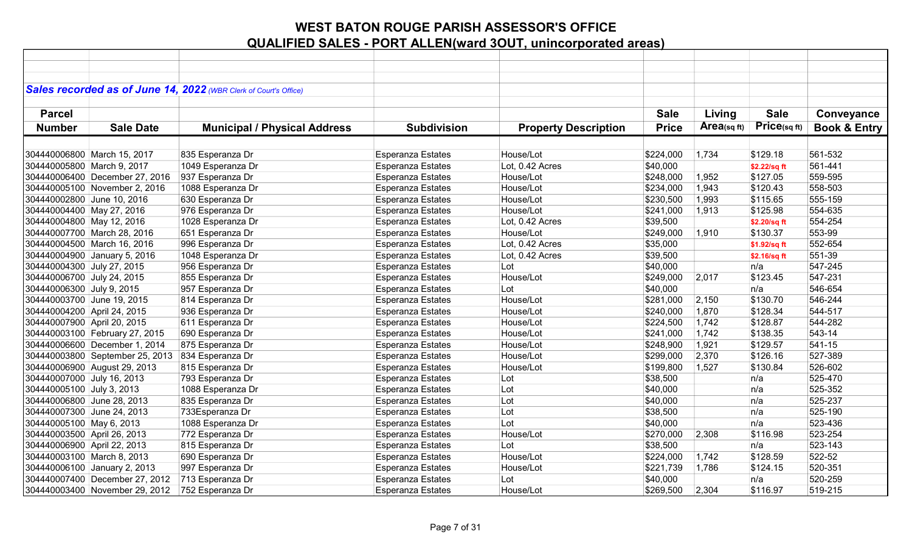| Sales recorded as of June 14, 2022 (WBR Clerk of Court's Office)<br><b>Sale</b><br><b>Parcel</b><br><b>Sale</b><br>Living<br>Conveyance<br>Price(sq ft)<br>Area(sqft)<br><b>Price</b><br><b>Book &amp; Entry</b><br><b>Number</b><br><b>Sale Date</b><br><b>Municipal / Physical Address</b><br><b>Subdivision</b><br><b>Property Description</b><br>835 Esperanza Dr<br><b>Esperanza Estates</b><br>House/Lot<br>561-532<br>304440006800 March 15, 2017<br>\$224,000<br>1,734<br>\$129.18<br>561-441<br>304440005800 March 9, 2017<br>1049 Esperanza Dr<br><b>Esperanza Estates</b><br>Lot, 0.42 Acres<br>\$40,000<br>\$2.22/sq ft<br>937 Esperanza Dr<br>Esperanza Estates<br>House/Lot<br>\$248,000<br>\$127.05<br>559-595<br>304440006400 December 27, 2016<br>1,952<br>1088 Esperanza Dr<br>House/Lot<br>558-503<br>304440005100 November 2, 2016<br><b>Esperanza Estates</b><br>\$234,000<br>1,943<br>\$120.43<br>555-159<br>304440002800 June 10, 2016<br>630 Esperanza Dr<br><b>Esperanza Estates</b><br>House/Lot<br>\$230,500<br>1,993<br>\$115.65<br>304440004400 May 27, 2016<br>976 Esperanza Dr<br><b>Esperanza Estates</b><br>House/Lot<br>\$241,000<br>1,913<br>\$125.98<br>554-635<br>554-254<br>304440004800 May 12, 2016<br>1028 Esperanza Dr<br><b>Esperanza Estates</b><br>Lot, 0.42 Acres<br>\$39,500<br>\$2.20/sq ft<br>553-99<br>Esperanza Estates<br>House/Lot<br>\$249,000<br>\$130.37<br>304440007700 March 28, 2016<br>651 Esperanza Dr<br>1,910<br>996 Esperanza Dr<br><b>Esperanza Estates</b><br>\$35,000<br>552-654<br>304440004500 March 16, 2016<br>Lot, 0.42 Acres<br>\$1.92/sq ft<br>551-39<br>304440004900 January 5, 2016<br>1048 Esperanza Dr<br><b>Esperanza Estates</b><br>Lot, 0.42 Acres<br>\$39,500<br>\$2.16/sq ft<br>547-245<br>304440004300 July 27, 2015<br>956 Esperanza Dr<br><b>Esperanza Estates</b><br>Lot<br>\$40,000<br>n/a<br>\$123.45<br>547-231<br>304440006700 July 24, 2015<br>855 Esperanza Dr<br><b>Esperanza Estates</b><br>House/Lot<br>\$249,000<br>2,017<br>546-654<br>304440006300 July 9, 2015<br>957 Esperanza Dr<br><b>Esperanza Estates</b><br>Lot<br>\$40,000<br>n/a<br>546-244<br>304440003700 June 19, 2015<br>814 Esperanza Dr<br>House/Lot<br>2,150<br>\$130.70<br><b>Esperanza Estates</b><br>\$281,000<br>304440004200 April 24, 2015<br>936 Esperanza Dr<br>544-517<br>Esperanza Estates<br>House/Lot<br>\$240,000<br>1,870<br>\$128.34<br>611 Esperanza Dr<br>1,742<br>\$128.87<br>544-282<br>304440007900 April 20, 2015<br><b>Esperanza Estates</b><br>House/Lot<br>\$224,500<br>\$138.35<br>543-14<br>304440003100 February 27, 2015<br>690 Esperanza Dr<br>Esperanza Estates<br>House/Lot<br>\$241,000<br>1,742<br>541-15<br>304440006600 December 1, 2014<br>875 Esperanza Dr<br>Esperanza Estates<br>House/Lot<br>1,921<br>\$129.57<br>\$248,900<br>527-389<br>304440003800 September 25, 2013<br>834 Esperanza Dr<br><b>Esperanza Estates</b><br>House/Lot<br>2,370<br>\$126.16<br>\$299,000<br>304440006900 August 29, 2013<br>815 Esperanza Dr<br>\$199,800<br>1,527<br>526-602<br><b>Esperanza Estates</b><br>House/Lot<br>\$130.84<br>525-470<br>Esperanza Estates<br>\$38,500<br>304440007000 July 16, 2013<br>793 Esperanza Dr<br>Lot<br>n/a<br>1088 Esperanza Dr<br>525-352<br>304440005100 July 3, 2013<br>Esperanza Estates<br>Lot<br>\$40,000<br>n/a<br>835 Esperanza Dr<br>525-237<br>304440006800 June 28, 2013<br><b>Esperanza Estates</b><br>Lot<br>\$40,000<br>n/a<br>525-190<br>304440007300 June 24, 2013<br>733Esperanza Dr<br>Esperanza Estates<br>Lot<br>\$38,500<br>n/a<br>523-436<br>304440005100 May 6, 2013<br>1088 Esperanza Dr<br><b>Esperanza Estates</b><br>Lot<br>\$40,000<br>n/a<br>Esperanza Estates<br>\$116.98<br>523-254<br>304440003500 April 26, 2013<br>772 Esperanza Dr<br>House/Lot<br>\$270,000<br>2,308<br>815 Esperanza Dr<br>523-143<br>304440006900 April 22, 2013<br>Esperanza Estates<br>Lot<br>\$38,500<br>n/a<br>522-52<br>304440003100 March 8, 2013<br>690 Esperanza Dr<br>Esperanza Estates<br>House/Lot<br>\$224,000<br>\$128.59<br>1,742<br>304440006100 January 2, 2013<br>997 Esperanza Dr<br><b>Esperanza Estates</b><br>House/Lot<br>1,786<br>520-351<br>\$221,739<br>\$124.15<br>520-259<br>304440007400 December 27, 2012<br>713 Esperanza Dr<br><b>Esperanza Estates</b><br>Lot<br>\$40,000<br>n/a<br>304440003400 November 29, 2012<br>752 Esperanza Dr<br>House/Lot<br>2,304<br>\$116.97<br>519-215 |  |                          |           |  |  |
|----------------------------------------------------------------------------------------------------------------------------------------------------------------------------------------------------------------------------------------------------------------------------------------------------------------------------------------------------------------------------------------------------------------------------------------------------------------------------------------------------------------------------------------------------------------------------------------------------------------------------------------------------------------------------------------------------------------------------------------------------------------------------------------------------------------------------------------------------------------------------------------------------------------------------------------------------------------------------------------------------------------------------------------------------------------------------------------------------------------------------------------------------------------------------------------------------------------------------------------------------------------------------------------------------------------------------------------------------------------------------------------------------------------------------------------------------------------------------------------------------------------------------------------------------------------------------------------------------------------------------------------------------------------------------------------------------------------------------------------------------------------------------------------------------------------------------------------------------------------------------------------------------------------------------------------------------------------------------------------------------------------------------------------------------------------------------------------------------------------------------------------------------------------------------------------------------------------------------------------------------------------------------------------------------------------------------------------------------------------------------------------------------------------------------------------------------------------------------------------------------------------------------------------------------------------------------------------------------------------------------------------------------------------------------------------------------------------------------------------------------------------------------------------------------------------------------------------------------------------------------------------------------------------------------------------------------------------------------------------------------------------------------------------------------------------------------------------------------------------------------------------------------------------------------------------------------------------------------------------------------------------------------------------------------------------------------------------------------------------------------------------------------------------------------------------------------------------------------------------------------------------------------------------------------------------------------------------------------------------------------------------------------------------------------------------------------------------------------------------------------------------------------------------------------------------------------------------------------------------------------------------------------------------------------------------------------------------------------------------------------------------------------------------------------------------------------------------------------------------------------------------------------------------------------------------------------------------------------------------------------------------------------------------------------------------------------------------------------------------------------------------------------------------------------------------------------------|--|--------------------------|-----------|--|--|
|                                                                                                                                                                                                                                                                                                                                                                                                                                                                                                                                                                                                                                                                                                                                                                                                                                                                                                                                                                                                                                                                                                                                                                                                                                                                                                                                                                                                                                                                                                                                                                                                                                                                                                                                                                                                                                                                                                                                                                                                                                                                                                                                                                                                                                                                                                                                                                                                                                                                                                                                                                                                                                                                                                                                                                                                                                                                                                                                                                                                                                                                                                                                                                                                                                                                                                                                                                                                                                                                                                                                                                                                                                                                                                                                                                                                                                                                                                                                                                                                                                                                                                                                                                                                                                                                                                                                                                                                                                                          |  |                          |           |  |  |
|                                                                                                                                                                                                                                                                                                                                                                                                                                                                                                                                                                                                                                                                                                                                                                                                                                                                                                                                                                                                                                                                                                                                                                                                                                                                                                                                                                                                                                                                                                                                                                                                                                                                                                                                                                                                                                                                                                                                                                                                                                                                                                                                                                                                                                                                                                                                                                                                                                                                                                                                                                                                                                                                                                                                                                                                                                                                                                                                                                                                                                                                                                                                                                                                                                                                                                                                                                                                                                                                                                                                                                                                                                                                                                                                                                                                                                                                                                                                                                                                                                                                                                                                                                                                                                                                                                                                                                                                                                                          |  |                          |           |  |  |
|                                                                                                                                                                                                                                                                                                                                                                                                                                                                                                                                                                                                                                                                                                                                                                                                                                                                                                                                                                                                                                                                                                                                                                                                                                                                                                                                                                                                                                                                                                                                                                                                                                                                                                                                                                                                                                                                                                                                                                                                                                                                                                                                                                                                                                                                                                                                                                                                                                                                                                                                                                                                                                                                                                                                                                                                                                                                                                                                                                                                                                                                                                                                                                                                                                                                                                                                                                                                                                                                                                                                                                                                                                                                                                                                                                                                                                                                                                                                                                                                                                                                                                                                                                                                                                                                                                                                                                                                                                                          |  |                          |           |  |  |
|                                                                                                                                                                                                                                                                                                                                                                                                                                                                                                                                                                                                                                                                                                                                                                                                                                                                                                                                                                                                                                                                                                                                                                                                                                                                                                                                                                                                                                                                                                                                                                                                                                                                                                                                                                                                                                                                                                                                                                                                                                                                                                                                                                                                                                                                                                                                                                                                                                                                                                                                                                                                                                                                                                                                                                                                                                                                                                                                                                                                                                                                                                                                                                                                                                                                                                                                                                                                                                                                                                                                                                                                                                                                                                                                                                                                                                                                                                                                                                                                                                                                                                                                                                                                                                                                                                                                                                                                                                                          |  |                          |           |  |  |
|                                                                                                                                                                                                                                                                                                                                                                                                                                                                                                                                                                                                                                                                                                                                                                                                                                                                                                                                                                                                                                                                                                                                                                                                                                                                                                                                                                                                                                                                                                                                                                                                                                                                                                                                                                                                                                                                                                                                                                                                                                                                                                                                                                                                                                                                                                                                                                                                                                                                                                                                                                                                                                                                                                                                                                                                                                                                                                                                                                                                                                                                                                                                                                                                                                                                                                                                                                                                                                                                                                                                                                                                                                                                                                                                                                                                                                                                                                                                                                                                                                                                                                                                                                                                                                                                                                                                                                                                                                                          |  |                          |           |  |  |
|                                                                                                                                                                                                                                                                                                                                                                                                                                                                                                                                                                                                                                                                                                                                                                                                                                                                                                                                                                                                                                                                                                                                                                                                                                                                                                                                                                                                                                                                                                                                                                                                                                                                                                                                                                                                                                                                                                                                                                                                                                                                                                                                                                                                                                                                                                                                                                                                                                                                                                                                                                                                                                                                                                                                                                                                                                                                                                                                                                                                                                                                                                                                                                                                                                                                                                                                                                                                                                                                                                                                                                                                                                                                                                                                                                                                                                                                                                                                                                                                                                                                                                                                                                                                                                                                                                                                                                                                                                                          |  |                          |           |  |  |
|                                                                                                                                                                                                                                                                                                                                                                                                                                                                                                                                                                                                                                                                                                                                                                                                                                                                                                                                                                                                                                                                                                                                                                                                                                                                                                                                                                                                                                                                                                                                                                                                                                                                                                                                                                                                                                                                                                                                                                                                                                                                                                                                                                                                                                                                                                                                                                                                                                                                                                                                                                                                                                                                                                                                                                                                                                                                                                                                                                                                                                                                                                                                                                                                                                                                                                                                                                                                                                                                                                                                                                                                                                                                                                                                                                                                                                                                                                                                                                                                                                                                                                                                                                                                                                                                                                                                                                                                                                                          |  |                          |           |  |  |
|                                                                                                                                                                                                                                                                                                                                                                                                                                                                                                                                                                                                                                                                                                                                                                                                                                                                                                                                                                                                                                                                                                                                                                                                                                                                                                                                                                                                                                                                                                                                                                                                                                                                                                                                                                                                                                                                                                                                                                                                                                                                                                                                                                                                                                                                                                                                                                                                                                                                                                                                                                                                                                                                                                                                                                                                                                                                                                                                                                                                                                                                                                                                                                                                                                                                                                                                                                                                                                                                                                                                                                                                                                                                                                                                                                                                                                                                                                                                                                                                                                                                                                                                                                                                                                                                                                                                                                                                                                                          |  |                          |           |  |  |
|                                                                                                                                                                                                                                                                                                                                                                                                                                                                                                                                                                                                                                                                                                                                                                                                                                                                                                                                                                                                                                                                                                                                                                                                                                                                                                                                                                                                                                                                                                                                                                                                                                                                                                                                                                                                                                                                                                                                                                                                                                                                                                                                                                                                                                                                                                                                                                                                                                                                                                                                                                                                                                                                                                                                                                                                                                                                                                                                                                                                                                                                                                                                                                                                                                                                                                                                                                                                                                                                                                                                                                                                                                                                                                                                                                                                                                                                                                                                                                                                                                                                                                                                                                                                                                                                                                                                                                                                                                                          |  |                          |           |  |  |
|                                                                                                                                                                                                                                                                                                                                                                                                                                                                                                                                                                                                                                                                                                                                                                                                                                                                                                                                                                                                                                                                                                                                                                                                                                                                                                                                                                                                                                                                                                                                                                                                                                                                                                                                                                                                                                                                                                                                                                                                                                                                                                                                                                                                                                                                                                                                                                                                                                                                                                                                                                                                                                                                                                                                                                                                                                                                                                                                                                                                                                                                                                                                                                                                                                                                                                                                                                                                                                                                                                                                                                                                                                                                                                                                                                                                                                                                                                                                                                                                                                                                                                                                                                                                                                                                                                                                                                                                                                                          |  |                          |           |  |  |
|                                                                                                                                                                                                                                                                                                                                                                                                                                                                                                                                                                                                                                                                                                                                                                                                                                                                                                                                                                                                                                                                                                                                                                                                                                                                                                                                                                                                                                                                                                                                                                                                                                                                                                                                                                                                                                                                                                                                                                                                                                                                                                                                                                                                                                                                                                                                                                                                                                                                                                                                                                                                                                                                                                                                                                                                                                                                                                                                                                                                                                                                                                                                                                                                                                                                                                                                                                                                                                                                                                                                                                                                                                                                                                                                                                                                                                                                                                                                                                                                                                                                                                                                                                                                                                                                                                                                                                                                                                                          |  |                          |           |  |  |
|                                                                                                                                                                                                                                                                                                                                                                                                                                                                                                                                                                                                                                                                                                                                                                                                                                                                                                                                                                                                                                                                                                                                                                                                                                                                                                                                                                                                                                                                                                                                                                                                                                                                                                                                                                                                                                                                                                                                                                                                                                                                                                                                                                                                                                                                                                                                                                                                                                                                                                                                                                                                                                                                                                                                                                                                                                                                                                                                                                                                                                                                                                                                                                                                                                                                                                                                                                                                                                                                                                                                                                                                                                                                                                                                                                                                                                                                                                                                                                                                                                                                                                                                                                                                                                                                                                                                                                                                                                                          |  |                          |           |  |  |
|                                                                                                                                                                                                                                                                                                                                                                                                                                                                                                                                                                                                                                                                                                                                                                                                                                                                                                                                                                                                                                                                                                                                                                                                                                                                                                                                                                                                                                                                                                                                                                                                                                                                                                                                                                                                                                                                                                                                                                                                                                                                                                                                                                                                                                                                                                                                                                                                                                                                                                                                                                                                                                                                                                                                                                                                                                                                                                                                                                                                                                                                                                                                                                                                                                                                                                                                                                                                                                                                                                                                                                                                                                                                                                                                                                                                                                                                                                                                                                                                                                                                                                                                                                                                                                                                                                                                                                                                                                                          |  |                          |           |  |  |
|                                                                                                                                                                                                                                                                                                                                                                                                                                                                                                                                                                                                                                                                                                                                                                                                                                                                                                                                                                                                                                                                                                                                                                                                                                                                                                                                                                                                                                                                                                                                                                                                                                                                                                                                                                                                                                                                                                                                                                                                                                                                                                                                                                                                                                                                                                                                                                                                                                                                                                                                                                                                                                                                                                                                                                                                                                                                                                                                                                                                                                                                                                                                                                                                                                                                                                                                                                                                                                                                                                                                                                                                                                                                                                                                                                                                                                                                                                                                                                                                                                                                                                                                                                                                                                                                                                                                                                                                                                                          |  |                          |           |  |  |
|                                                                                                                                                                                                                                                                                                                                                                                                                                                                                                                                                                                                                                                                                                                                                                                                                                                                                                                                                                                                                                                                                                                                                                                                                                                                                                                                                                                                                                                                                                                                                                                                                                                                                                                                                                                                                                                                                                                                                                                                                                                                                                                                                                                                                                                                                                                                                                                                                                                                                                                                                                                                                                                                                                                                                                                                                                                                                                                                                                                                                                                                                                                                                                                                                                                                                                                                                                                                                                                                                                                                                                                                                                                                                                                                                                                                                                                                                                                                                                                                                                                                                                                                                                                                                                                                                                                                                                                                                                                          |  |                          |           |  |  |
|                                                                                                                                                                                                                                                                                                                                                                                                                                                                                                                                                                                                                                                                                                                                                                                                                                                                                                                                                                                                                                                                                                                                                                                                                                                                                                                                                                                                                                                                                                                                                                                                                                                                                                                                                                                                                                                                                                                                                                                                                                                                                                                                                                                                                                                                                                                                                                                                                                                                                                                                                                                                                                                                                                                                                                                                                                                                                                                                                                                                                                                                                                                                                                                                                                                                                                                                                                                                                                                                                                                                                                                                                                                                                                                                                                                                                                                                                                                                                                                                                                                                                                                                                                                                                                                                                                                                                                                                                                                          |  |                          |           |  |  |
|                                                                                                                                                                                                                                                                                                                                                                                                                                                                                                                                                                                                                                                                                                                                                                                                                                                                                                                                                                                                                                                                                                                                                                                                                                                                                                                                                                                                                                                                                                                                                                                                                                                                                                                                                                                                                                                                                                                                                                                                                                                                                                                                                                                                                                                                                                                                                                                                                                                                                                                                                                                                                                                                                                                                                                                                                                                                                                                                                                                                                                                                                                                                                                                                                                                                                                                                                                                                                                                                                                                                                                                                                                                                                                                                                                                                                                                                                                                                                                                                                                                                                                                                                                                                                                                                                                                                                                                                                                                          |  |                          |           |  |  |
|                                                                                                                                                                                                                                                                                                                                                                                                                                                                                                                                                                                                                                                                                                                                                                                                                                                                                                                                                                                                                                                                                                                                                                                                                                                                                                                                                                                                                                                                                                                                                                                                                                                                                                                                                                                                                                                                                                                                                                                                                                                                                                                                                                                                                                                                                                                                                                                                                                                                                                                                                                                                                                                                                                                                                                                                                                                                                                                                                                                                                                                                                                                                                                                                                                                                                                                                                                                                                                                                                                                                                                                                                                                                                                                                                                                                                                                                                                                                                                                                                                                                                                                                                                                                                                                                                                                                                                                                                                                          |  |                          |           |  |  |
|                                                                                                                                                                                                                                                                                                                                                                                                                                                                                                                                                                                                                                                                                                                                                                                                                                                                                                                                                                                                                                                                                                                                                                                                                                                                                                                                                                                                                                                                                                                                                                                                                                                                                                                                                                                                                                                                                                                                                                                                                                                                                                                                                                                                                                                                                                                                                                                                                                                                                                                                                                                                                                                                                                                                                                                                                                                                                                                                                                                                                                                                                                                                                                                                                                                                                                                                                                                                                                                                                                                                                                                                                                                                                                                                                                                                                                                                                                                                                                                                                                                                                                                                                                                                                                                                                                                                                                                                                                                          |  |                          |           |  |  |
|                                                                                                                                                                                                                                                                                                                                                                                                                                                                                                                                                                                                                                                                                                                                                                                                                                                                                                                                                                                                                                                                                                                                                                                                                                                                                                                                                                                                                                                                                                                                                                                                                                                                                                                                                                                                                                                                                                                                                                                                                                                                                                                                                                                                                                                                                                                                                                                                                                                                                                                                                                                                                                                                                                                                                                                                                                                                                                                                                                                                                                                                                                                                                                                                                                                                                                                                                                                                                                                                                                                                                                                                                                                                                                                                                                                                                                                                                                                                                                                                                                                                                                                                                                                                                                                                                                                                                                                                                                                          |  |                          |           |  |  |
|                                                                                                                                                                                                                                                                                                                                                                                                                                                                                                                                                                                                                                                                                                                                                                                                                                                                                                                                                                                                                                                                                                                                                                                                                                                                                                                                                                                                                                                                                                                                                                                                                                                                                                                                                                                                                                                                                                                                                                                                                                                                                                                                                                                                                                                                                                                                                                                                                                                                                                                                                                                                                                                                                                                                                                                                                                                                                                                                                                                                                                                                                                                                                                                                                                                                                                                                                                                                                                                                                                                                                                                                                                                                                                                                                                                                                                                                                                                                                                                                                                                                                                                                                                                                                                                                                                                                                                                                                                                          |  |                          |           |  |  |
|                                                                                                                                                                                                                                                                                                                                                                                                                                                                                                                                                                                                                                                                                                                                                                                                                                                                                                                                                                                                                                                                                                                                                                                                                                                                                                                                                                                                                                                                                                                                                                                                                                                                                                                                                                                                                                                                                                                                                                                                                                                                                                                                                                                                                                                                                                                                                                                                                                                                                                                                                                                                                                                                                                                                                                                                                                                                                                                                                                                                                                                                                                                                                                                                                                                                                                                                                                                                                                                                                                                                                                                                                                                                                                                                                                                                                                                                                                                                                                                                                                                                                                                                                                                                                                                                                                                                                                                                                                                          |  |                          |           |  |  |
|                                                                                                                                                                                                                                                                                                                                                                                                                                                                                                                                                                                                                                                                                                                                                                                                                                                                                                                                                                                                                                                                                                                                                                                                                                                                                                                                                                                                                                                                                                                                                                                                                                                                                                                                                                                                                                                                                                                                                                                                                                                                                                                                                                                                                                                                                                                                                                                                                                                                                                                                                                                                                                                                                                                                                                                                                                                                                                                                                                                                                                                                                                                                                                                                                                                                                                                                                                                                                                                                                                                                                                                                                                                                                                                                                                                                                                                                                                                                                                                                                                                                                                                                                                                                                                                                                                                                                                                                                                                          |  |                          |           |  |  |
|                                                                                                                                                                                                                                                                                                                                                                                                                                                                                                                                                                                                                                                                                                                                                                                                                                                                                                                                                                                                                                                                                                                                                                                                                                                                                                                                                                                                                                                                                                                                                                                                                                                                                                                                                                                                                                                                                                                                                                                                                                                                                                                                                                                                                                                                                                                                                                                                                                                                                                                                                                                                                                                                                                                                                                                                                                                                                                                                                                                                                                                                                                                                                                                                                                                                                                                                                                                                                                                                                                                                                                                                                                                                                                                                                                                                                                                                                                                                                                                                                                                                                                                                                                                                                                                                                                                                                                                                                                                          |  |                          |           |  |  |
|                                                                                                                                                                                                                                                                                                                                                                                                                                                                                                                                                                                                                                                                                                                                                                                                                                                                                                                                                                                                                                                                                                                                                                                                                                                                                                                                                                                                                                                                                                                                                                                                                                                                                                                                                                                                                                                                                                                                                                                                                                                                                                                                                                                                                                                                                                                                                                                                                                                                                                                                                                                                                                                                                                                                                                                                                                                                                                                                                                                                                                                                                                                                                                                                                                                                                                                                                                                                                                                                                                                                                                                                                                                                                                                                                                                                                                                                                                                                                                                                                                                                                                                                                                                                                                                                                                                                                                                                                                                          |  |                          |           |  |  |
|                                                                                                                                                                                                                                                                                                                                                                                                                                                                                                                                                                                                                                                                                                                                                                                                                                                                                                                                                                                                                                                                                                                                                                                                                                                                                                                                                                                                                                                                                                                                                                                                                                                                                                                                                                                                                                                                                                                                                                                                                                                                                                                                                                                                                                                                                                                                                                                                                                                                                                                                                                                                                                                                                                                                                                                                                                                                                                                                                                                                                                                                                                                                                                                                                                                                                                                                                                                                                                                                                                                                                                                                                                                                                                                                                                                                                                                                                                                                                                                                                                                                                                                                                                                                                                                                                                                                                                                                                                                          |  |                          |           |  |  |
|                                                                                                                                                                                                                                                                                                                                                                                                                                                                                                                                                                                                                                                                                                                                                                                                                                                                                                                                                                                                                                                                                                                                                                                                                                                                                                                                                                                                                                                                                                                                                                                                                                                                                                                                                                                                                                                                                                                                                                                                                                                                                                                                                                                                                                                                                                                                                                                                                                                                                                                                                                                                                                                                                                                                                                                                                                                                                                                                                                                                                                                                                                                                                                                                                                                                                                                                                                                                                                                                                                                                                                                                                                                                                                                                                                                                                                                                                                                                                                                                                                                                                                                                                                                                                                                                                                                                                                                                                                                          |  |                          |           |  |  |
|                                                                                                                                                                                                                                                                                                                                                                                                                                                                                                                                                                                                                                                                                                                                                                                                                                                                                                                                                                                                                                                                                                                                                                                                                                                                                                                                                                                                                                                                                                                                                                                                                                                                                                                                                                                                                                                                                                                                                                                                                                                                                                                                                                                                                                                                                                                                                                                                                                                                                                                                                                                                                                                                                                                                                                                                                                                                                                                                                                                                                                                                                                                                                                                                                                                                                                                                                                                                                                                                                                                                                                                                                                                                                                                                                                                                                                                                                                                                                                                                                                                                                                                                                                                                                                                                                                                                                                                                                                                          |  |                          |           |  |  |
|                                                                                                                                                                                                                                                                                                                                                                                                                                                                                                                                                                                                                                                                                                                                                                                                                                                                                                                                                                                                                                                                                                                                                                                                                                                                                                                                                                                                                                                                                                                                                                                                                                                                                                                                                                                                                                                                                                                                                                                                                                                                                                                                                                                                                                                                                                                                                                                                                                                                                                                                                                                                                                                                                                                                                                                                                                                                                                                                                                                                                                                                                                                                                                                                                                                                                                                                                                                                                                                                                                                                                                                                                                                                                                                                                                                                                                                                                                                                                                                                                                                                                                                                                                                                                                                                                                                                                                                                                                                          |  |                          |           |  |  |
|                                                                                                                                                                                                                                                                                                                                                                                                                                                                                                                                                                                                                                                                                                                                                                                                                                                                                                                                                                                                                                                                                                                                                                                                                                                                                                                                                                                                                                                                                                                                                                                                                                                                                                                                                                                                                                                                                                                                                                                                                                                                                                                                                                                                                                                                                                                                                                                                                                                                                                                                                                                                                                                                                                                                                                                                                                                                                                                                                                                                                                                                                                                                                                                                                                                                                                                                                                                                                                                                                                                                                                                                                                                                                                                                                                                                                                                                                                                                                                                                                                                                                                                                                                                                                                                                                                                                                                                                                                                          |  |                          |           |  |  |
|                                                                                                                                                                                                                                                                                                                                                                                                                                                                                                                                                                                                                                                                                                                                                                                                                                                                                                                                                                                                                                                                                                                                                                                                                                                                                                                                                                                                                                                                                                                                                                                                                                                                                                                                                                                                                                                                                                                                                                                                                                                                                                                                                                                                                                                                                                                                                                                                                                                                                                                                                                                                                                                                                                                                                                                                                                                                                                                                                                                                                                                                                                                                                                                                                                                                                                                                                                                                                                                                                                                                                                                                                                                                                                                                                                                                                                                                                                                                                                                                                                                                                                                                                                                                                                                                                                                                                                                                                                                          |  |                          |           |  |  |
|                                                                                                                                                                                                                                                                                                                                                                                                                                                                                                                                                                                                                                                                                                                                                                                                                                                                                                                                                                                                                                                                                                                                                                                                                                                                                                                                                                                                                                                                                                                                                                                                                                                                                                                                                                                                                                                                                                                                                                                                                                                                                                                                                                                                                                                                                                                                                                                                                                                                                                                                                                                                                                                                                                                                                                                                                                                                                                                                                                                                                                                                                                                                                                                                                                                                                                                                                                                                                                                                                                                                                                                                                                                                                                                                                                                                                                                                                                                                                                                                                                                                                                                                                                                                                                                                                                                                                                                                                                                          |  |                          |           |  |  |
|                                                                                                                                                                                                                                                                                                                                                                                                                                                                                                                                                                                                                                                                                                                                                                                                                                                                                                                                                                                                                                                                                                                                                                                                                                                                                                                                                                                                                                                                                                                                                                                                                                                                                                                                                                                                                                                                                                                                                                                                                                                                                                                                                                                                                                                                                                                                                                                                                                                                                                                                                                                                                                                                                                                                                                                                                                                                                                                                                                                                                                                                                                                                                                                                                                                                                                                                                                                                                                                                                                                                                                                                                                                                                                                                                                                                                                                                                                                                                                                                                                                                                                                                                                                                                                                                                                                                                                                                                                                          |  |                          |           |  |  |
|                                                                                                                                                                                                                                                                                                                                                                                                                                                                                                                                                                                                                                                                                                                                                                                                                                                                                                                                                                                                                                                                                                                                                                                                                                                                                                                                                                                                                                                                                                                                                                                                                                                                                                                                                                                                                                                                                                                                                                                                                                                                                                                                                                                                                                                                                                                                                                                                                                                                                                                                                                                                                                                                                                                                                                                                                                                                                                                                                                                                                                                                                                                                                                                                                                                                                                                                                                                                                                                                                                                                                                                                                                                                                                                                                                                                                                                                                                                                                                                                                                                                                                                                                                                                                                                                                                                                                                                                                                                          |  |                          |           |  |  |
|                                                                                                                                                                                                                                                                                                                                                                                                                                                                                                                                                                                                                                                                                                                                                                                                                                                                                                                                                                                                                                                                                                                                                                                                                                                                                                                                                                                                                                                                                                                                                                                                                                                                                                                                                                                                                                                                                                                                                                                                                                                                                                                                                                                                                                                                                                                                                                                                                                                                                                                                                                                                                                                                                                                                                                                                                                                                                                                                                                                                                                                                                                                                                                                                                                                                                                                                                                                                                                                                                                                                                                                                                                                                                                                                                                                                                                                                                                                                                                                                                                                                                                                                                                                                                                                                                                                                                                                                                                                          |  |                          |           |  |  |
|                                                                                                                                                                                                                                                                                                                                                                                                                                                                                                                                                                                                                                                                                                                                                                                                                                                                                                                                                                                                                                                                                                                                                                                                                                                                                                                                                                                                                                                                                                                                                                                                                                                                                                                                                                                                                                                                                                                                                                                                                                                                                                                                                                                                                                                                                                                                                                                                                                                                                                                                                                                                                                                                                                                                                                                                                                                                                                                                                                                                                                                                                                                                                                                                                                                                                                                                                                                                                                                                                                                                                                                                                                                                                                                                                                                                                                                                                                                                                                                                                                                                                                                                                                                                                                                                                                                                                                                                                                                          |  |                          |           |  |  |
|                                                                                                                                                                                                                                                                                                                                                                                                                                                                                                                                                                                                                                                                                                                                                                                                                                                                                                                                                                                                                                                                                                                                                                                                                                                                                                                                                                                                                                                                                                                                                                                                                                                                                                                                                                                                                                                                                                                                                                                                                                                                                                                                                                                                                                                                                                                                                                                                                                                                                                                                                                                                                                                                                                                                                                                                                                                                                                                                                                                                                                                                                                                                                                                                                                                                                                                                                                                                                                                                                                                                                                                                                                                                                                                                                                                                                                                                                                                                                                                                                                                                                                                                                                                                                                                                                                                                                                                                                                                          |  |                          |           |  |  |
|                                                                                                                                                                                                                                                                                                                                                                                                                                                                                                                                                                                                                                                                                                                                                                                                                                                                                                                                                                                                                                                                                                                                                                                                                                                                                                                                                                                                                                                                                                                                                                                                                                                                                                                                                                                                                                                                                                                                                                                                                                                                                                                                                                                                                                                                                                                                                                                                                                                                                                                                                                                                                                                                                                                                                                                                                                                                                                                                                                                                                                                                                                                                                                                                                                                                                                                                                                                                                                                                                                                                                                                                                                                                                                                                                                                                                                                                                                                                                                                                                                                                                                                                                                                                                                                                                                                                                                                                                                                          |  | <b>Esperanza Estates</b> | \$269,500 |  |  |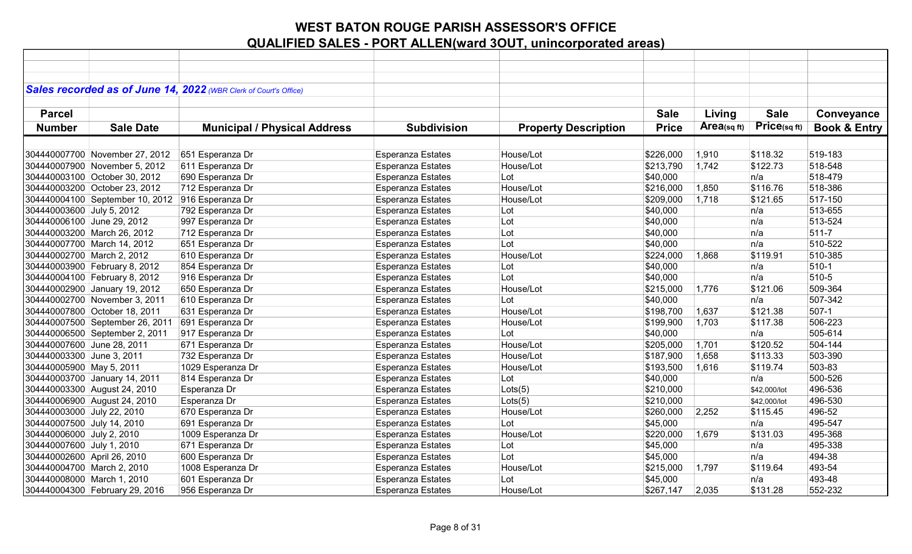|                             |                                 | Sales recorded as of June 14, 2022 (WBR Clerk of Court's Office) |                          |                             |              |             |              |                         |
|-----------------------------|---------------------------------|------------------------------------------------------------------|--------------------------|-----------------------------|--------------|-------------|--------------|-------------------------|
|                             |                                 |                                                                  |                          |                             |              |             |              |                         |
| <b>Parcel</b>               |                                 |                                                                  |                          |                             | <b>Sale</b>  | Living      | <b>Sale</b>  | Conveyance              |
| <b>Number</b>               | <b>Sale Date</b>                | <b>Municipal / Physical Address</b>                              | <b>Subdivision</b>       | <b>Property Description</b> | <b>Price</b> | Area(sq ft) | Price(sq ft) | <b>Book &amp; Entry</b> |
|                             |                                 |                                                                  |                          |                             |              |             |              |                         |
|                             | 304440007700 November 27, 2012  | 651 Esperanza Dr                                                 | <b>Esperanza Estates</b> | House/Lot                   | \$226,000    | 1,910       | \$118.32     | 519-183                 |
|                             | 304440007900 November 5, 2012   | 611 Esperanza Dr                                                 | <b>Esperanza Estates</b> | House/Lot                   | \$213,790    | 1,742       | \$122.73     | 518-548                 |
|                             | 304440003100 October 30, 2012   | 690 Esperanza Dr                                                 | Esperanza Estates        | Lot                         | \$40,000     |             | n/a          | 518-479                 |
|                             | 304440003200 October 23, 2012   | 712 Esperanza Dr                                                 | Esperanza Estates        | House/Lot                   | \$216,000    | 1,850       | \$116.76     | 518-386                 |
|                             | 304440004100 September 10, 2012 | 916 Esperanza Dr                                                 | Esperanza Estates        | House/Lot                   | \$209,000    | 1,718       | \$121.65     | 517-150                 |
| 304440003600 July 5, 2012   |                                 | 792 Esperanza Dr                                                 | Esperanza Estates        | Lot                         | \$40,000     |             | n/a          | 513-655                 |
| 304440006100 June 29, 2012  |                                 | 997 Esperanza Dr                                                 | <b>Esperanza Estates</b> | Lot                         | \$40,000     |             | n/a          | 513-524                 |
|                             | 304440003200 March 26, 2012     | 712 Esperanza Dr                                                 | <b>Esperanza Estates</b> | Lot                         | \$40,000     |             | n/a          | $511 - 7$               |
|                             | 304440007700 March 14, 2012     | 651 Esperanza Dr                                                 | Esperanza Estates        | Lot                         | \$40,000     |             | n/a          | 510-522                 |
| 304440002700 March 2, 2012  |                                 | 610 Esperanza Dr                                                 | Esperanza Estates        | House/Lot                   | \$224,000    | 1,868       | \$119.91     | 510-385                 |
|                             | 304440003900 February 8, 2012   | 854 Esperanza Dr                                                 | Esperanza Estates        | Lot                         | \$40,000     |             | n/a          | 510-1                   |
|                             | 304440004100 February 8, 2012   | 916 Esperanza Dr                                                 | <b>Esperanza Estates</b> | Lot                         | \$40,000     |             | n/a          | 510-5                   |
|                             | 304440002900 January 19, 2012   | 650 Esperanza Dr                                                 | <b>Esperanza Estates</b> | House/Lot                   | \$215,000    | 1,776       | \$121.06     | 509-364                 |
|                             | 304440002700 November 3, 2011   | 610 Esperanza Dr                                                 | <b>Esperanza Estates</b> | Lot                         | \$40,000     |             | n/a          | 507-342                 |
|                             | 304440007800 October 18, 2011   | 631 Esperanza Dr                                                 | Esperanza Estates        | House/Lot                   | \$198,700    | 1,637       | \$121.38     | 507-1                   |
|                             | 304440007500 September 26, 2011 | 691 Esperanza Dr                                                 | Esperanza Estates        | House/Lot                   | \$199,900    | 1,703       | \$117.38     | 506-223                 |
|                             | 304440006500 September 2, 2011  | 917 Esperanza Dr                                                 | <b>Esperanza Estates</b> | Lot                         | \$40,000     |             | n/a          | 505-614                 |
| 304440007600 June 28, 2011  |                                 | 671 Esperanza Dr                                                 | Esperanza Estates        | House/Lot                   | \$205,000    | 1,701       | \$120.52     | 504-144                 |
| 304440003300 June 3, 2011   |                                 | 732 Esperanza Dr                                                 | <b>Esperanza Estates</b> | House/Lot                   | \$187,900    | 1,658       | \$113.33     | 503-390                 |
| 304440005900 May 5, 2011    |                                 | 1029 Esperanza Dr                                                | <b>Esperanza Estates</b> | House/Lot                   | \$193,500    | 1,616       | \$119.74     | 503-83                  |
|                             | 304440003700 January 14, 2011   | 814 Esperanza Dr                                                 | <b>Esperanza Estates</b> | Lot                         | \$40,000     |             | n/a          | 500-526                 |
|                             | 304440003300 August 24, 2010    | Esperanza Dr                                                     | <b>Esperanza Estates</b> | Lots(5)                     | \$210,000    |             | \$42,000/lot | 496-536                 |
|                             | 304440006900 August 24, 2010    | Esperanza Dr                                                     | <b>Esperanza Estates</b> | Lots(5)                     | \$210,000    |             | \$42,000/lot | 496-530                 |
| 304440003000 July 22, 2010  |                                 | 670 Esperanza Dr                                                 | Esperanza Estates        | House/Lot                   | \$260,000    | 2,252       | \$115.45     | 496-52                  |
| 304440007500 July 14, 2010  |                                 | 691 Esperanza Dr                                                 | Esperanza Estates        | Lot                         | \$45,000     |             | n/a          | 495-547                 |
| 304440006000 July 2, 2010   |                                 | 1009 Esperanza Dr                                                | Esperanza Estates        | House/Lot                   | \$220,000    | 1,679       | \$131.03     | 495-368                 |
| 304440007600 July 1, 2010   |                                 | 671 Esperanza Dr                                                 | Esperanza Estates        | Lot                         | \$45,000     |             | n/a          | 495-338                 |
| 304440002600 April 26, 2010 |                                 | 600 Esperanza Dr                                                 | Esperanza Estates        | Lot                         | \$45,000     |             | n/a          | 494-38                  |
| 304440004700 March 2, 2010  |                                 | 1008 Esperanza Dr                                                | <b>Esperanza Estates</b> | House/Lot                   | \$215,000    | 1,797       | \$119.64     | 493-54                  |
| 304440008000 March 1, 2010  |                                 | 601 Esperanza Dr                                                 | <b>Esperanza Estates</b> | Lot                         | \$45,000     |             | n/a          | 493-48                  |
|                             | 304440004300 February 29, 2016  | 956 Esperanza Dr                                                 | Esperanza Estates        | House/Lot                   | \$267,147    | 2,035       | \$131.28     | 552-232                 |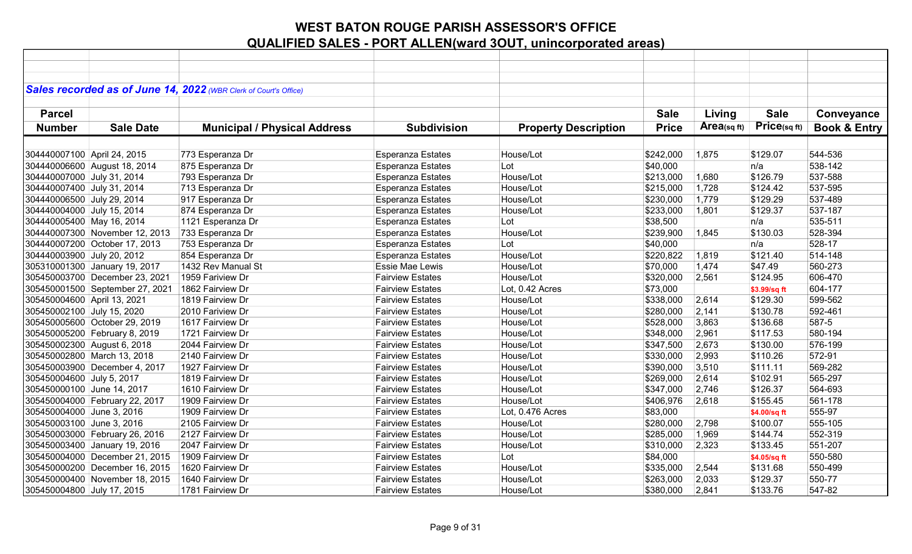|                             |                                 | Sales recorded as of June 14, 2022 (WBR Clerk of Court's Office) |                          |                             |              |            |              |                         |
|-----------------------------|---------------------------------|------------------------------------------------------------------|--------------------------|-----------------------------|--------------|------------|--------------|-------------------------|
|                             |                                 |                                                                  |                          |                             |              |            |              |                         |
| <b>Parcel</b>               |                                 |                                                                  |                          |                             | <b>Sale</b>  | Living     | <b>Sale</b>  | Conveyance              |
|                             |                                 |                                                                  |                          |                             |              |            |              |                         |
| <b>Number</b>               | <b>Sale Date</b>                | <b>Municipal / Physical Address</b>                              | <b>Subdivision</b>       | <b>Property Description</b> | <b>Price</b> | Area(sqft) | Price(sq ft) | <b>Book &amp; Entry</b> |
|                             |                                 |                                                                  |                          |                             |              |            |              |                         |
| 304440007100 April 24, 2015 |                                 | 773 Esperanza Dr                                                 | <b>Esperanza Estates</b> | House/Lot                   | \$242,000    | 1,875      | \$129.07     | 544-536                 |
|                             | 304440006600 August 18, 2014    | 875 Esperanza Dr                                                 | <b>Esperanza Estates</b> | Lot                         | \$40,000     |            | n/a          | 538-142                 |
| 304440007000 July 31, 2014  |                                 | 793 Esperanza Dr                                                 | Esperanza Estates        | House/Lot                   | \$213,000    | 1,680      | \$126.79     | 537-588                 |
| 304440007400 July 31, 2014  |                                 | 713 Esperanza Dr                                                 | <b>Esperanza Estates</b> | House/Lot                   | \$215,000    | 1,728      | \$124.42     | 537-595                 |
| 304440006500 July 29, 2014  |                                 | 917 Esperanza Dr                                                 | Esperanza Estates        | House/Lot                   | \$230,000    | 1,779      | \$129.29     | 537-489                 |
| 304440004000 July 15, 2014  |                                 | 874 Esperanza Dr                                                 | Esperanza Estates        | House/Lot                   | \$233,000    | 1,801      | \$129.37     | 537-187                 |
| 304440005400 May 16, 2014   |                                 | 1121 Esperanza Dr                                                | <b>Esperanza Estates</b> | Lot                         | \$38,500     |            | n/a          | 535-511                 |
|                             | 304440007300 November 12, 2013  | 733 Esperanza Dr                                                 | Esperanza Estates        | House/Lot                   | \$239,900    | 1,845      | \$130.03     | 528-394                 |
|                             | 304440007200 October 17, 2013   | 753 Esperanza Dr                                                 | Esperanza Estates        | Lot                         | \$40,000     |            | n/a          | 528-17                  |
| 304440003900 July 20, 2012  |                                 | 854 Esperanza Dr                                                 | Esperanza Estates        | House/Lot                   | \$220,822    | 1,819      | \$121.40     | 514-148                 |
|                             | 305310001300 January 19, 2017   | 1432 Rev Manual St                                               | <b>Essie Mae Lewis</b>   | House/Lot                   | \$70,000     | 1,474      | \$47.49      | 560-273                 |
|                             | 305450003700 December 23, 2021  | 1959 Fariview Dr                                                 | <b>Fairview Estates</b>  | House/Lot                   | \$320,000    | 2,561      | \$124.95     | 606-470                 |
|                             | 305450001500 September 27, 2021 | 1862 Fairview Dr                                                 | <b>Fairview Estates</b>  | Lot, 0.42 Acres             | \$73,000     |            | \$3.99/sq ft | 604-177                 |
| 305450004600 April 13, 2021 |                                 | 1819 Fairview Dr                                                 | <b>Fairview Estates</b>  | House/Lot                   | \$338,000    | 2,614      | \$129.30     | 599-562                 |
| 305450002100 July 15, 2020  |                                 | 2010 Fariview Dr                                                 | <b>Fairview Estates</b>  | House/Lot                   | \$280,000    | 2,141      | \$130.78     | 592-461                 |
|                             | 305450005600 October 29, 2019   | 1617 Fairview Dr                                                 | <b>Fairview Estates</b>  | House/Lot                   | \$528,000    | 3,863      | \$136.68     | 587-5                   |
|                             | 305450005200 February 8, 2019   | 1721 Fairview Dr                                                 | <b>Fairview Estates</b>  | House/Lot                   | \$348,000    | 2,961      | \$117.53     | 580-194                 |
|                             | 305450002300 August 6, 2018     | 2044 Fairview Dr                                                 | <b>Fairview Estates</b>  | House/Lot                   | \$347,500    | 2,673      | \$130.00     | 576-199                 |
|                             | 305450002800 March 13, 2018     | 2140 Fairview Dr                                                 | <b>Fairview Estates</b>  | House/Lot                   | \$330,000    | 2,993      | \$110.26     | 572-91                  |
|                             | 305450003900 December 4, 2017   | 1927 Fairview Dr                                                 | <b>Fairview Estates</b>  | House/Lot                   | \$390,000    | 3,510      | \$111.11     | 569-282                 |
| 305450004600 July 5, 2017   |                                 | 1819 Fairview Dr                                                 | <b>Fairview Estates</b>  | House/Lot                   | \$269,000    | 2,614      | \$102.91     | 565-297                 |
| 305450000100 June 14, 2017  |                                 | 1610 Fairview Dr                                                 | <b>Fairview Estates</b>  | House/Lot                   | \$347,000    | 2,746      | \$126.37     | 564-693                 |
|                             | 305450004000 February 22, 2017  | 1909 Fairview Dr                                                 | <b>Fairview Estates</b>  | House/Lot                   | \$406,976    | 2,618      | \$155.45     | 561-178                 |
| 305450004000 June 3, 2016   |                                 | 1909 Fairview Dr                                                 | <b>Fairview Estates</b>  | Lot, 0.476 Acres            | \$83,000     |            | \$4.00/sq ft | 555-97                  |
| 305450003100 June 3, 2016   |                                 | 2105 Fairview Dr                                                 | <b>Fairview Estates</b>  | House/Lot                   | \$280,000    | 2,798      | \$100.07     | 555-105                 |
|                             | 305450003000 February 26, 2016  | 2127 Fairview Dr                                                 | <b>Fairview Estates</b>  | House/Lot                   | \$285,000    | 1,969      | \$144.74     | 552-319                 |
|                             | 305450003400 January 19, 2016   | 2047 Fairview Dr                                                 | <b>Fairview Estates</b>  | House/Lot                   | \$310,000    | 2,323      | \$133.45     | 551-207                 |
|                             | 305450004000 December 21, 2015  | 1909 Fairview Dr                                                 | <b>Fairview Estates</b>  | Lot                         | \$84,000     |            | \$4.05/sq ft | 550-580                 |
|                             | 305450000200 December 16, 2015  | 1620 Fairview Dr                                                 | <b>Fairview Estates</b>  | House/Lot                   | \$335,000    | 2,544      | \$131.68     | 550-499                 |
|                             | 305450000400 November 18, 2015  | 1640 Fairview Dr                                                 | <b>Fairview Estates</b>  | House/Lot                   | \$263,000    | 2,033      | \$129.37     | 550-77                  |
| 305450004800 July 17, 2015  |                                 | 1781 Fairview Dr                                                 | <b>Fairview Estates</b>  | House/Lot                   | \$380,000    | 2,841      | \$133.76     | 547-82                  |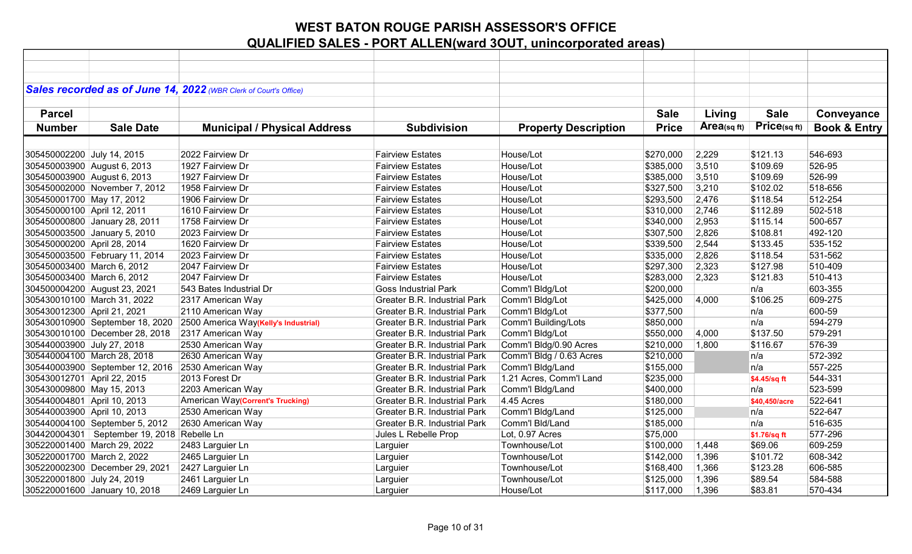|                             |                                                   | Sales recorded as of June 14, 2022 (WBR Clerk of Court's Office) |                                     |                             |              |             |               |                         |
|-----------------------------|---------------------------------------------------|------------------------------------------------------------------|-------------------------------------|-----------------------------|--------------|-------------|---------------|-------------------------|
|                             |                                                   |                                                                  |                                     |                             |              |             |               |                         |
| <b>Parcel</b>               |                                                   |                                                                  |                                     |                             | <b>Sale</b>  | Living      | <b>Sale</b>   | Conveyance              |
| <b>Number</b>               | <b>Sale Date</b>                                  | <b>Municipal / Physical Address</b>                              | <b>Subdivision</b>                  | <b>Property Description</b> | <b>Price</b> | Area(sq ft) | Price(sqft)   | <b>Book &amp; Entry</b> |
|                             |                                                   |                                                                  |                                     |                             |              |             |               |                         |
| 305450002200 July 14, 2015  |                                                   | 2022 Fairview Dr                                                 | <b>Fairview Estates</b>             | House/Lot                   | \$270,000    | 2,229       | \$121.13      | 546-693                 |
|                             | 305450003900 August 6, 2013                       | 1927 Fairview Dr                                                 | <b>Fairview Estates</b>             | House/Lot                   | \$385,000    | 3,510       | \$109.69      | 526-95                  |
|                             | 305450003900 August 6, 2013                       | 1927 Fairview Dr                                                 | <b>Fairview Estates</b>             | House/Lot                   | \$385,000    | 3,510       | \$109.69      | 526-99                  |
|                             | 305450002000 November 7, 2012                     | 1958 Fairview Dr                                                 | <b>Fairview Estates</b>             | House/Lot                   | \$327,500    | 3,210       | \$102.02      | 518-656                 |
| 305450001700 May 17, 2012   |                                                   | 1906 Fairview Dr                                                 | <b>Fairview Estates</b>             | House/Lot                   | \$293,500    | 2,476       | \$118.54      | 512-254                 |
| 305450000100 April 12, 2011 |                                                   | 1610 Fairview Dr                                                 | <b>Fairview Estates</b>             | House/Lot                   | \$310,000    | 2,746       | \$112.89      | 502-518                 |
|                             | 305450000800 January 28, 2011                     | 1758 Fairview Dr                                                 | <b>Fairview Estates</b>             | House/Lot                   | \$340,000    | 2,953       | \$115.14      | 500-657                 |
|                             | 305450003500 January 5, 2010                      | 2023 Fairview Dr                                                 | <b>Fairview Estates</b>             | House/Lot                   | \$307,500    | 2,826       | \$108.81      | 492-120                 |
| 305450000200 April 28, 2014 |                                                   | 1620 Fairview Dr                                                 | <b>Fairview Estates</b>             | House/Lot                   | \$339,500    | 2,544       | \$133.45      | 535-152                 |
|                             | 305450003500 February 11, 2014                    | 2023 Fairview Dr                                                 | <b>Fairview Estates</b>             | House/Lot                   | \$335,000    | 2,826       | \$118.54      | 531-562                 |
| 305450003400 March 6, 2012  |                                                   | 2047 Fairview Dr                                                 | <b>Fairview Estates</b>             | House/Lot                   | \$297,300    | 2,323       | \$127.98      | 510-409                 |
| 305450003400 March 6, 2012  |                                                   | 2047 Fairview Dr                                                 | <b>Fairview Estates</b>             | House/Lot                   | \$283,000    | 2,323       | \$121.83      | 510-413                 |
|                             | 304500004200 August 23, 2021                      | 543 Bates Industrial Dr                                          | <b>Goss Industrial Park</b>         | Comm'l Bldg/Lot             | \$200,000    |             | n/a           | 603-355                 |
|                             | 305430010100 March 31, 2022                       | 2317 American Way                                                | Greater B.R. Industrial Park        | Comm'l Bldg/Lot             | \$425,000    | 4,000       | \$106.25      | 609-275                 |
| 305430012300 April 21, 2021 |                                                   | 2110 American Way                                                | <b>Greater B.R. Industrial Park</b> | Comm'l Bldg/Lot             | \$377,500    |             | n/a           | 600-59                  |
|                             | 305430010900 September 18, 2020                   | 2500 America Way(Kelly's Industrial)                             | <b>Greater B.R. Industrial Park</b> | Comm'l Building/Lots        | \$850,000    |             | n/a           | 594-279                 |
|                             | 305430010100 December 28, 2018                    | 2317 American Way                                                | Greater B.R. Industrial Park        | Comm'l Bldg/Lot             | \$550,000    | 4,000       | \$137.50      | 579-291                 |
| 305440003900 July 27, 2018  |                                                   | 2530 American Way                                                | Greater B.R. Industrial Park        | Comm'l Bldg/0.90 Acres      | \$210,000    | 1,800       | \$116.67      | 576-39                  |
|                             | 305440004100 March 28, 2018                       | 2630 American Way                                                | <b>Greater B.R. Industrial Park</b> | Comm'l Bldg / 0.63 Acres    | \$210,000    |             | n/a           | 572-392                 |
|                             | 305440003900 September 12, 2016 2530 American Way |                                                                  | Greater B.R. Industrial Park        | Comm'l Bldg/Land            | \$155,000    |             | n/a           | 557-225                 |
| 305430012701 April 22, 2015 |                                                   | 2013 Forest Dr                                                   | <b>Greater B.R. Industrial Park</b> | 1.21 Acres, Comm'l Land     | \$235,000    |             | \$4.45/sq ft  | 544-331                 |
| 305430009800 May 15, 2013   |                                                   | 2203 American Way                                                | Greater B.R. Industrial Park        | Comm'l Bldg/Land            | \$400,000    |             | n/a           | 523-599                 |
| 305440004801 April 10, 2013 |                                                   | American Way(Corrent's Trucking)                                 | <b>Greater B.R. Industrial Park</b> | 4.45 Acres                  | \$180,000    |             | \$40,450/acre | 522-641                 |
| 305440003900 April 10, 2013 |                                                   | 2530 American Way                                                | <b>Greater B.R. Industrial Park</b> | Comm'l Bldg/Land            | \$125,000    |             | n/a           | 522-647                 |
|                             | 305440004100 September 5, 2012                    | 2630 American Way                                                | <b>Greater B.R. Industrial Park</b> | Comm'l Bld/Land             | \$185,000    |             | n/a           | 516-635                 |
|                             | 304420004301   September 19, 2018   Rebelle Ln    |                                                                  | Jules L Rebelle Prop                | Lot, 0.97 Acres             | \$75,000     |             | \$1.76/sq ft  | 577-296                 |
|                             | 305220001400 March 29, 2022                       | 2483 Larguier Ln                                                 | Larguier                            | Townhouse/Lot               | \$100,000    | 1,448       | \$69.06       | 609-259                 |
| 305220001700 March 2, 2022  |                                                   | 2465 Larguier Ln                                                 | Larguier                            | Townhouse/Lot               | \$142,000    | 1,396       | \$101.72      | 608-342                 |
|                             | 305220002300 December 29, 2021                    | 2427 Larguier Ln                                                 | Larguier                            | Townhouse/Lot               | \$168,400    | 1,366       | \$123.28      | 606-585                 |
| 305220001800 July 24, 2019  |                                                   | 2461 Larguier Ln                                                 | Larguier                            | Townhouse/Lot               | \$125,000    | 1,396       | \$89.54       | 584-588                 |
|                             | 305220001600 January 10, 2018                     | 2469 Larguier Ln                                                 | Larguier                            | House/Lot                   | \$117,000    | 1,396       | \$83.81       | 570-434                 |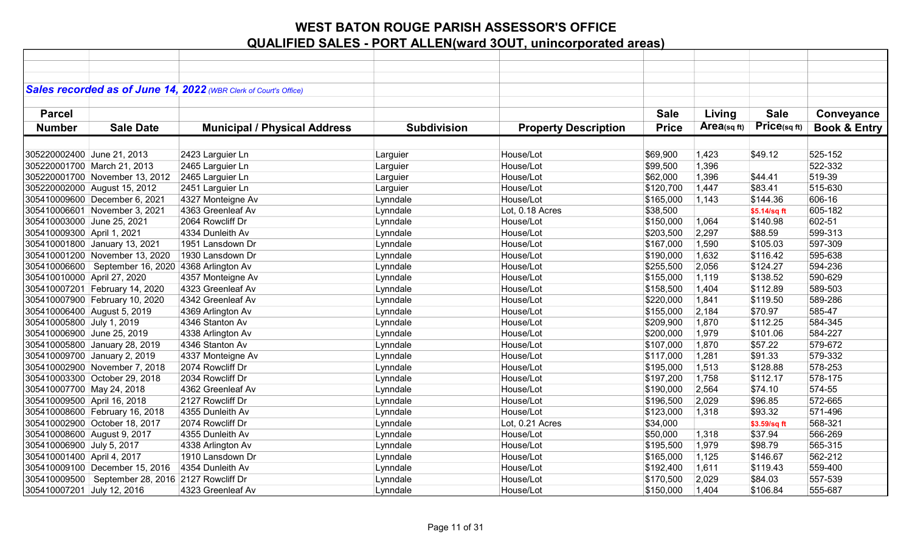|                             |                                                    | Sales recorded as of June 14, 2022 (WBR Clerk of Court's Office) |                    |                             |              |                |              |                         |
|-----------------------------|----------------------------------------------------|------------------------------------------------------------------|--------------------|-----------------------------|--------------|----------------|--------------|-------------------------|
|                             |                                                    |                                                                  |                    |                             |              |                |              |                         |
| <b>Parcel</b>               |                                                    |                                                                  |                    |                             | <b>Sale</b>  | Living         | <b>Sale</b>  | Conveyance              |
| <b>Number</b>               | <b>Sale Date</b>                                   | <b>Municipal / Physical Address</b>                              | <b>Subdivision</b> | <b>Property Description</b> | <b>Price</b> | Area(sq $ft$ ) | Price(sq ft) | <b>Book &amp; Entry</b> |
|                             |                                                    |                                                                  |                    |                             |              |                |              |                         |
| 305220002400 June 21, 2013  |                                                    | 2423 Larguier Ln                                                 | Larguier           | House/Lot                   | \$69,900     | 1,423          | \$49.12      | 525-152                 |
|                             | 305220001700 March 21, 2013                        | 2465 Larguier Ln                                                 | Larguier           | House/Lot                   | \$99,500     | 1,396          |              | 522-332                 |
|                             | 305220001700 November 13, 2012                     | 2465 Larguier Ln                                                 | Larguier           | House/Lot                   | \$62,000     | 1,396          | \$44.41      | 519-39                  |
|                             | 305220002000 August 15, 2012                       | 2451 Larguier Ln                                                 | Larguier           | House/Lot                   | \$120,700    | 1,447          | \$83.41      | 515-630                 |
|                             | 305410009600 December 6, 2021                      | 4327 Monteigne Av                                                | Lynndale           | House/Lot                   | \$165,000    | 1,143          | \$144.36     | 606-16                  |
|                             | 305410006601 November 3, 2021                      | 4363 Greenleaf Av                                                | Lynndale           | Lot, 0.18 Acres             | \$38,500     |                | \$5.14/sq ft | 605-182                 |
| 305410003000 June 25, 2021  |                                                    | 2064 Rowcliff Dr                                                 | Lynndale           | House/Lot                   | \$150,000    | 1,064          | \$140.98     | 602-51                  |
| 305410009300 April 1, 2021  |                                                    | 4334 Dunleith Av                                                 | Lynndale           | House/Lot                   | \$203,500    | 2,297          | \$88.59      | 599-313                 |
|                             | 305410001800 January 13, 2021                      | 1951 Lansdown Dr                                                 | Lynndale           | House/Lot                   | \$167,000    | 1,590          | \$105.03     | 597-309                 |
|                             | 305410001200 November 13, 2020                     | 1930 Lansdown Dr                                                 | Lynndale           | House/Lot                   | \$190,000    | 1,632          | \$116.42     | 595-638                 |
|                             | 305410006600 September 16, 2020                    | 4368 Arlington Av                                                | Lynndale           | House/Lot                   | \$255,500    | 2,056          | \$124.27     | 594-236                 |
| 305410010000 April 27, 2020 |                                                    | 4357 Monteigne Av                                                | Lynndale           | House/Lot                   | \$155,000    | 1,119          | \$138.52     | 590-629                 |
|                             | 305410007201 February 14, 2020                     | 4323 Greenleaf Av                                                | Lynndale           | House/Lot                   | \$158,500    | 1,404          | \$112.89     | 589-503                 |
|                             | 305410007900 February 10, 2020                     | 4342 Greenleaf Av                                                | Lynndale           | House/Lot                   | \$220,000    | 1,841          | \$119.50     | 589-286                 |
|                             | 305410006400 August 5, 2019                        | 4369 Arlington Av                                                | Lynndale           | House/Lot                   | \$155,000    | 2,184          | \$70.97      | 585-47                  |
| 305410005800 July 1, 2019   |                                                    | 4346 Stanton Av                                                  | Lynndale           | House/Lot                   | \$209,900    | 1,870          | \$112.25     | 584-345                 |
| 305410006900 June 25, 2019  |                                                    | 4338 Arlington Av                                                | Lynndale           | House/Lot                   | \$200,000    | 1,979          | \$101.06     | 584-227                 |
|                             | 305410005800 January 28, 2019                      | 4346 Stanton Av                                                  | Lynndale           | House/Lot                   | \$107,000    | 1,870          | \$57.22      | 579-672                 |
|                             | 305410009700 January 2, 2019                       | 4337 Monteigne Av                                                | Lynndale           | House/Lot                   | \$117,000    | 1,281          | \$91.33      | 579-332                 |
|                             | 305410002900 November 7, 2018                      | 2074 Rowcliff Dr                                                 | Lynndale           | House/Lot                   | \$195,000    | 1,513          | \$128.88     | 578-253                 |
|                             | 305410003300 October 29, 2018                      | 2034 Rowcliff Dr                                                 | Lynndale           | House/Lot                   | \$197,200    | 1,758          | \$112.17     | 578-175                 |
| 305410007700 May 24, 2018   |                                                    | 4362 Greenleaf Av                                                | Lynndale           | House/Lot                   | \$190,000    | 2,564          | \$74.10      | 574-55                  |
| 305410009500 April 16, 2018 |                                                    | 2127 Rowcliff Dr                                                 | Lynndale           | House/Lot                   | \$196,500    | 2,029          | \$96.85      | 572-665                 |
|                             | 305410008600 February 16, 2018                     | 4355 Dunleith Av                                                 | Lynndale           | House/Lot                   | \$123,000    | 1,318          | \$93.32      | 571-496                 |
|                             | 305410002900 October 18, 2017                      | 2074 Rowcliff Dr                                                 | Lynndale           | Lot, 0.21 Acres             | \$34,000     |                | \$3.59/sq ft | 568-321                 |
|                             | 305410008600 August 9, 2017                        | 4355 Dunleith Av                                                 | Lynndale           | House/Lot                   | \$50,000     | 1,318          | \$37.94      | 566-269                 |
| 305410006900 July 5, 2017   |                                                    | 4338 Arlington Av                                                | Lynndale           | House/Lot                   | \$195,500    | 1,979          | \$98.79      | 565-315                 |
| 305410001400 April 4, 2017  |                                                    | 1910 Lansdown Dr                                                 | Lynndale           | House/Lot                   | \$165,000    | 1,125          | \$146.67     | 562-212                 |
|                             | 305410009100 December 15, 2016                     | 4354 Dunleith Av                                                 | Lynndale           | House/Lot                   | \$192,400    | 1,611          | \$119.43     | 559-400                 |
|                             | 305410009500   September 28, 2016 2127 Rowcliff Dr |                                                                  | Lynndale           | House/Lot                   | \$170,500    | 2,029          | \$84.03      | 557-539                 |
| 305410007201 July 12, 2016  |                                                    | 4323 Greenleaf Av                                                | Lynndale           | House/Lot                   | \$150,000    | 1,404          | \$106.84     | 555-687                 |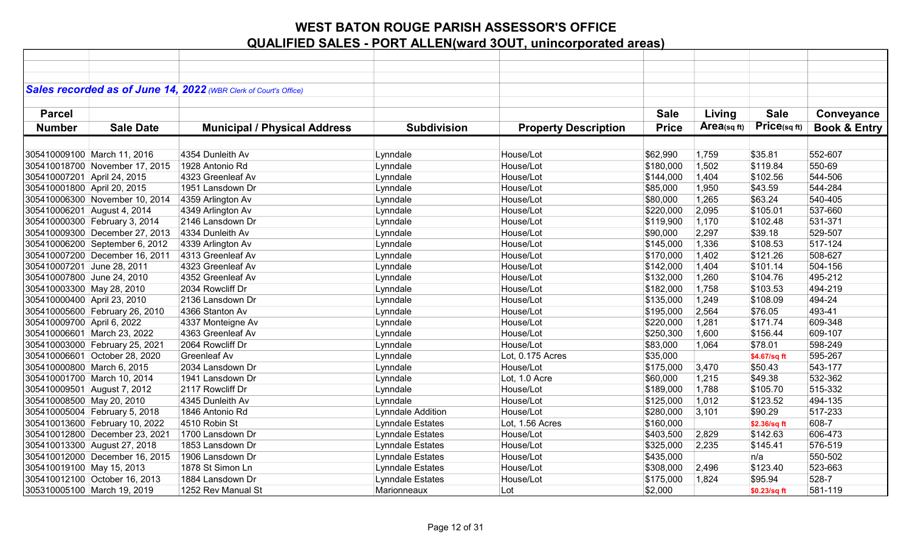|                             |                                | Sales recorded as of June 14, 2022 (WBR Clerk of Court's Office) |                         |                             |              |                |              |                         |
|-----------------------------|--------------------------------|------------------------------------------------------------------|-------------------------|-----------------------------|--------------|----------------|--------------|-------------------------|
|                             |                                |                                                                  |                         |                             |              |                |              |                         |
| <b>Parcel</b>               |                                |                                                                  |                         |                             | <b>Sale</b>  | Living         | <b>Sale</b>  | Conveyance              |
| <b>Number</b>               | <b>Sale Date</b>               | <b>Municipal / Physical Address</b>                              | <b>Subdivision</b>      | <b>Property Description</b> | <b>Price</b> | Area(sq $ft$ ) | Price(sq ft) | <b>Book &amp; Entry</b> |
|                             |                                |                                                                  |                         |                             |              |                |              |                         |
|                             | 305410009100 March 11, 2016    | 4354 Dunleith Av                                                 | Lynndale                | House/Lot                   | \$62,990     | 1,759          | \$35.81      | 552-607                 |
|                             | 305410018700 November 17, 2015 | 1928 Antonio Rd                                                  | Lynndale                | House/Lot                   | \$180,000    | 1,502          | \$119.84     | 550-69                  |
| 305410007201 April 24, 2015 |                                | 4323 Greenleaf Av                                                | Lynndale                | House/Lot                   | \$144,000    | 1,404          | \$102.56     | 544-506                 |
| 305410001800 April 20, 2015 |                                | 1951 Lansdown Dr                                                 | Lynndale                | House/Lot                   | \$85,000     | 1,950          | \$43.59      | 544-284                 |
|                             | 305410006300 November 10, 2014 | 4359 Arlington Av                                                | Lynndale                | House/Lot                   | \$80,000     | 1,265          | \$63.24      | 540-405                 |
|                             | 305410006201 August 4, 2014    | 4349 Arlington Av                                                | Lynndale                | House/Lot                   | \$220,000    | 2,095          | \$105.01     | 537-660                 |
|                             | 305410000300 February 3, 2014  | 2146 Lansdown Dr                                                 | Lynndale                | House/Lot                   | \$119,900    | 1,170          | \$102.48     | 531-371                 |
|                             | 305410009300 December 27, 2013 | 4334 Dunleith Av                                                 | Lynndale                | House/Lot                   | \$90,000     | 2,297          | \$39.18      | 529-507                 |
|                             | 305410006200 September 6, 2012 | 4339 Arlington Av                                                | Lynndale                | House/Lot                   | \$145,000    | 1,336          | \$108.53     | 517-124                 |
|                             | 305410007200 December 16, 2011 | 4313 Greenleaf Av                                                | Lynndale                | House/Lot                   | \$170,000    | 1,402          | \$121.26     | 508-627                 |
| 305410007201 June 28, 2011  |                                | 4323 Greenleaf Av                                                | Lynndale                | House/Lot                   | \$142,000    | 1,404          | \$101.14     | 504-156                 |
| 305410007800 June 24, 2010  |                                | 4352 Greenleaf Av                                                | Lynndale                | House/Lot                   | \$132,000    | 1,260          | \$104.76     | 495-212                 |
| 305410003300 May 28, 2010   |                                | 2034 Rowcliff Dr                                                 | Lynndale                | House/Lot                   | \$182,000    | 1,758          | \$103.53     | 494-219                 |
| 305410000400 April 23, 2010 |                                | 2136 Lansdown Dr                                                 | Lynndale                | House/Lot                   | \$135,000    | 1,249          | \$108.09     | 494-24                  |
|                             | 305410005600 February 26, 2010 | 4366 Stanton Av                                                  | Lynndale                | House/Lot                   | \$195,000    | 2,564          | \$76.05      | 493-41                  |
| 305410009700 April 6, 2022  |                                | 4337 Monteigne Av                                                | Lynndale                | House/Lot                   | \$220,000    | 1,281          | \$171.74     | 609-348                 |
|                             | 305410006601 March 23, 2022    | 4363 Greenleaf Av                                                | Lynndale                | House/Lot                   | \$250,300    | 1,600          | \$156.44     | 609-107                 |
|                             | 305410003000 February 25, 2021 | 2064 Rowcliff Dr                                                 | Lynndale                | House/Lot                   | \$83,000     | 1,064          | \$78.01      | 598-249                 |
|                             | 305410006601 October 28, 2020  | <b>Greenleaf Av</b>                                              | Lynndale                | Lot, 0.175 Acres            | \$35,000     |                | \$4.67/sq ft | 595-267                 |
| 305410000800 March 6, 2015  |                                | 2034 Lansdown Dr                                                 | Lynndale                | House/Lot                   | \$175,000    | 3,470          | \$50.43      | 543-177                 |
|                             | 305410001700 March 10, 2014    | 1941 Lansdown Dr                                                 | Lynndale                | Lot, 1.0 Acre               | \$60,000     | 1,215          | \$49.38      | 532-362                 |
|                             | 305410009501 August 7, 2012    | 2117 Rowcliff Dr                                                 | Lynndale                | House/Lot                   | \$189,000    | 1,788          | \$105.70     | 515-332                 |
| 305410008500 May 20, 2010   |                                | 4345 Dunleith Av                                                 | Lynndale                | House/Lot                   | \$125,000    | 1,012          | \$123.52     | 494-135                 |
|                             | 305410005004 February 5, 2018  | 1846 Antonio Rd                                                  | Lynndale Addition       | House/Lot                   | \$280,000    | 3,101          | \$90.29      | 517-233                 |
|                             | 305410013600 February 10, 2022 | 4510 Robin St                                                    | Lynndale Estates        | Lot, 1.56 Acres             | \$160,000    |                | \$2.36/sq ft | 608-7                   |
|                             | 305410012800 December 23, 2021 | 1700 Lansdown Dr                                                 | Lynndale Estates        | House/Lot                   | \$403,500    | 2,829          | \$142.63     | 606-473                 |
|                             | 305410013300 August 27, 2018   | 1853 Lansdown Dr                                                 | Lynndale Estates        | House/Lot                   | \$325,000    | 2,235          | \$145.41     | 576-519                 |
|                             | 305410012000 December 16, 2015 | 1906 Lansdown Dr                                                 | Lynndale Estates        | House/Lot                   | \$435,000    |                | n/a          | 550-502                 |
| 305410019100 May 15, 2013   |                                | 1878 St Simon Ln                                                 | Lynndale Estates        | House/Lot                   | \$308,000    | 2,496          | \$123.40     | 523-663                 |
|                             | 305410012100 October 16, 2013  | 1884 Lansdown Dr                                                 | <b>Lynndale Estates</b> | House/Lot                   | \$175,000    | 1,824          | \$95.94      | 528-7                   |
|                             | 305310005100 March 19, 2019    | 1252 Rev Manual St                                               | Marionneaux             | Lot                         | \$2,000      |                | \$0.23/sq ft | 581-119                 |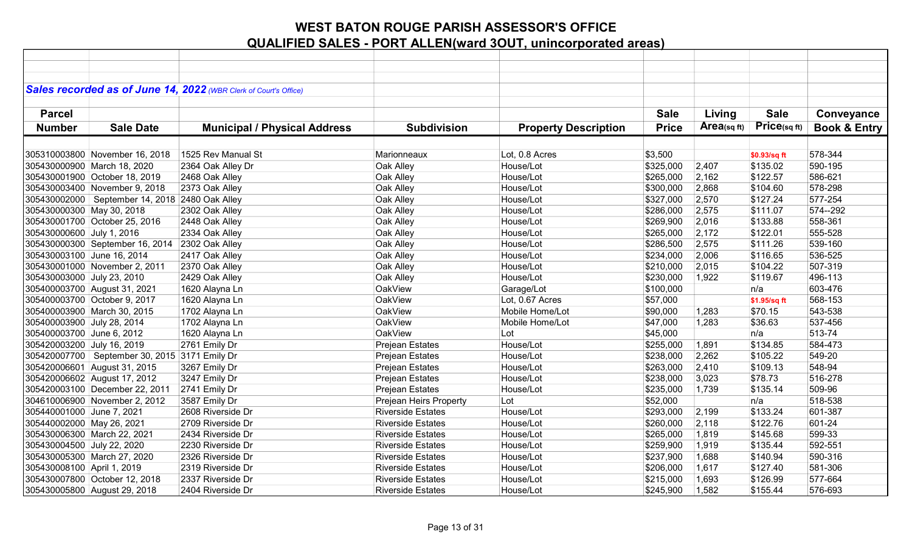|                            |                                                | Sales recorded as of June 14, 2022 (WBR Clerk of Court's Office) |                          |                             |              |             |              |                         |
|----------------------------|------------------------------------------------|------------------------------------------------------------------|--------------------------|-----------------------------|--------------|-------------|--------------|-------------------------|
|                            |                                                |                                                                  |                          |                             |              |             |              |                         |
|                            |                                                |                                                                  |                          |                             |              |             |              |                         |
| <b>Parcel</b>              |                                                |                                                                  |                          |                             | <b>Sale</b>  | Living      | <b>Sale</b>  | Conveyance              |
| <b>Number</b>              | <b>Sale Date</b>                               | <b>Municipal / Physical Address</b>                              | <b>Subdivision</b>       | <b>Property Description</b> | <b>Price</b> | Area(sq ft) | Price(sq ft) | <b>Book &amp; Entry</b> |
|                            |                                                |                                                                  |                          |                             |              |             |              |                         |
|                            | 305310003800 November 16, 2018                 | 1525 Rev Manual St                                               | Marionneaux              | Lot, 0.8 Acres              | \$3,500      |             | \$0.93/sq ft | 578-344                 |
|                            | 305430000900 March 18, 2020                    | 2364 Oak Alley Dr                                                | Oak Alley                | House/Lot                   | \$325,000    | 2,407       | \$135.02     | 590-195                 |
|                            | 305430001900 October 18, 2019                  | 2468 Oak Alley                                                   | Oak Alley                | House/Lot                   | \$265,000    | 2,162       | \$122.57     | 586-621                 |
|                            | 305430003400 November 9, 2018                  | 2373 Oak Alley                                                   | Oak Alley                | House/Lot                   | \$300,000    | 2,868       | \$104.60     | 578-298                 |
|                            | 305430002000 September 14, 2018 2480 Oak Alley |                                                                  | Oak Alley                | House/Lot                   | \$327,000    | 2,570       | \$127.24     | 577-254                 |
| 305430000300 May 30, 2018  |                                                | 2302 Oak Alley                                                   | Oak Alley                | House/Lot                   | \$286,000    | 2,575       | \$111.07     | 574 -- 292              |
|                            | 305430001700 October 25, 2016                  | 2448 Oak Alley                                                   | Oak Alley                | House/Lot                   | \$269,900    | 2,016       | \$133.88     | 558-361                 |
| 305430000600 July 1, 2016  |                                                | 2334 Oak Alley                                                   | Oak Alley                | House/Lot                   | \$265,000    | 2,172       | \$122.01     | 555-528                 |
|                            | 305430000300 September 16, 2014 2302 Oak Alley |                                                                  | Oak Alley                | House/Lot                   | \$286,500    | 2,575       | \$111.26     | 539-160                 |
| 305430003100 June 16, 2014 |                                                | 2417 Oak Alley                                                   | Oak Alley                | House/Lot                   | \$234,000    | 2,006       | \$116.65     | 536-525                 |
|                            | 305430001000 November 2, 2011                  | 2370 Oak Alley                                                   | Oak Alley                | House/Lot                   | \$210,000    | 2,015       | \$104.22     | 507-319                 |
| 305430003000 July 23, 2010 |                                                | 2429 Oak Alley                                                   | Oak Alley                | House/Lot                   | \$230,000    | 1,922       | \$119.67     | 496-113                 |
|                            | 305400003700 August 31, 2021                   | 1620 Alayna Ln                                                   | <b>OakView</b>           | Garage/Lot                  | \$100,000    |             | n/a          | 603-476                 |
|                            | 305400003700 October 9, 2017                   | 1620 Alayna Ln                                                   | <b>OakView</b>           | Lot, 0.67 Acres             | \$57,000     |             | \$1.95/sq ft | 568-153                 |
|                            | 305400003900 March 30, 2015                    | 1702 Alayna Ln                                                   | <b>OakView</b>           | Mobile Home/Lot             | \$90,000     | 1,283       | \$70.15      | 543-538                 |
| 305400003900 July 28, 2014 |                                                | 1702 Alayna Ln                                                   | <b>OakView</b>           | Mobile Home/Lot             | \$47,000     | 1,283       | \$36.63      | 537-456                 |
| 305400003700 June 6, 2012  |                                                | 1620 Alayna Ln                                                   | <b>OakView</b>           | Lot                         | \$45,000     |             | n/a          | 513-74                  |
| 305420003200 July 16, 2019 |                                                | 2761 Emily Dr                                                    | Prejean Estates          | House/Lot                   | \$255,000    | 1,891       | \$134.85     | 584-473                 |
|                            | 305420007700 September 30, 2015 3171 Emily Dr  |                                                                  | Prejean Estates          | House/Lot                   | \$238,000    | 2,262       | \$105.22     | 549-20                  |
|                            | 305420006601 August 31, 2015                   | 3267 Emily Dr                                                    | Prejean Estates          | House/Lot                   | \$263,000    | 2,410       | \$109.13     | 548-94                  |
|                            | 305420006602 August 17, 2012                   | 3247 Emily Dr                                                    | Prejean Estates          | House/Lot                   | \$238,000    | 3,023       | \$78.73      | 516-278                 |
|                            | 305420003100 December 22, 2011                 | 2741 Emily Dr                                                    | Prejean Estates          | House/Lot                   | \$235,000    | 1,739       | \$135.14     | 509-96                  |
|                            | 304610006900 November 2, 2012                  | 3587 Emily Dr                                                    | Prejean Heirs Property   | Lot                         | \$52,000     |             | n/a          | 518-538                 |
| 305440001000 June 7, 2021  |                                                | 2608 Riverside Dr                                                | <b>Riverside Estates</b> | House/Lot                   | \$293,000    | 2,199       | \$133.24     | 601-387                 |
| 305440002000 May 26, 2021  |                                                | 2709 Riverside Dr                                                | <b>Riverside Estates</b> | House/Lot                   | \$260,000    | 2,118       | \$122.76     | 601-24                  |
|                            | 305430006300 March 22, 2021                    | 2434 Riverside Dr                                                | <b>Riverside Estates</b> | House/Lot                   | \$265,000    | 1,819       | \$145.68     | 599-33                  |
| 305430004500 July 22, 2020 |                                                | 2230 Riverside Dr                                                | <b>Riverside Estates</b> | House/Lot                   | \$259,900    | 1,919       | \$135.44     | 592-551                 |
|                            | 305430005300 March 27, 2020                    | 2326 Riverside Dr                                                | <b>Riverside Estates</b> | House/Lot                   | \$237,900    | 1,688       | \$140.94     | 590-316                 |
| 305430008100 April 1, 2019 |                                                | 2319 Riverside Dr                                                | <b>Riverside Estates</b> | House/Lot                   | \$206,000    | 1,617       | \$127.40     | 581-306                 |
|                            | 305430007800 October 12, 2018                  | 2337 Riverside Dr                                                | <b>Riverside Estates</b> | House/Lot                   | \$215,000    | 1,693       | \$126.99     | 577-664                 |
|                            | 305430005800 August 29, 2018                   | 2404 Riverside Dr                                                | <b>Riverside Estates</b> | House/Lot                   | \$245,900    | 1,582       | \$155.44     | 576-693                 |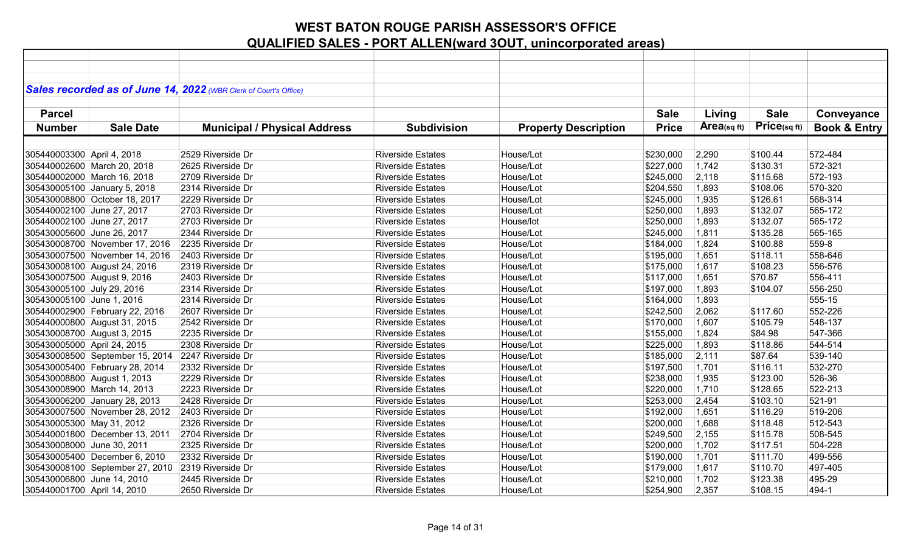|                             |                                                   | Sales recorded as of June 14, 2022 (WBR Clerk of Court's Office) |                          |                             |              |             |                   |                         |
|-----------------------------|---------------------------------------------------|------------------------------------------------------------------|--------------------------|-----------------------------|--------------|-------------|-------------------|-------------------------|
|                             |                                                   |                                                                  |                          |                             |              |             |                   |                         |
| <b>Parcel</b>               |                                                   |                                                                  |                          |                             | <b>Sale</b>  | Living      | <b>Sale</b>       | Conveyance              |
| <b>Number</b>               | <b>Sale Date</b>                                  | <b>Municipal / Physical Address</b>                              | <b>Subdivision</b>       | <b>Property Description</b> | <b>Price</b> | Area(sq ft) | $Price_{(sq ft)}$ | <b>Book &amp; Entry</b> |
|                             |                                                   |                                                                  |                          |                             |              |             |                   |                         |
|                             |                                                   | 2529 Riverside Dr                                                | <b>Riverside Estates</b> |                             |              |             |                   | 572-484                 |
| 305440003300 April 4, 2018  |                                                   |                                                                  |                          | House/Lot                   | \$230,000    | 2,290       | \$100.44          |                         |
|                             | 305440002600 March 20, 2018                       | 2625 Riverside Dr                                                | <b>Riverside Estates</b> | House/Lot                   | \$227,000    | 1,742       | \$130.31          | 572-321                 |
|                             | 305440002000 March 16, 2018                       | 2709 Riverside Dr                                                | <b>Riverside Estates</b> | House/Lot                   | \$245,000    | 2,118       | \$115.68          | 572-193                 |
|                             | 305430005100 January 5, 2018                      | 2314 Riverside Dr                                                | <b>Riverside Estates</b> | House/Lot                   | \$204,550    | 1,893       | \$108.06          | 570-320                 |
|                             | 305430008800 October 18, 2017                     | 2229 Riverside Dr                                                | <b>Riverside Estates</b> | House/Lot                   | \$245,000    | 1,935       | \$126.61          | 568-314                 |
| 305440002100 June 27, 2017  |                                                   | 2703 Riverside Dr                                                | <b>Riverside Estates</b> | House/Lot                   | \$250,000    | 1,893       | \$132.07          | 565-172                 |
| 305440002100 June 27, 2017  |                                                   | 2703 Riverside Dr                                                | <b>Riverside Estates</b> | House/lot                   | \$250,000    | 1,893       | \$132.07          | 565-172                 |
| 305430005600 June 26, 2017  |                                                   | 2344 Riverside Dr                                                | <b>Riverside Estates</b> | House/Lot                   | \$245,000    | 1,811       | \$135.28          | 565-165                 |
|                             | 305430008700 November 17, 2016                    | 2235 Riverside Dr                                                | <b>Riverside Estates</b> | House/Lot                   | \$184,000    | 1,824       | \$100.88          | 559-8                   |
|                             | 305430007500 November 14, 2016                    | 2403 Riverside Dr                                                | <b>Riverside Estates</b> | House/Lot                   | \$195,000    | 1,651       | \$118.11          | 558-646                 |
|                             | 305430008100 August 24, 2016                      | 2319 Riverside Dr                                                | <b>Riverside Estates</b> | House/Lot                   | \$175,000    | 1,617       | \$108.23          | 556-576                 |
|                             | 305430007500 August 9, 2016                       | 2403 Riverside Dr                                                | <b>Riverside Estates</b> | House/Lot                   | \$117,000    | 1,651       | \$70.87           | 556-411                 |
| 305430005100 July 29, 2016  |                                                   | 2314 Riverside Dr                                                | <b>Riverside Estates</b> | House/Lot                   | \$197,000    | 1,893       | \$104.07          | 556-250                 |
| 305430005100 June 1, 2016   |                                                   | 2314 Riverside Dr                                                | <b>Riverside Estates</b> | House/Lot                   | \$164,000    | 1,893       |                   | 555-15                  |
|                             | 305440002900 February 22, 2016                    | 2607 Riverside Dr                                                | <b>Riverside Estates</b> | House/Lot                   | \$242,500    | 2,062       | \$117.60          | 552-226                 |
|                             | 305440000800 August 31, 2015                      | 2542 Riverside Dr                                                | <b>Riverside Estates</b> | House/Lot                   | \$170,000    | 1,607       | \$105.79          | 548-137                 |
|                             | 305430008700 August 3, 2015                       | 2235 Riverside Dr                                                | <b>Riverside Estates</b> | House/Lot                   | \$155,000    | 1,824       | \$84.98           | 547-366                 |
| 305430005000 April 24, 2015 |                                                   | 2308 Riverside Dr                                                | <b>Riverside Estates</b> | House/Lot                   | \$225,000    | 1,893       | \$118.86          | 544-514                 |
|                             | 305430008500 September 15, 2014 2247 Riverside Dr |                                                                  | <b>Riverside Estates</b> | House/Lot                   | \$185,000    | 2,111       | \$87.64           | 539-140                 |
|                             | 305430005400 February 28, 2014                    | 2332 Riverside Dr                                                | <b>Riverside Estates</b> | House/Lot                   | \$197,500    | 1,701       | \$116.11          | 532-270                 |
|                             | 305430008800 August 1, 2013                       | 2229 Riverside Dr                                                | <b>Riverside Estates</b> | House/Lot                   | \$238,000    | 1,935       | \$123.00          | 526-36                  |
|                             | 305430008900 March 14, 2013                       | 2223 Riverside Dr                                                | <b>Riverside Estates</b> | House/Lot                   | \$220,000    | 1,710       | \$128.65          | 522-213                 |
|                             | 305430006200 January 28, 2013                     | 2428 Riverside Dr                                                | <b>Riverside Estates</b> | House/Lot                   | \$253,000    | 2,454       | \$103.10          | 521-91                  |
|                             | 305430007500 November 28, 2012                    | 2403 Riverside Dr                                                | <b>Riverside Estates</b> | House/Lot                   | \$192,000    | 1,651       | \$116.29          | 519-206                 |
| 305430005300 May 31, 2012   |                                                   | 2326 Riverside Dr                                                | <b>Riverside Estates</b> | House/Lot                   | \$200,000    | 1,688       | \$118.48          | 512-543                 |
|                             | 305440001800 December 13, 2011                    | 2704 Riverside Dr                                                | <b>Riverside Estates</b> | House/Lot                   | \$249,500    | 2,155       | \$115.78          | 508-545                 |
| 305430008000 June 30, 2011  |                                                   | 2325 Riverside Dr                                                | <b>Riverside Estates</b> | House/Lot                   | \$200,000    | 1,702       | \$117.51          | 504-228                 |
|                             | 305430005400 December 6, 2010                     | 2332 Riverside Dr                                                | <b>Riverside Estates</b> | House/Lot                   | \$190,000    | 1,701       | \$111.70          | 499-556                 |
|                             | 305430008100 September 27, 2010                   | 2319 Riverside Dr                                                | <b>Riverside Estates</b> | House/Lot                   | \$179,000    | 1,617       | \$110.70          | 497-405                 |
| 305430006800 June 14, 2010  |                                                   | 2445 Riverside Dr                                                | <b>Riverside Estates</b> | House/Lot                   | \$210,000    | 1,702       | \$123.38          | 495-29                  |
| 305440001700 April 14, 2010 |                                                   | 2650 Riverside Dr                                                | <b>Riverside Estates</b> | House/Lot                   | \$254,900    | 2,357       | \$108.15          | 494-1                   |
|                             |                                                   |                                                                  |                          |                             |              |             |                   |                         |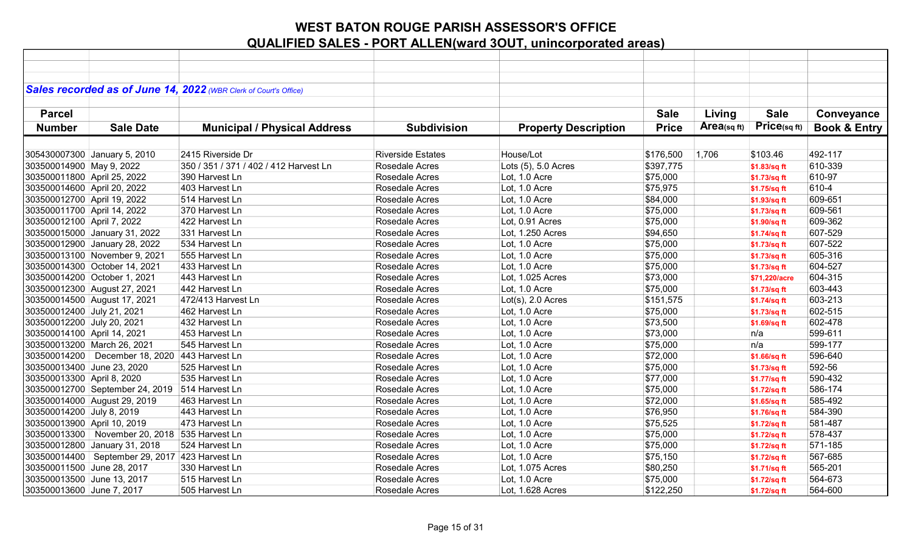|                             |                                                   | Sales recorded as of June 14, 2022 (WBR Clerk of Court's Office) |                          |                             |              |            |               |                         |
|-----------------------------|---------------------------------------------------|------------------------------------------------------------------|--------------------------|-----------------------------|--------------|------------|---------------|-------------------------|
|                             |                                                   |                                                                  |                          |                             |              |            |               |                         |
| <b>Parcel</b>               |                                                   |                                                                  |                          |                             | <b>Sale</b>  | Living     | <b>Sale</b>   | Conveyance              |
| <b>Number</b>               | <b>Sale Date</b>                                  | <b>Municipal / Physical Address</b>                              | <b>Subdivision</b>       | <b>Property Description</b> | <b>Price</b> | Area(sqft) | Price(sqft)   | <b>Book &amp; Entry</b> |
|                             |                                                   |                                                                  |                          |                             |              |            |               |                         |
|                             | 305430007300 January 5, 2010                      | 2415 Riverside Dr                                                | <b>Riverside Estates</b> | House/Lot                   | \$176,500    | 1,706      | \$103.46      | 492-117                 |
| 303500014900 May 9, 2022    |                                                   | 350 / 351 / 371 / 402 / 412 Harvest Ln                           | Rosedale Acres           | Lots (5), 5.0 Acres         | \$397,775    |            | \$1.83/sq ft  | 610-339                 |
| 303500011800 April 25, 2022 |                                                   | 390 Harvest Ln                                                   | Rosedale Acres           | Lot, 1.0 Acre               | \$75,000     |            | \$1.73/sq ft  | 610-97                  |
| 303500014600 April 20, 2022 |                                                   | 403 Harvest Ln                                                   | Rosedale Acres           | Lot, 1.0 Acre               | \$75,975     |            | \$1.75/sq ft  | 610-4                   |
| 303500012700 April 19, 2022 |                                                   | 514 Harvest Ln                                                   | Rosedale Acres           | Lot, 1.0 Acre               | \$84,000     |            | \$1.93/sq ft  | 609-651                 |
| 303500011700 April 14, 2022 |                                                   | 370 Harvest Ln                                                   | Rosedale Acres           | Lot, 1.0 Acre               | \$75,000     |            | \$1.73/sq ft  | 609-561                 |
| 303500012100 April 7, 2022  |                                                   | 422 Harvest Ln                                                   | Rosedale Acres           | Lot, 0.91 Acres             | \$75,000     |            | \$1.90/sq ft  | 609-362                 |
|                             | 303500015000 January 31, 2022                     | 331 Harvest Ln                                                   | Rosedale Acres           | Lot, 1.250 Acres            | \$94,650     |            | \$1.74/sq ft  | 607-529                 |
|                             | 303500012900 January 28, 2022                     | 534 Harvest Ln                                                   | Rosedale Acres           | Lot, 1.0 Acre               | \$75,000     |            | \$1.73/sq ft  | 607-522                 |
|                             | 303500013100 November 9, 2021                     | 555 Harvest Ln                                                   | Rosedale Acres           | Lot, 1.0 Acre               | \$75,000     |            | \$1.73/sq ft  | 605-316                 |
|                             | 303500014300 October 14, 2021                     | 433 Harvest Ln                                                   | Rosedale Acres           | Lot, 1.0 Acre               | \$75,000     |            | \$1.73/sq ft  | 604-527                 |
|                             | 303500014200 October 1, 2021                      | 443 Harvest Ln                                                   | Rosedale Acres           | Lot, 1.025 Acres            | \$73,000     |            | \$71,220/acre | 604-315                 |
|                             | 303500012300 August 27, 2021                      | 442 Harvest Ln                                                   | Rosedale Acres           | Lot, 1.0 Acre               | \$75,000     |            | \$1.73/sq ft  | 603-443                 |
|                             | 303500014500 August 17, 2021                      | 472/413 Harvest Ln                                               | Rosedale Acres           | $Lot(s)$ , 2.0 Acres        | \$151,575    |            | \$1.74/sq ft  | 603-213                 |
| 303500012400 July 21, 2021  |                                                   | 462 Harvest Ln                                                   | Rosedale Acres           | Lot, 1.0 Acre               | \$75,000     |            | \$1.73/sq ft  | 602-515                 |
| 303500012200 July 20, 2021  |                                                   | 432 Harvest Ln                                                   | Rosedale Acres           | Lot, 1.0 Acre               | \$73,500     |            | \$1.69/sq ft  | 602-478                 |
| 303500014100 April 14, 2021 |                                                   | 453 Harvest Ln                                                   | Rosedale Acres           | Lot, 1.0 Acre               | \$73,000     |            | n/a           | 599-611                 |
|                             | 303500013200 March 26, 2021                       | 545 Harvest Ln                                                   | Rosedale Acres           | Lot, 1.0 Acre               | \$75,000     |            | n/a           | 599-177                 |
|                             | 303500014200   December 18, 2020   443 Harvest Ln |                                                                  | Rosedale Acres           | Lot, 1.0 Acre               | \$72,000     |            | \$1.66/sq ft  | 596-640                 |
| 303500013400 June 23, 2020  |                                                   | 525 Harvest Ln                                                   | Rosedale Acres           | Lot, 1.0 Acre               | \$75,000     |            | \$1.73/sq ft  | 592-56                  |
| 303500013300 April 8, 2020  |                                                   | 535 Harvest Ln                                                   | Rosedale Acres           | Lot, 1.0 Acre               | \$77,000     |            | \$1.77/sq ft  | 590-432                 |
|                             | 303500012700 September 24, 2019 514 Harvest Ln    |                                                                  | Rosedale Acres           | Lot, 1.0 Acre               | \$75,000     |            | \$1.72/sq ft  | 586-174                 |
|                             | 303500014000 August 29, 2019                      | 463 Harvest Ln                                                   | Rosedale Acres           | Lot, 1.0 Acre               | \$72,000     |            | \$1.65/sq ft  | 585-492                 |
| 303500014200 July 8, 2019   |                                                   | 443 Harvest Ln                                                   | Rosedale Acres           | Lot, 1.0 Acre               | \$76,950     |            | \$1.76/sq ft  | 584-390                 |
| 303500013900 April 10, 2019 |                                                   | 473 Harvest Ln                                                   | Rosedale Acres           | Lot, 1.0 Acre               | \$75,525     |            | \$1.72/sq ft  | 581-487                 |
|                             | 303500013300 November 20, 2018 535 Harvest Ln     |                                                                  | Rosedale Acres           | Lot, 1.0 Acre               | \$75,000     |            | \$1.72/sq ft  | 578-437                 |
|                             | 303500012800 January 31, 2018                     | 524 Harvest Ln                                                   | Rosedale Acres           | Lot, 1.0 Acre               | \$75,000     |            | \$1.72/sq ft  | 571-185                 |
|                             | 303500014400   September 29, 2017 423 Harvest Ln  |                                                                  | Rosedale Acres           | Lot, 1.0 Acre               | \$75,150     |            | \$1.72/sq ft  | 567-685                 |
| 303500011500 June 28, 2017  |                                                   | 330 Harvest Ln                                                   | Rosedale Acres           | Lot, 1.075 Acres            | \$80,250     |            | \$1.71/sq ft  | 565-201                 |
| 303500013500 June 13, 2017  |                                                   | 515 Harvest Ln                                                   | Rosedale Acres           | Lot, 1.0 Acre               | \$75,000     |            | \$1.72/sq ft  | 564-673                 |
| 303500013600 June 7, 2017   |                                                   | 505 Harvest Ln                                                   | Rosedale Acres           | Lot, 1.628 Acres            | \$122,250    |            | \$1.72/sq ft  | 564-600                 |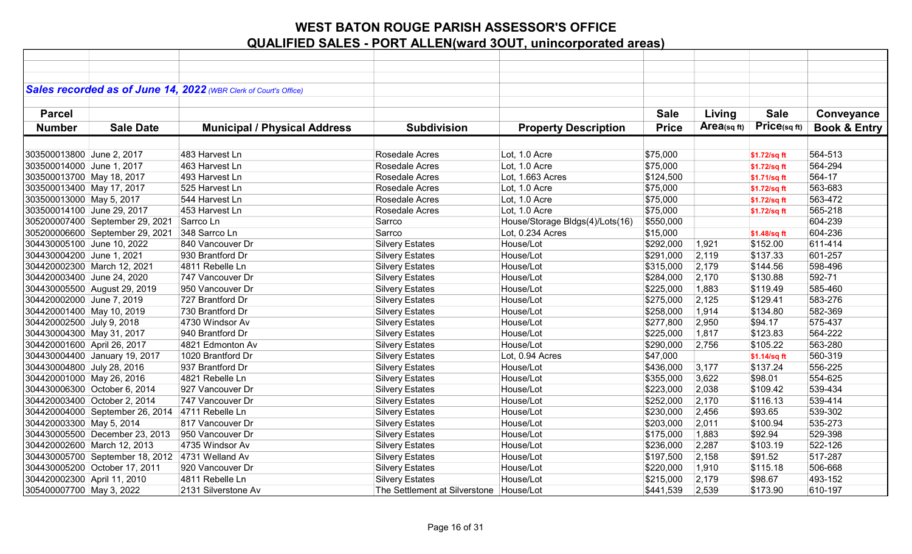|                             |                                                 | Sales recorded as of June 14, 2022 (WBR Clerk of Court's Office) |                                         |                                 |              |               |              |                         |
|-----------------------------|-------------------------------------------------|------------------------------------------------------------------|-----------------------------------------|---------------------------------|--------------|---------------|--------------|-------------------------|
|                             |                                                 |                                                                  |                                         |                                 |              |               |              |                         |
| <b>Parcel</b>               |                                                 |                                                                  |                                         |                                 | <b>Sale</b>  | Living        | <b>Sale</b>  | Conveyance              |
| <b>Number</b>               | <b>Sale Date</b>                                | <b>Municipal / Physical Address</b>                              | <b>Subdivision</b>                      | <b>Property Description</b>     | <b>Price</b> | Area $(sqft)$ | Price(sq ft) | <b>Book &amp; Entry</b> |
|                             |                                                 |                                                                  |                                         |                                 |              |               |              |                         |
| 303500013800 June 2, 2017   |                                                 | 483 Harvest Ln                                                   | Rosedale Acres                          | Lot, 1.0 Acre                   | \$75,000     |               | \$1.72/sq ft | 564-513                 |
| 303500014000 June 1, 2017   |                                                 | 463 Harvest Ln                                                   | Rosedale Acres                          | Lot, 1.0 Acre                   | \$75,000     |               | \$1.72/sq ft | 564-294                 |
| 303500013700 May 18, 2017   |                                                 | 493 Harvest Ln                                                   | Rosedale Acres                          | Lot, 1.663 Acres                | \$124,500    |               | \$1.71/sq ft | 564-17                  |
| 303500013400 May 17, 2017   |                                                 | 525 Harvest Ln                                                   | Rosedale Acres                          | Lot, 1.0 Acre                   | \$75,000     |               | \$1.72/sq ft | 563-683                 |
| 303500013000 May 5, 2017    |                                                 | 544 Harvest Ln                                                   | Rosedale Acres                          | Lot, 1.0 Acre                   | \$75,000     |               | \$1.72/sq ft | 563-472                 |
| 303500014100 June 29, 2017  |                                                 | 453 Harvest Ln                                                   | Rosedale Acres                          | Lot, 1.0 Acre                   | \$75,000     |               | \$1.72/sq ft | 565-218                 |
|                             | 305200007400 September 29, 2021                 | Sarrco Ln                                                        | Sarrco                                  | House/Storage Bldgs(4)/Lots(16) | \$550,000    |               |              | 604-239                 |
|                             | 305200006600 September 29, 2021                 | 348 Sarrco Ln                                                    | Sarrco                                  | Lot, 0.234 Acres                | \$15,000     |               | \$1.48/sq ft | 604-236                 |
| 304430005100 June 10, 2022  |                                                 | 840 Vancouver Dr                                                 | <b>Silvery Estates</b>                  | House/Lot                       | \$292,000    | 1,921         | \$152.00     | 611-414                 |
| 304430004200 June 1, 2021   |                                                 | 930 Brantford Dr                                                 | <b>Silvery Estates</b>                  | House/Lot                       | \$291,000    | 2,119         | \$137.33     | 601-257                 |
|                             | 304420002300 March 12, 2021                     | 4811 Rebelle Ln                                                  | <b>Silvery Estates</b>                  | House/Lot                       | \$315,000    | 2,179         | \$144.56     | 598-496                 |
| 304420003400 June 24, 2020  |                                                 | 747 Vancouver Dr                                                 | <b>Silvery Estates</b>                  | House/Lot                       | \$284,000    | 2,170         | \$130.88     | 592-71                  |
|                             | 304430005500 August 29, 2019                    | 950 Vancouver Dr                                                 | <b>Silvery Estates</b>                  | House/Lot                       | \$225,000    | 1,883         | \$119.49     | 585-460                 |
| 304420002000 June 7, 2019   |                                                 | 727 Brantford Dr                                                 | <b>Silvery Estates</b>                  | House/Lot                       | \$275,000    | 2,125         | \$129.41     | 583-276                 |
| 304420001400 May 10, 2019   |                                                 | 730 Brantford Dr                                                 | <b>Silvery Estates</b>                  | House/Lot                       | \$258,000    | 1,914         | \$134.80     | 582-369                 |
| 304420002500 July 9, 2018   |                                                 | 4730 Windsor Av                                                  | <b>Silvery Estates</b>                  | House/Lot                       | \$277,800    | 2,950         | \$94.17      | 575-437                 |
| 304430004300 May 31, 2017   |                                                 | 940 Brantford Dr                                                 | <b>Silvery Estates</b>                  | House/Lot                       | \$225,000    | 1,817         | \$123.83     | 564-222                 |
| 304420001600 April 26, 2017 |                                                 | 4821 Edmonton Av                                                 | <b>Silvery Estates</b>                  | House/Lot                       | \$290,000    | 2,756         | \$105.22     | 563-280                 |
|                             | 304430004400 January 19, 2017                   | 1020 Brantford Dr                                                | <b>Silvery Estates</b>                  | Lot, 0.94 Acres                 | \$47,000     |               | \$1.14/sq ft | 560-319                 |
| 304430004800 July 28, 2016  |                                                 | 937 Brantford Dr                                                 | <b>Silvery Estates</b>                  | House/Lot                       | \$436,000    | 3,177         | \$137.24     | 556-225                 |
| 304420001000 May 26, 2016   |                                                 | 4821 Rebelle Ln                                                  | <b>Silvery Estates</b>                  | House/Lot                       | \$355,000    | 3,622         | \$98.01      | 554-625                 |
|                             | 304430006300 October 6, 2014                    | 927 Vancouver Dr                                                 | <b>Silvery Estates</b>                  | House/Lot                       | \$223,000    | 2,038         | \$109.42     | 539-434                 |
|                             | 304420003400 October 2, 2014                    | 747 Vancouver Dr                                                 | <b>Silvery Estates</b>                  | House/Lot                       | \$252,000    | 2,170         | \$116.13     | 539-414                 |
|                             | 304420004000 September 26, 2014                 | 4711 Rebelle Ln                                                  | <b>Silvery Estates</b>                  | House/Lot                       | \$230,000    | 2,456         | \$93.65      | 539-302                 |
| 304420003300 May 5, 2014    |                                                 | 817 Vancouver Dr                                                 | <b>Silvery Estates</b>                  | House/Lot                       | \$203,000    | 2,011         | \$100.94     | 535-273                 |
|                             | 304430005500 December 23, 2013                  | 950 Vancouver Dr                                                 | <b>Silvery Estates</b>                  | House/Lot                       | \$175,000    | 1,883         | \$92.94      | 529-398                 |
|                             | 304420002600 March 12, 2013                     | 4735 Windsor Av                                                  | <b>Silvery Estates</b>                  | House/Lot                       | \$236,000    | 2,287         | \$103.19     | 522-126                 |
|                             | 304430005700 September 18, 2012 4731 Welland Av |                                                                  | <b>Silvery Estates</b>                  | House/Lot                       | \$197,500    | 2,158         | \$91.52      | 517-287                 |
|                             | 304430005200 October 17, 2011                   | 920 Vancouver Dr                                                 | <b>Silvery Estates</b>                  | House/Lot                       | \$220,000    | 1,910         | \$115.18     | 506-668                 |
| 304420002300 April 11, 2010 |                                                 | 4811 Rebelle Ln                                                  | <b>Silvery Estates</b>                  | House/Lot                       | \$215,000    | 2,179         | \$98.67      | 493-152                 |
| 305400007700 May 3, 2022    |                                                 | 2131 Silverstone Av                                              | The Settlement at Silverstone House/Lot |                                 | \$441,539    | 2,539         | \$173.90     | 610-197                 |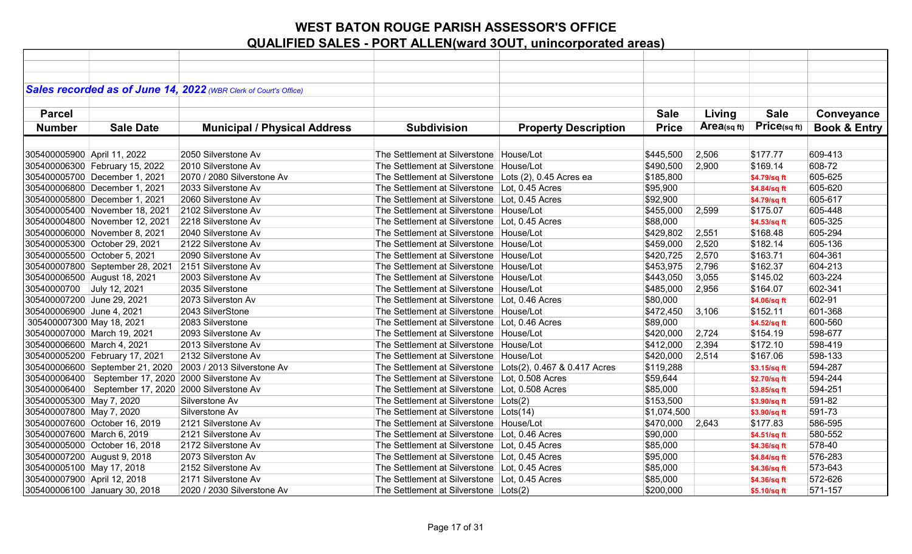|                              |                                                         | Sales recorded as of June 14, 2022 (WBR Clerk of Court's Office) |                                                            |                             |              |             |              |                         |
|------------------------------|---------------------------------------------------------|------------------------------------------------------------------|------------------------------------------------------------|-----------------------------|--------------|-------------|--------------|-------------------------|
|                              |                                                         |                                                                  |                                                            |                             |              |             |              |                         |
| <b>Parcel</b>                |                                                         |                                                                  |                                                            |                             | <b>Sale</b>  | Living      | <b>Sale</b>  | Conveyance              |
|                              |                                                         |                                                                  |                                                            |                             |              |             | Price(sqft)  |                         |
| <b>Number</b>                | <b>Sale Date</b>                                        | <b>Municipal / Physical Address</b>                              | <b>Subdivision</b>                                         | <b>Property Description</b> | <b>Price</b> | Area(sq ft) |              | <b>Book &amp; Entry</b> |
|                              |                                                         |                                                                  |                                                            |                             |              |             |              |                         |
| 305400005900 April 11, 2022  |                                                         | 2050 Silverstone Av                                              | The Settlement at Silverstone   House/Lot                  |                             | \$445,500    | 2,506       | \$177.77     | 609-413                 |
|                              | 305400006300 February 15, 2022                          | 2010 Silverstone Av                                              | The Settlement at Silverstone   House/Lot                  |                             | \$490,500    | 2,900       | \$169.14     | 608-72                  |
|                              | 305400005700 December 1, 2021                           | 2070 / 2080 Silverstone Av                                       | The Settlement at Silverstone Lots (2), 0.45 Acres ea      |                             | \$185,800    |             | \$4.79/sq ft | 605-625                 |
|                              | 305400006800 December 1, 2021                           | 2033 Silverstone Av                                              | The Settlement at Silverstone Lot, 0.45 Acres              |                             | \$95,900     |             | \$4.84/sq ft | 605-620                 |
|                              | 305400005800 December 1, 2021                           | 2060 Silverstone Av                                              | The Settlement at Silverstone   Lot, 0.45 Acres            |                             | \$92,900     |             | \$4.79/sq ft | 605-617                 |
|                              | 305400005400 November 18, 2021                          | 2102 Silverstone Av                                              | The Settlement at Silverstone   House/Lot                  |                             | \$455,000    | 2,599       | \$175.07     | 605-448                 |
|                              | 305400004800 November 12, 2021                          | 2218 Silverstone Av                                              | The Settlement at Silverstone   Lot, 0.45 Acres            |                             | \$88,000     |             | \$4.53/sq ft | 605-325                 |
|                              | 305400006000 November 8, 2021                           | 2040 Silverstone Av                                              | The Settlement at Silverstone   House/Lot                  |                             | \$429,802    | 2,551       | \$168.48     | 605-294                 |
|                              | 305400005300 October 29, 2021                           | 2122 Silverstone Av                                              | The Settlement at Silverstone   House/Lot                  |                             | \$459,000    | 2,520       | \$182.14     | 605-136                 |
| 305400005500 October 5, 2021 |                                                         | 2090 Silverstone Av                                              | The Settlement at Silverstone   House/Lot                  |                             | \$420,725    | 2,570       | \$163.71     | 604-361                 |
|                              | 305400007800 September 28, 2021                         | 2151 Silverstone Av                                              | The Settlement at Silverstone   House/Lot                  |                             | \$453,975    | 2,796       | \$162.37     | 604-213                 |
|                              | 305400006500 August 18, 2021                            | 2003 Silverstone Av                                              | The Settlement at Silverstone   House/Lot                  |                             | \$443,050    | 3,055       | \$145.02     | 603-224                 |
| 30540000700 July 12, 2021    |                                                         | 2035 Silverstone                                                 | The Settlement at Silverstone House/Lot                    |                             | \$485,000    | 2,956       | \$164.07     | 602-341                 |
| 305400007200 June 29, 2021   |                                                         | 2073 Silverston Av                                               | The Settlement at Silverstone Lot, 0.46 Acres              |                             | \$80,000     |             | \$4.06/sq ft | 602-91                  |
| 305400006900 June 4, 2021    |                                                         | 2043 SilverStone                                                 | The Settlement at Silverstone   House/Lot                  |                             | \$472,450    | 3,106       | \$152.11     | 601-368                 |
| 305400007300 May 18, 2021    |                                                         | 2083 Silverstone                                                 | The Settlement at Silverstone   Lot, 0.46 Acres            |                             | \$89,000     |             | \$4.52/sq ft | 600-560                 |
| 305400007000 March 19, 2021  |                                                         | 2093 Silverstone Av                                              | The Settlement at Silverstone   House/Lot                  |                             | \$420,000    | 2,724       | \$154.19     | 598-677                 |
| 305400006600 March 4, 2021   |                                                         | 2013 Silverstone Av                                              | The Settlement at Silverstone House/Lot                    |                             | \$412,000    | 2,394       | \$172.10     | 598-419                 |
|                              | 305400005200 February 17, 2021                          | 2132 Silverstone Av                                              | The Settlement at Silverstone House/Lot                    |                             | \$420,000    | 2,514       | \$167.06     | 598-133                 |
|                              |                                                         | 305400006600 September 21, 2020 2003 / 2013 Silverstone Av       | The Settlement at Silverstone Lots(2), 0.467 & 0.417 Acres |                             | \$119,288    |             | \$3.15/sq ft | 594-287                 |
|                              | 305400006400   September 17, 2020   2000 Silverstone Av |                                                                  | The Settlement at Silverstone Lot, 0.508 Acres             |                             | \$59,644     |             | \$2.70/sq ft | 594-244                 |
|                              | 305400006400   September 17, 2020   2000 Silverstone Av |                                                                  | The Settlement at Silverstone Lot, 0.508 Acres             |                             | \$85,000     |             | \$3.85/sq ft | 594-251                 |
| 305400005300 May 7, 2020     |                                                         | Silverstone Av                                                   | The Settlement at Silverstone Lots(2)                      |                             | \$153,500    |             | \$3.90/sq ft | 591-82                  |
| 305400007800 May 7, 2020     |                                                         | Silverstone Av                                                   | The Settlement at Silverstone Lots(14)                     |                             | \$1,074,500  |             | \$3.90/sq ft | 591-73                  |
|                              | 305400007600 October 16, 2019                           | 2121 Silverstone Av                                              | The Settlement at Silverstone   House/Lot                  |                             | \$470,000    | 2,643       | \$177.83     | 586-595                 |
| 305400007600 March 6, 2019   |                                                         | 2121 Silverstone Av                                              | The Settlement at Silverstone   Lot, 0.46 Acres            |                             | \$90,000     |             | \$4.51/sq ft | 580-552                 |
|                              | 305400005000 October 16, 2018                           | 2172 Silverstone Av                                              | The Settlement at Silverstone Lot, 0.45 Acres              |                             | \$85,000     |             | \$4.36/sq ft | 578-40                  |
| 305400007200 August 9, 2018  |                                                         | 2073 Silverston Av                                               | The Settlement at Silverstone Lot, 0.45 Acres              |                             | \$95,000     |             | \$4.84/sq ft | 576-283                 |
| 305400005100 May 17, 2018    |                                                         | 2152 Silverstone Av                                              | The Settlement at Silverstone Lot, 0.45 Acres              |                             | \$85,000     |             | \$4.36/sq ft | 573-643                 |
| 305400007900 April 12, 2018  |                                                         | 2171 Silverstone Av                                              | The Settlement at Silverstone   Lot, 0.45 Acres            |                             | \$85,000     |             | \$4.36/sq ft | 572-626                 |
|                              | 305400006100 January 30, 2018                           | 2020 / 2030 Silverstone Av                                       | The Settlement at Silverstone   Lots(2)                    |                             | \$200,000    |             | \$5.10/sq ft | 571-157                 |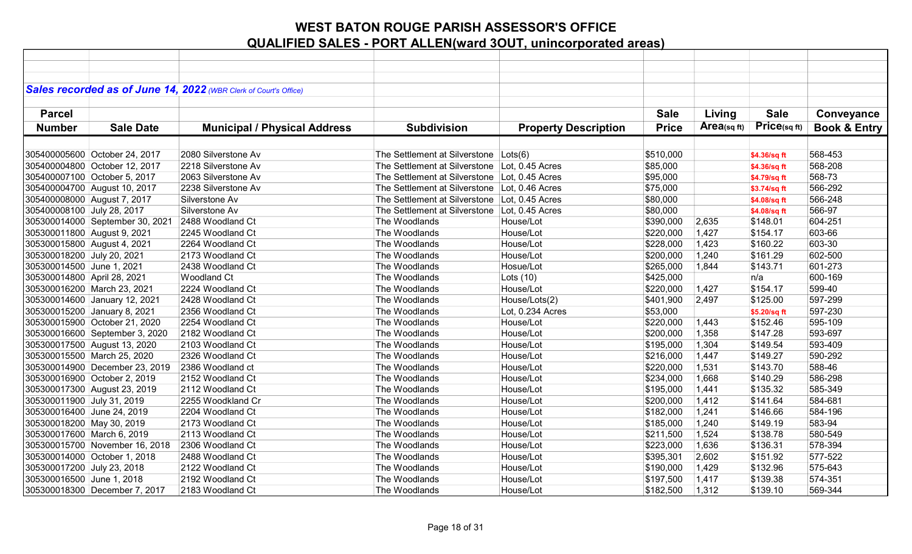|                             |                                 | Sales recorded as of June 14, 2022 (WBR Clerk of Court's Office) |                                               |                             |              |             |              |                         |
|-----------------------------|---------------------------------|------------------------------------------------------------------|-----------------------------------------------|-----------------------------|--------------|-------------|--------------|-------------------------|
|                             |                                 |                                                                  |                                               |                             |              |             |              |                         |
| <b>Parcel</b>               |                                 |                                                                  |                                               |                             | <b>Sale</b>  | Living      | <b>Sale</b>  | Conveyance              |
| <b>Number</b>               | <b>Sale Date</b>                | <b>Municipal / Physical Address</b>                              | <b>Subdivision</b>                            | <b>Property Description</b> | <b>Price</b> | Area(sq ft) | Price(sq ft) | <b>Book &amp; Entry</b> |
|                             |                                 |                                                                  |                                               |                             |              |             |              |                         |
|                             | 305400005600 October 24, 2017   | 2080 Silverstone Av                                              | The Settlement at Silverstone Lots(6)         |                             | \$510,000    |             | \$4.36/sq ft | 568-453                 |
|                             | 305400004800 October 12, 2017   | 2218 Silverstone Av                                              | The Settlement at Silverstone Lot, 0.45 Acres |                             | \$85,000     |             | \$4.36/sq ft | 568-208                 |
|                             | 305400007100 October 5, 2017    | 2063 Silverstone Av                                              | The Settlement at Silverstone Lot, 0.45 Acres |                             | \$95,000     |             | \$4.79/sq ft | 568-73                  |
|                             | 305400004700 August 10, 2017    | 2238 Silverstone Av                                              | The Settlement at Silverstone Lot, 0.46 Acres |                             | \$75,000     |             | \$3.74/sq ft | 566-292                 |
|                             | 305400008000 August 7, 2017     | Silverstone Av                                                   | The Settlement at Silverstone Lot, 0.45 Acres |                             | \$80,000     |             | \$4.08/sq ft | 566-248                 |
| 305400008100 July 28, 2017  |                                 | Silverstone Av                                                   | The Settlement at Silverstone Lot, 0.45 Acres |                             | \$80,000     |             | \$4.08/sq ft | 566-97                  |
|                             | 305300014000 September 30, 2021 | 2488 Woodland Ct                                                 | The Woodlands                                 | House/Lot                   | \$390,000    | 2,635       | \$148.01     | 604-251                 |
| 305300011800 August 9, 2021 |                                 | 2245 Woodland Ct                                                 | The Woodlands                                 | House/Lot                   | \$220,000    | 1,427       | \$154.17     | 603-66                  |
| 305300015800 August 4, 2021 |                                 | 2264 Woodland Ct                                                 | The Woodlands                                 | House/Lot                   | \$228,000    | 1,423       | \$160.22     | 603-30                  |
| 305300018200 July 20, 2021  |                                 | 2173 Woodland Ct                                                 | The Woodlands                                 | House/Lot                   | \$200,000    | 1,240       | \$161.29     | 602-500                 |
| 305300014500 June 1, 2021   |                                 | 2438 Woodland Ct                                                 | The Woodlands                                 | Hosue/Lot                   | \$265,000    | 1,844       | \$143.71     | 601-273                 |
| 305300014800 April 28, 2021 |                                 | <b>Woodland Ct</b>                                               | The Woodlands                                 | Lots $(10)$                 | \$425,000    |             | n/a          | 600-169                 |
|                             | 305300016200 March 23, 2021     | 2224 Woodland Ct                                                 | The Woodlands                                 | House/Lot                   | \$220,000    | 1,427       | \$154.17     | 599-40                  |
|                             | 305300014600 January 12, 2021   | 2428 Woodland Ct                                                 | The Woodlands                                 | House/Lots(2)               | \$401,900    | 2,497       | \$125.00     | 597-299                 |
|                             | 305300015200 January 8, 2021    | 2356 Woodland Ct                                                 | The Woodlands                                 | Lot, 0.234 Acres            | \$53,000     |             | \$5.20/sq ft | 597-230                 |
|                             | 305300015900 October 21, 2020   | 2254 Woodland Ct                                                 | The Woodlands                                 | House/Lot                   | \$220,000    | 1,443       | \$152.46     | 595-109                 |
|                             | 305300016600 September 3, 2020  | 2182 Woodland Ct                                                 | The Woodlands                                 | House/Lot                   | \$200,000    | 1,358       | \$147.28     | 593-697                 |
|                             | 305300017500 August 13, 2020    | 2103 Woodland Ct                                                 | The Woodlands                                 | House/Lot                   | \$195,000    | 1,304       | \$149.54     | 593-409                 |
|                             | 305300015500 March 25, 2020     | 2326 Woodland Ct                                                 | The Woodlands                                 | House/Lot                   | \$216,000    | 1,447       | \$149.27     | 590-292                 |
|                             | 305300014900 December 23, 2019  | 2386 Woodland ct                                                 | The Woodlands                                 | House/Lot                   | \$220,000    | 1,531       | \$143.70     | 588-46                  |
|                             | 305300016900 October 2, 2019    | 2152 Woodland Ct                                                 | The Woodlands                                 | House/Lot                   | \$234,000    | 1,668       | \$140.29     | 586-298                 |
|                             | 305300017300 August 23, 2019    | 2112 Woodland Ct                                                 | The Woodlands                                 | House/Lot                   | \$195,000    | 1,441       | \$135.32     | 585-349                 |
| 305300011900 July 31, 2019  |                                 | 2255 Woodkland Cr                                                | The Woodlands                                 | House/Lot                   | \$200,000    | 1,412       | \$141.64     | 584-681                 |
| 305300016400 June 24, 2019  |                                 | 2204 Woodland Ct                                                 | The Woodlands                                 | House/Lot                   | \$182,000    | 1,241       | \$146.66     | 584-196                 |
| 305300018200 May 30, 2019   |                                 | 2173 Woodland Ct                                                 | The Woodlands                                 | House/Lot                   | \$185,000    | 1,240       | \$149.19     | 583-94                  |
| 305300017600 March 6, 2019  |                                 | 2113 Woodland Ct                                                 | The Woodlands                                 | House/Lot                   | \$211,500    | 1,524       | \$138.78     | 580-549                 |
|                             | 305300015700 November 16, 2018  | 2306 Woodland Ct                                                 | The Woodlands                                 | House/Lot                   | \$223,000    | 1,636       | \$136.31     | 578-394                 |
|                             | 305300014000 October 1, 2018    | 2488 Woodland Ct                                                 | The Woodlands                                 | House/Lot                   | \$395,301    | 2,602       | \$151.92     | 577-522                 |
| 305300017200 July 23, 2018  |                                 | 2122 Woodland Ct                                                 | The Woodlands                                 | House/Lot                   | \$190,000    | 1,429       | \$132.96     | 575-643                 |
| 305300016500 June 1, 2018   |                                 | 2192 Woodland Ct                                                 | The Woodlands                                 | House/Lot                   | \$197,500    | 1,417       | \$139.38     | 574-351                 |
|                             | 305300018300 December 7, 2017   | 2183 Woodland Ct                                                 | The Woodlands                                 | House/Lot                   | \$182,500    | 1,312       | \$139.10     | 569-344                 |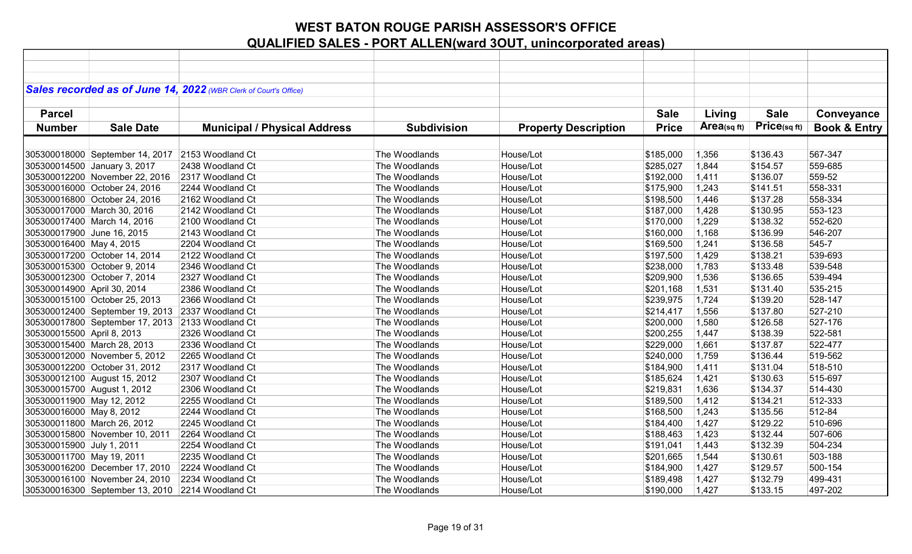|                             |                                                  | Sales recorded as of June 14, 2022 (WBR Clerk of Court's Office) |                    |                             |              |             |              |                         |
|-----------------------------|--------------------------------------------------|------------------------------------------------------------------|--------------------|-----------------------------|--------------|-------------|--------------|-------------------------|
|                             |                                                  |                                                                  |                    |                             |              |             |              |                         |
| <b>Parcel</b>               |                                                  |                                                                  |                    |                             | <b>Sale</b>  | Living      | <b>Sale</b>  | Conveyance              |
| <b>Number</b>               | <b>Sale Date</b>                                 | <b>Municipal / Physical Address</b>                              | <b>Subdivision</b> | <b>Property Description</b> | <b>Price</b> | Area(sq ft) | Price(sq ft) | <b>Book &amp; Entry</b> |
|                             |                                                  |                                                                  |                    |                             |              |             |              |                         |
|                             | 305300018000 September 14, 2017 2153 Woodland Ct |                                                                  | The Woodlands      | House/Lot                   | \$185,000    | 1,356       | \$136.43     | 567-347                 |
|                             | 305300014500 January 3, 2017                     | 2438 Woodland Ct                                                 | The Woodlands      | House/Lot                   | \$285,027    | 1,844       | \$154.57     | 559-685                 |
|                             |                                                  |                                                                  |                    |                             |              |             |              |                         |
|                             | 305300012200 November 22, 2016                   | 2317 Woodland Ct                                                 | The Woodlands      | House/Lot                   | \$192,000    | 1,411       | \$136.07     | 559-52                  |
|                             | 305300016000 October 24, 2016                    | 2244 Woodland Ct                                                 | The Woodlands      | House/Lot                   | \$175,900    | 1,243       | \$141.51     | 558-331                 |
|                             | 305300016800 October 24, 2016                    | 2162 Woodland Ct                                                 | The Woodlands      | House/Lot                   | \$198,500    | 1,446       | \$137.28     | 558-334                 |
|                             | 305300017000 March 30, 2016                      | 2142 Woodland Ct                                                 | The Woodlands      | House/Lot                   | \$187,000    | 1,428       | \$130.95     | 553-123                 |
|                             | 305300017400 March 14, 2016                      | 2100 Woodland Ct                                                 | The Woodlands      | House/Lot                   | \$170,000    | 1,229       | \$138.32     | 552-620                 |
| 305300017900 June 16, 2015  |                                                  | 2143 Woodland Ct                                                 | The Woodlands      | House/Lot                   | \$160,000    | 1,168       | \$136.99     | 546-207                 |
| 305300016400 May 4, 2015    |                                                  | 2204 Woodland Ct                                                 | The Woodlands      | House/Lot                   | \$169,500    | 1,241       | \$136.58     | 545-7                   |
|                             | 305300017200 October 14, 2014                    | 2122 Woodland Ct                                                 | The Woodlands      | House/Lot                   | \$197,500    | 1,429       | \$138.21     | 539-693                 |
|                             | 305300015300 October 9, 2014                     | 2346 Woodland Ct                                                 | The Woodlands      | House/Lot                   | \$238,000    | 1,783       | \$133.48     | 539-548                 |
|                             | 305300012300 October 7, 2014                     | 2327 Woodland Ct                                                 | The Woodlands      | House/Lot                   | \$209,900    | 1,536       | \$136.65     | 539-494                 |
| 305300014900 April 30, 2014 |                                                  | 2386 Woodland Ct                                                 | The Woodlands      | House/Lot                   | \$201,168    | 1,531       | \$131.40     | 535-215                 |
|                             | 305300015100 October 25, 2013                    | 2366 Woodland Ct                                                 | The Woodlands      | House/Lot                   | \$239,975    | 1,724       | \$139.20     | 528-147                 |
|                             | 305300012400 September 19, 2013 2337 Woodland Ct |                                                                  | The Woodlands      | House/Lot                   | \$214,417    | 1,556       | \$137.80     | 527-210                 |
|                             | 305300017800 September 17, 2013 2133 Woodland Ct |                                                                  | The Woodlands      | House/Lot                   | \$200,000    | 1,580       | \$126.58     | 527-176                 |
| 305300015500 April 8, 2013  |                                                  | 2326 Woodland Ct                                                 | The Woodlands      | House/Lot                   | \$200,255    | 1,447       | \$138.39     | 522-581                 |
|                             | 305300015400 March 28, 2013                      | 2336 Woodland Ct                                                 | The Woodlands      | House/Lot                   | \$229,000    | 1,661       | \$137.87     | 522-477                 |
|                             | 305300012000 November 5, 2012                    | 2265 Woodland Ct                                                 | The Woodlands      | House/Lot                   | \$240,000    | 1,759       | \$136.44     | 519-562                 |
|                             | 305300012200 October 31, 2012                    | 2317 Woodland Ct                                                 | The Woodlands      | House/Lot                   | \$184,900    | 1,411       | \$131.04     | 518-510                 |
|                             | 305300012100 August 15, 2012                     | 2307 Woodland Ct                                                 | The Woodlands      | House/Lot                   | \$185,624    | 1,421       | \$130.63     | 515-697                 |
|                             | 305300015700 August 1, 2012                      | 2306 Woodland Ct                                                 | The Woodlands      | House/Lot                   | \$219,831    | 1,636       | \$134.37     | 514-430                 |
| 305300011900 May 12, 2012   |                                                  | 2255 Woodland Ct                                                 | The Woodlands      | House/Lot                   | \$189,500    | 1,412       | \$134.21     | 512-333                 |
| 305300016000 May 8, 2012    |                                                  | 2244 Woodland Ct                                                 | The Woodlands      | House/Lot                   | \$168,500    | 1,243       | \$135.56     | 512-84                  |
|                             | 305300011800 March 26, 2012                      | 2245 Woodland Ct                                                 | The Woodlands      | House/Lot                   | \$184,400    | 1,427       | \$129.22     | 510-696                 |
|                             | 305300015800 November 10, 2011                   | 2264 Woodland Ct                                                 | The Woodlands      | House/Lot                   | \$188,463    | 1,423       | \$132.44     | 507-606                 |
| 305300015900 July 1, 2011   |                                                  | 2254 Woodland Ct                                                 | The Woodlands      | House/Lot                   | \$191,041    | 1,443       | \$132.39     | 504-234                 |
| 305300011700 May 19, 2011   |                                                  | 2235 Woodland Ct                                                 | The Woodlands      | House/Lot                   | \$201,665    | 1,544       | \$130.61     | 503-188                 |
|                             | 305300016200 December 17, 2010                   | 2224 Woodland Ct                                                 | The Woodlands      | House/Lot                   | \$184,900    | 1,427       | \$129.57     | 500-154                 |
|                             | 305300016100 November 24, 2010                   | 2234 Woodland Ct                                                 | The Woodlands      | House/Lot                   | \$189,498    | 1,427       | \$132.79     | 499-431                 |
|                             | 305300016300 September 13, 2010 2214 Woodland Ct |                                                                  | The Woodlands      | House/Lot                   | \$190,000    | 1,427       | \$133.15     | 497-202                 |
|                             |                                                  |                                                                  |                    |                             |              |             |              |                         |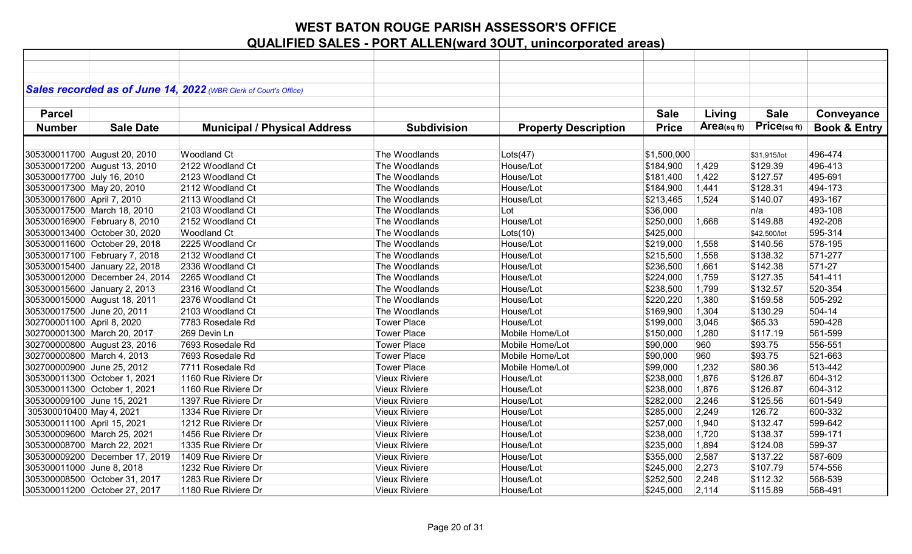|                             |                                | Sales recorded as of June 14, 2022 (WBR Clerk of Court's Office) |                      |                             |              |            |              |                         |
|-----------------------------|--------------------------------|------------------------------------------------------------------|----------------------|-----------------------------|--------------|------------|--------------|-------------------------|
|                             |                                |                                                                  |                      |                             |              |            |              |                         |
| <b>Parcel</b>               |                                |                                                                  |                      |                             | <b>Sale</b>  | Living     | <b>Sale</b>  | Conveyance              |
|                             |                                |                                                                  |                      |                             |              |            |              |                         |
| <b>Number</b>               | <b>Sale Date</b>               | <b>Municipal / Physical Address</b>                              | <b>Subdivision</b>   | <b>Property Description</b> | <b>Price</b> | Area(sqft) | Price(sqft)  | <b>Book &amp; Entry</b> |
|                             |                                |                                                                  |                      |                             |              |            |              |                         |
|                             | 305300011700 August 20, 2010   | <b>Woodland Ct</b>                                               | The Woodlands        | Lots(47)                    | \$1,500,000  |            | \$31,915/lot | 496-474                 |
|                             | 305300017200 August 13, 2010   | 2122 Woodland Ct                                                 | The Woodlands        | House/Lot                   | \$184,900    | 1,429      | \$129.39     | 496-413                 |
| 305300017700 July 16, 2010  |                                | 2123 Woodland Ct                                                 | The Woodlands        | House/Lot                   | \$181,400    | 1,422      | \$127.57     | 495-691                 |
| 305300017300 May 20, 2010   |                                | 2112 Woodland Ct                                                 | The Woodlands        | House/Lot                   | \$184,900    | 1,441      | \$128.31     | 494-173                 |
| 305300017600 April 7, 2010  |                                | 2113 Woodland Ct                                                 | The Woodlands        | House/Lot                   | \$213,465    | 1,524      | \$140.07     | 493-167                 |
|                             | 305300017500 March 18, 2010    | 2103 Woodland Ct                                                 | The Woodlands        | Lot                         | \$36,000     |            | n/a          | 493-108                 |
|                             | 305300016900 February 8, 2010  | 2152 Woodland Ct                                                 | The Woodlands        | House/Lot                   | \$250,000    | 1,668      | \$149.88     | 492-208                 |
|                             | 305300013400 October 30, 2020  | <b>Woodland Ct</b>                                               | The Woodlands        | Lots(10)                    | \$425,000    |            | \$42,500/lot | 595-314                 |
|                             | 305300011600 October 29, 2018  | 2225 Woodland Cr                                                 | The Woodlands        | House/Lot                   | \$219,000    | 1,558      | \$140.56     | 578-195                 |
|                             | 305300017100 February 7, 2018  | 2132 Woodland Ct                                                 | The Woodlands        | House/Lot                   | \$215,500    | 1,558      | \$138.32     | 571-277                 |
|                             | 305300015400 January 22, 2018  | 2336 Woodland Ct                                                 | The Woodlands        | House/Lot                   | \$236,500    | 1,661      | \$142.38     | 571-27                  |
|                             | 305300012000 December 24, 2014 | 2265 Woodland Ct                                                 | The Woodlands        | House/Lot                   | \$224,000    | 1,759      | \$127.35     | 541-411                 |
|                             | 305300015600 January 2, 2013   | 2316 Woodland Ct                                                 | The Woodlands        | House/Lot                   | \$238,500    | 1,799      | \$132.57     | 520-354                 |
|                             | 305300015000 August 18, 2011   | 2376 Woodland Ct                                                 | The Woodlands        | House/Lot                   | \$220,220    | 1,380      | \$159.58     | 505-292                 |
| 305300017500 June 20, 2011  |                                | 2103 Woodland Ct                                                 | The Woodlands        | House/Lot                   | \$169,900    | 1,304      | \$130.29     | 504-14                  |
| 302700001100 April 8, 2020  |                                | 7783 Rosedale Rd                                                 | <b>Tower Place</b>   | House/Lot                   | \$199,000    | 3,046      | \$65.33      | 590-428                 |
|                             | 302700001300 March 20, 2017    | 269 Devin Ln                                                     | <b>Tower Place</b>   | Mobile Home/Lot             | \$150,000    | 1,280      | \$117.19     | 561-599                 |
|                             | 302700000800 August 23, 2016   | 7693 Rosedale Rd                                                 | <b>Tower Place</b>   | Mobile Home/Lot             | \$90,000     | 960        | \$93.75      | 556-551                 |
| 302700000800 March 4, 2013  |                                | 7693 Rosedale Rd                                                 | <b>Tower Place</b>   | Mobile Home/Lot             | \$90,000     | 960        | \$93.75      | 521-663                 |
| 302700000900 June 25, 2012  |                                | 7711 Rosedale Rd                                                 | <b>Tower Place</b>   | Mobile Home/Lot             | \$99,000     | 1,232      | \$80.36      | 513-442                 |
|                             | 305300011300 October 1, 2021   | 1160 Rue Riviere Dr                                              | <b>Vieux Riviere</b> | House/Lot                   | \$238,000    | 1,876      | \$126.87     | 604-312                 |
|                             | 305300011300 October 1, 2021   | 1160 Rue Riviere Dr                                              | <b>Vieux Riviere</b> | House/Lot                   | \$238,000    | 1,876      | \$126.87     | 604-312                 |
| 305300009100 June 15, 2021  |                                | 1397 Rue Riviere Dr                                              | <b>Vieux Riviere</b> | House/Lot                   | \$282,000    | 2,246      | \$125.56     | 601-549                 |
| 305300010400 May 4, 2021    |                                | 1334 Rue Riviere Dr                                              | <b>Vieux Riviere</b> | House/Lot                   | \$285,000    | 2,249      | 126.72       | 600-332                 |
| 305300011100 April 15, 2021 |                                | 1212 Rue Riviere Dr                                              | <b>Vieux Riviere</b> | House/Lot                   | \$257,000    | 1,940      | \$132.47     | 599-642                 |
|                             | 305300009600 March 25, 2021    | 1456 Rue Riviere Dr                                              | <b>Vieux Riviere</b> | House/Lot                   | \$238,000    | 1,720      | \$138.37     | 599-171                 |
|                             | 305300008700 March 22, 2021    | 1335 Rue Riviere Dr                                              | <b>Vieux Riviere</b> | House/Lot                   | \$235,000    | 1,894      | \$124.08     | 599-37                  |
|                             | 305300009200 December 17, 2019 | 1409 Rue Riviere Dr                                              | <b>Vieux Riviere</b> | House/Lot                   | \$355,000    | 2,587      | \$137.22     | 587-609                 |
| 305300011000 June 8, 2018   |                                | 1232 Rue Riviere Dr                                              | <b>Vieux Riviere</b> | House/Lot                   | \$245,000    | 2,273      | \$107.79     | 574-556                 |
|                             | 305300008500 October 31, 2017  | 1283 Rue Riviere Dr                                              | <b>Vieux Riviere</b> | House/Lot                   | \$252,500    | 2,248      | \$112.32     | 568-539                 |
|                             | 305300011200 October 27, 2017  | 1180 Rue Riviere Dr                                              | <b>Vieux Riviere</b> | House/Lot                   | \$245,000    | 2,114      | \$115.89     | 568-491                 |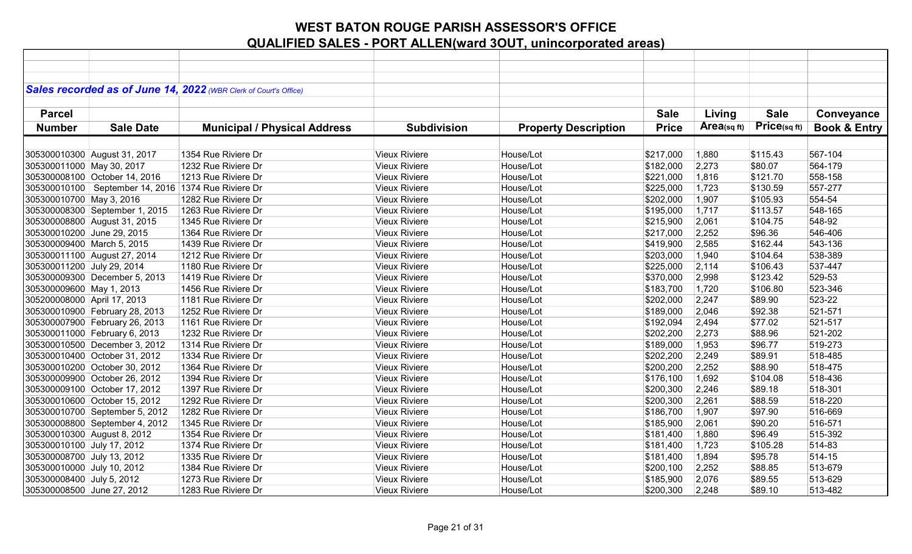|                             |                                                         | Sales recorded as of June 14, 2022 (WBR Clerk of Court's Office) |                      |                             |              |               |             |                         |
|-----------------------------|---------------------------------------------------------|------------------------------------------------------------------|----------------------|-----------------------------|--------------|---------------|-------------|-------------------------|
|                             |                                                         |                                                                  |                      |                             |              |               | <b>Sale</b> |                         |
| <b>Parcel</b>               |                                                         |                                                                  |                      |                             | <b>Sale</b>  | Living        |             | Conveyance              |
| <b>Number</b>               | <b>Sale Date</b>                                        | <b>Municipal / Physical Address</b>                              | <b>Subdivision</b>   | <b>Property Description</b> | <b>Price</b> | Area $(sqft)$ | Price(sqft) | <b>Book &amp; Entry</b> |
|                             |                                                         |                                                                  |                      |                             |              |               |             |                         |
|                             | 305300010300 August 31, 2017                            | 1354 Rue Riviere Dr                                              | <b>Vieux Riviere</b> | House/Lot                   | \$217,000    | 1,880         | \$115.43    | 567-104                 |
| 305300011000 May 30, 2017   |                                                         | 1232 Rue Riviere Dr                                              | <b>Vieux Riviere</b> | House/Lot                   | \$182,000    | 2,273         | \$80.07     | 564-179                 |
|                             | 305300008100 October 14, 2016                           | 1213 Rue Riviere Dr                                              | <b>Vieux Riviere</b> | House/Lot                   | \$221,000    | 1,816         | \$121.70    | 558-158                 |
|                             | 305300010100   September 14, 2016   1374 Rue Riviere Dr |                                                                  | <b>Vieux Riviere</b> | House/Lot                   | \$225,000    | 1,723         | \$130.59    | 557-277                 |
| 305300010700 May 3, 2016    |                                                         | 1282 Rue Riviere Dr                                              | <b>Vieux Riviere</b> | House/Lot                   | \$202,000    | 1,907         | \$105.93    | 554-54                  |
|                             | 305300008300 September 1, 2015                          | 1263 Rue Riviere Dr                                              | <b>Vieux Riviere</b> | House/Lot                   | \$195,000    | 1,717         | \$113.57    | 548-165                 |
|                             | 305300008800 August 31, 2015                            | 1345 Rue Riviere Dr                                              | <b>Vieux Riviere</b> | House/Lot                   | \$215,900    | 2,061         | \$104.75    | 548-92                  |
| 305300010200 June 29, 2015  |                                                         | 1364 Rue Riviere Dr                                              | <b>Vieux Riviere</b> | House/Lot                   | \$217,000    | 2,252         | \$96.36     | 546-406                 |
| 305300009400 March 5, 2015  |                                                         | 1439 Rue Riviere Dr                                              | <b>Vieux Riviere</b> | House/Lot                   | \$419,900    | 2,585         | \$162.44    | 543-136                 |
|                             | 305300011100 August 27, 2014                            | 1212 Rue Riviere Dr                                              | <b>Vieux Riviere</b> | House/Lot                   | \$203,000    | 1,940         | \$104.64    | 538-389                 |
| 305300011200 July 29, 2014  |                                                         | 1180 Rue Riviere Dr                                              | <b>Vieux Riviere</b> | House/Lot                   | \$225,000    | 2,114         | \$106.43    | 537-447                 |
|                             | 305300009300 December 5, 2013                           | 1419 Rue Riviere Dr                                              | <b>Vieux Riviere</b> | House/Lot                   | \$370,000    | 2,998         | \$123.42    | 529-53                  |
| 305300009600 May 1, 2013    |                                                         | 1456 Rue Riviere Dr                                              | <b>Vieux Riviere</b> | House/Lot                   | \$183,700    | 1,720         | \$106.80    | 523-346                 |
| 305200008000 April 17, 2013 |                                                         | 1181 Rue Riviere Dr                                              | <b>Vieux Riviere</b> | House/Lot                   | \$202,000    | 2,247         | \$89.90     | 523-22                  |
|                             | 305300010900 February 28, 2013                          | 1252 Rue Riviere Dr                                              | <b>Vieux Riviere</b> | House/Lot                   | \$189,000    | 2,046         | \$92.38     | 521-571                 |
|                             | 305300007900 February 26, 2013                          | 1161 Rue Riviere Dr                                              | <b>Vieux Riviere</b> | House/Lot                   | \$192,094    | 2,494         | \$77.02     | 521-517                 |
|                             | 305300011000 February 6, 2013                           | 1232 Rue Riviere Dr                                              | <b>Vieux Riviere</b> | House/Lot                   | \$202,200    | 2,273         | \$88.96     | 521-202                 |
|                             | 305300010500 December 3, 2012                           | 1314 Rue Riviere Dr                                              | <b>Vieux Riviere</b> | House/Lot                   | \$189,000    | 1,953         | \$96.77     | 519-273                 |
|                             | 305300010400 October 31, 2012                           | 1334 Rue Riviere Dr                                              | <b>Vieux Riviere</b> | House/Lot                   | \$202,200    | 2,249         | \$89.91     | 518-485                 |
|                             | 305300010200 October 30, 2012                           | 1364 Rue Riviere Dr                                              | <b>Vieux Riviere</b> | House/Lot                   | \$200,200    | 2,252         | \$88.90     | 518-475                 |
|                             | 305300009900 October 26, 2012                           | 1394 Rue Riviere Dr                                              | <b>Vieux Riviere</b> | House/Lot                   | \$176,100    | 1,692         | \$104.08    | 518-436                 |
|                             | 305300009100 October 17, 2012                           | 1397 Rue Riviere Dr                                              | <b>Vieux Riviere</b> | House/Lot                   | \$200,300    | 2,246         | \$89.18     | 518-301                 |
|                             | 305300010600 October 15, 2012                           | 1292 Rue Riviere Dr                                              | <b>Vieux Riviere</b> | House/Lot                   | \$200,300    | 2,261         | \$88.59     | 518-220                 |
|                             | 305300010700 September 5, 2012                          | 1282 Rue Riviere Dr                                              | <b>Vieux Riviere</b> | House/Lot                   | \$186,700    | 1,907         | \$97.90     | 516-669                 |
|                             | 305300008800 September 4, 2012                          | 1345 Rue Riviere Dr                                              | <b>Vieux Riviere</b> | House/Lot                   | \$185,900    | 2,061         | \$90.20     | 516-571                 |
|                             | 305300010300 August 8, 2012                             | 1354 Rue Riviere Dr                                              | <b>Vieux Riviere</b> | House/Lot                   | \$181,400    | 1,880         | \$96.49     | 515-392                 |
| 305300010100 July 17, 2012  |                                                         | 1374 Rue Riviere Dr                                              | <b>Vieux Riviere</b> | House/Lot                   | \$181,400    | 1,723         | \$105.28    | 514-83                  |
| 305300008700 July 13, 2012  |                                                         | 1335 Rue Riviere Dr                                              | <b>Vieux Riviere</b> | House/Lot                   | \$181,400    | 1,894         | \$95.78     | 514-15                  |
| 305300010000 July 10, 2012  |                                                         | 1384 Rue Riviere Dr                                              | <b>Vieux Riviere</b> | House/Lot                   | \$200,100    | 2,252         | \$88.85     | 513-679                 |
| 305300008400 July 5, 2012   |                                                         | 1273 Rue Riviere Dr                                              | <b>Vieux Riviere</b> | House/Lot                   | \$185,900    | 2,076         | \$89.55     | 513-629                 |
| 305300008500 June 27, 2012  |                                                         | 1283 Rue Riviere Dr                                              | <b>Vieux Riviere</b> | House/Lot                   | \$200,300    | 2,248         | \$89.10     | 513-482                 |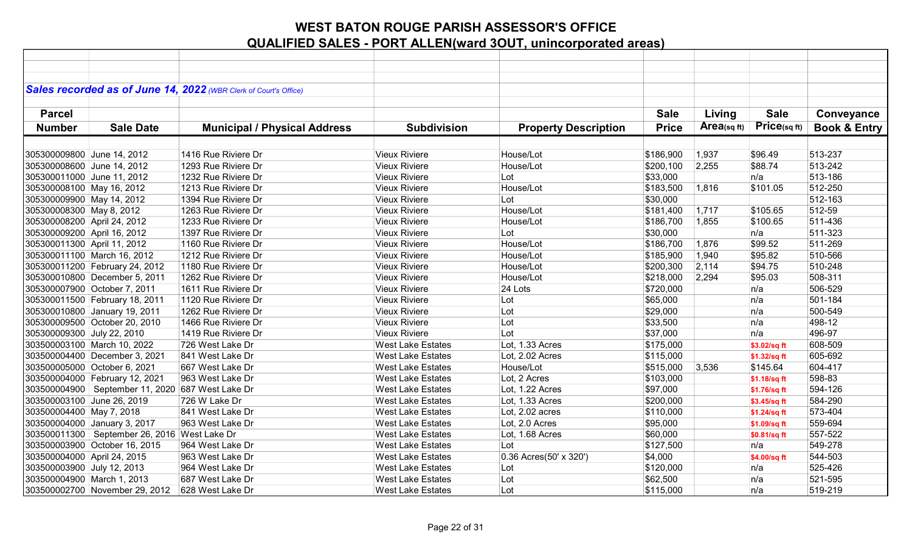|                             |                                                  | Sales recorded as of June 14, 2022 (WBR Clerk of Court's Office) |                          |                             |              |             |                   |                         |
|-----------------------------|--------------------------------------------------|------------------------------------------------------------------|--------------------------|-----------------------------|--------------|-------------|-------------------|-------------------------|
|                             |                                                  |                                                                  |                          |                             |              |             |                   |                         |
| <b>Parcel</b>               |                                                  |                                                                  |                          |                             | <b>Sale</b>  | Living      | <b>Sale</b>       | Conveyance              |
|                             |                                                  |                                                                  | <b>Subdivision</b>       |                             | <b>Price</b> | Area(sq ft) | $Price_{(sq ft)}$ |                         |
| <b>Number</b>               | <b>Sale Date</b>                                 | <b>Municipal / Physical Address</b>                              |                          | <b>Property Description</b> |              |             |                   | <b>Book &amp; Entry</b> |
|                             |                                                  |                                                                  |                          |                             |              |             |                   |                         |
| 305300009800 June 14, 2012  |                                                  | 1416 Rue Riviere Dr                                              | <b>Vieux Riviere</b>     | House/Lot                   | \$186,900    | 1,937       | \$96.49           | 513-237                 |
| 305300008600 June 14, 2012  |                                                  | 1293 Rue Riviere Dr                                              | <b>Vieux Riviere</b>     | House/Lot                   | \$200,100    | 2,255       | \$88.74           | 513-242                 |
| 305300011000 June 11, 2012  |                                                  | 1232 Rue Riviere Dr                                              | <b>Vieux Riviere</b>     | Lot                         | \$33,000     |             | n/a               | 513-186                 |
| 305300008100 May 16, 2012   |                                                  | 1213 Rue Riviere Dr                                              | <b>Vieux Riviere</b>     | House/Lot                   | \$183,500    | 1,816       | \$101.05          | 512-250                 |
| 305300009900 May 14, 2012   |                                                  | 1394 Rue Riviere Dr                                              | <b>Vieux Riviere</b>     | Lot                         | \$30,000     |             |                   | 512-163                 |
| 305300008300 May 8, 2012    |                                                  | 1263 Rue Riviere Dr                                              | <b>Vieux Riviere</b>     | House/Lot                   | \$181,400    | 1,717       | \$105.65          | 512-59                  |
| 305300008200 April 24, 2012 |                                                  | 1233 Rue Riviere Dr                                              | <b>Vieux Riviere</b>     | House/Lot                   | \$186,700    | 1,855       | \$100.65          | 511-436                 |
| 305300009200 April 16, 2012 |                                                  | 1397 Rue Riviere Dr                                              | <b>Vieux Riviere</b>     | Lot                         | \$30,000     |             | n/a               | 511-323                 |
| 305300011300 April 11, 2012 |                                                  | 1160 Rue Riviere Dr                                              | <b>Vieux Riviere</b>     | House/Lot                   | \$186,700    | 1,876       | \$99.52           | 511-269                 |
|                             | 305300011100 March 16, 2012                      | 1212 Rue Riviere Dr                                              | <b>Vieux Riviere</b>     | House/Lot                   | \$185,900    | 1,940       | \$95.82           | 510-566                 |
|                             | 305300011200 February 24, 2012                   | 1180 Rue Riviere Dr                                              | <b>Vieux Riviere</b>     | House/Lot                   | \$200,300    | 2,114       | \$94.75           | 510-248                 |
|                             | 305300010800 December 5, 2011                    | 1262 Rue Riviere Dr                                              | <b>Vieux Riviere</b>     | House/Lot                   | \$218,000    | 2,294       | \$95.03           | 508-311                 |
|                             | 305300007900 October 7, 2011                     | 1611 Rue Riviere Dr                                              | <b>Vieux Riviere</b>     | 24 Lots                     | \$720,000    |             | n/a               | 506-529                 |
|                             | 305300011500 February 18, 2011                   | 1120 Rue Riviere Dr                                              | <b>Vieux Riviere</b>     | Lot                         | \$65,000     |             | n/a               | 501-184                 |
|                             | 305300010800 January 19, 2011                    | 1262 Rue Riviere Dr                                              | <b>Vieux Riviere</b>     | Lot                         | \$29,000     |             | n/a               | 500-549                 |
|                             | 305300009500 October 20, 2010                    | 1466 Rue Riviere Dr                                              | <b>Vieux Riviere</b>     | Lot                         | \$33,500     |             | n/a               | 498-12                  |
| 305300009300 July 22, 2010  |                                                  | 1419 Rue Riviere Dr                                              | <b>Vieux Riviere</b>     | Lot                         | \$37,000     |             | n/a               | 496-97                  |
|                             | 303500003100 March 10, 2022                      | 726 West Lake Dr                                                 | <b>West Lake Estates</b> | Lot, 1.33 Acres             | \$175,000    |             | \$3.02/sq ft      | 608-509                 |
|                             | 303500004400 December 3, 2021                    | 841 West Lake Dr                                                 | <b>West Lake Estates</b> | Lot, 2.02 Acres             | \$115,000    |             | \$1.32/sq ft      | 605-692                 |
|                             | 303500005000 October 6, 2021                     | 667 West Lake Dr                                                 | <b>West Lake Estates</b> | House/Lot                   | \$515,000    | 3,536       | \$145.64          | 604-417                 |
|                             | 303500004000 February 12, 2021                   | 963 West Lake Dr                                                 | <b>West Lake Estates</b> | Lot, 2 Acres                | \$103,000    |             | \$1.18/sq ft      | 598-83                  |
|                             | 303500004900 September 11, 2020                  | 687 West Lake Dr                                                 | <b>West Lake Estates</b> | Lot, 1.22 Acres             | \$97,000     |             | \$1.76/sq ft      | 594-126                 |
| 303500003100 June 26, 2019  |                                                  | 726 W Lake Dr                                                    | <b>West Lake Estates</b> | Lot, 1.33 Acres             | \$200,000    |             | \$3.45/sq ft      | 584-290                 |
| 303500004400 May 7, 2018    |                                                  | 841 West Lake Dr                                                 | <b>West Lake Estates</b> | Lot, 2.02 acres             | \$110,000    |             | \$1.24/sq ft      | 573-404                 |
|                             | 303500004000 January 3, 2017                     | 963 West Lake Dr                                                 | <b>West Lake Estates</b> | Lot, 2.0 Acres              | \$95,000     |             | \$1.09/sq ft      | 559-694                 |
|                             | 303500011300   September 26, 2016   West Lake Dr |                                                                  | <b>West Lake Estates</b> | Lot, 1.68 Acres             | \$60,000     |             | \$0.81/sq ft      | 557-522                 |
|                             | 303500003900 October 16, 2015                    | 964 West Lake Dr                                                 | <b>West Lake Estates</b> | Lot                         | \$127,500    |             | n/a               | 549-278                 |
| 303500004000 April 24, 2015 |                                                  | 963 West Lake Dr                                                 | <b>West Lake Estates</b> | 0.36 Acres(50' x 320')      | \$4,000      |             | \$4.00/sq ft      | 544-503                 |
| 303500003900 July 12, 2013  |                                                  | 964 West Lake Dr                                                 | <b>West Lake Estates</b> | Lot                         | \$120,000    |             | n/a               | 525-426                 |
| 303500004900 March 1, 2013  |                                                  | 687 West Lake Dr                                                 | <b>West Lake Estates</b> | Lot                         | \$62,500     |             | n/a               | 521-595                 |
|                             | 303500002700 November 29, 2012                   | 628 West Lake Dr                                                 | <b>West Lake Estates</b> | Lot                         | \$115,000    |             | n/a               | 519-219                 |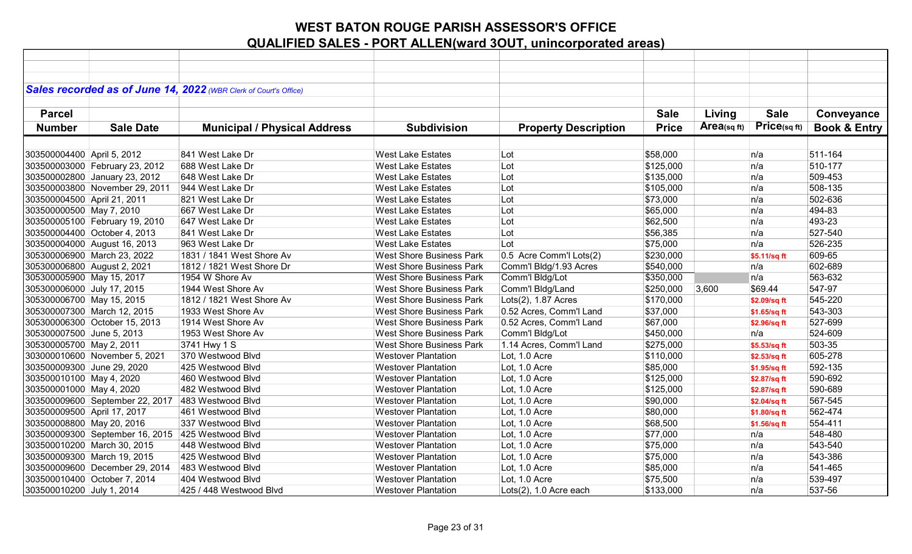|                             |                                                   | Sales recorded as of June 14, 2022 (WBR Clerk of Court's Office) |                                 |                             |              |            |              |                         |
|-----------------------------|---------------------------------------------------|------------------------------------------------------------------|---------------------------------|-----------------------------|--------------|------------|--------------|-------------------------|
|                             |                                                   |                                                                  |                                 |                             |              |            |              |                         |
| <b>Parcel</b>               |                                                   |                                                                  |                                 |                             | <b>Sale</b>  | Living     | <b>Sale</b>  | Conveyance              |
| <b>Number</b>               | <b>Sale Date</b>                                  | <b>Municipal / Physical Address</b>                              | <b>Subdivision</b>              | <b>Property Description</b> | <b>Price</b> | Area(sqft) | Price(sqft)  | <b>Book &amp; Entry</b> |
|                             |                                                   |                                                                  |                                 |                             |              |            |              |                         |
| 303500004400 April 5, 2012  |                                                   | 841 West Lake Dr                                                 | <b>West Lake Estates</b>        | Lot                         | \$58,000     |            | n/a          | 511-164                 |
|                             | 303500003000 February 23, 2012                    | 688 West Lake Dr                                                 | <b>West Lake Estates</b>        | Lot                         | \$125,000    |            | n/a          | 510-177                 |
|                             | 303500002800 January 23, 2012                     | 648 West Lake Dr                                                 | <b>West Lake Estates</b>        | Lot                         | \$135,000    |            | n/a          | 509-453                 |
|                             | 303500003800 November 29, 2011                    | 944 West Lake Dr                                                 | <b>West Lake Estates</b>        | Lot                         | \$105,000    |            | n/a          | 508-135                 |
| 303500004500 April 21, 2011 |                                                   | 821 West Lake Dr                                                 | <b>West Lake Estates</b>        | Lot                         | \$73,000     |            | n/a          | 502-636                 |
| 303500000500 May 7, 2010    |                                                   | 667 West Lake Dr                                                 | <b>West Lake Estates</b>        | Lot                         | \$65,000     |            | n/a          | 494-83                  |
|                             | 303500005100 February 19, 2010                    | 647 West Lake Dr                                                 | <b>West Lake Estates</b>        | Lot                         | \$62,500     |            | n/a          | 493-23                  |
|                             | 303500004400 October 4, 2013                      | 841 West Lake Dr                                                 | <b>West Lake Estates</b>        | Lot                         | \$56,385     |            | n/a          | 527-540                 |
|                             | 303500004000 August 16, 2013                      | 963 West Lake Dr                                                 | <b>West Lake Estates</b>        | Lot                         | \$75,000     |            | n/a          | 526-235                 |
|                             | 305300006900 March 23, 2022                       | 1831 / 1841 West Shore Av                                        | <b>West Shore Business Park</b> | 0.5 Acre Comm'l Lots(2)     | \$230,000    |            | \$5.11/sq ft | 609-65                  |
| 305300006800 August 2, 2021 |                                                   | 1812 / 1821 West Shore Dr                                        | <b>West Shore Business Park</b> | Comm'l Bldg/1.93 Acres      | \$540,000    |            | n/a          | 602-689                 |
| 305300005900 May 15, 2017   |                                                   | 1954 W Shore Av                                                  | <b>West Shore Business Park</b> | Comm'l Bldg/Lot             | \$350,000    |            | n/a          | 563-632                 |
| 305300006000 July 17, 2015  |                                                   | 1944 West Shore Av                                               | <b>West Shore Business Park</b> | Comm'l Bldg/Land            | \$250,000    | 3,600      | \$69.44      | 547-97                  |
| 305300006700 May 15, 2015   |                                                   | 1812 / 1821 West Shore Av                                        | <b>West Shore Business Park</b> | Lots(2), 1.87 Acres         | \$170,000    |            | \$2.09/sq ft | 545-220                 |
|                             | 305300007300 March 12, 2015                       | 1933 West Shore Av                                               | <b>West Shore Business Park</b> | 0.52 Acres, Comm'l Land     | \$37,000     |            | \$1.65/sq ft | 543-303                 |
|                             | 305300006300 October 15, 2013                     | 1914 West Shore Av                                               | <b>West Shore Business Park</b> | 0.52 Acres, Comm'l Land     | \$67,000     |            | \$2.96/sq ft | 527-699                 |
| 305300007500 June 5, 2013   |                                                   | 1953 West Shore Av                                               | <b>West Shore Business Park</b> | Comm'l Bldg/Lot             | \$450,000    |            | n/a          | 524-609                 |
| 305300005700 May 2, 2011    |                                                   | 3741 Hwy 1 S                                                     | <b>West Shore Business Park</b> | 1.14 Acres, Comm'l Land     | \$275,000    |            | \$5.53/sq ft | 503-35                  |
|                             | 303000010600 November 5, 2021                     | 370 Westwood Blvd                                                | <b>Westover Plantation</b>      | Lot, 1.0 Acre               | \$110,000    |            | \$2.53/sq ft | 605-278                 |
| 303500009300 June 29, 2020  |                                                   | 425 Westwood Blvd                                                | <b>Westover Plantation</b>      | Lot, 1.0 Acre               | \$85,000     |            | \$1.95/sq ft | 592-135                 |
| 303500010100 May 4, 2020    |                                                   | 460 Westwood Blvd                                                | <b>Westover Plantation</b>      | Lot, 1.0 Acre               | \$125,000    |            | \$2.87/sq ft | 590-692                 |
| 303500001000 May 4, 2020    |                                                   | 482 Westwood Blvd                                                | <b>Westover Plantation</b>      | Lot, 1.0 Acre               | \$125,000    |            | \$2.87/sq ft | 590-689                 |
|                             | 303500009600 September 22, 2017                   | 483 Westwood Blvd                                                | <b>Westover Plantation</b>      | Lot, 1.0 Acre               | \$90,000     |            | \$2.04/sq ft | 567-545                 |
| 303500009500 April 17, 2017 |                                                   | 461 Westwood Blvd                                                | <b>Westover Plantation</b>      | Lot, 1.0 Acre               | \$80,000     |            | \$1.80/sq ft | 562-474                 |
| 303500008800 May 20, 2016   |                                                   | 337 Westwood Blvd                                                | <b>Westover Plantation</b>      | Lot, 1.0 Acre               | \$68,500     |            | \$1.56/sq ft | 554-411                 |
|                             | 303500009300 September 16, 2015 425 Westwood Blvd |                                                                  | <b>Westover Plantation</b>      | Lot, 1.0 Acre               | \$77,000     |            | n/a          | 548-480                 |
|                             | 303500010200 March 30, 2015                       | 448 Westwood Blvd                                                | <b>Westover Plantation</b>      | Lot, 1.0 Acre               | \$75,000     |            | n/a          | 543-540                 |
|                             | 303500009300 March 19, 2015                       | 425 Westwood Blvd                                                | <b>Westover Plantation</b>      | Lot, 1.0 Acre               | \$75,000     |            | n/a          | 543-386                 |
|                             | 303500009600 December 29, 2014                    | 483 Westwood Blvd                                                | <b>Westover Plantation</b>      | Lot, 1.0 Acre               | \$85,000     |            | n/a          | 541-465                 |
|                             | 303500010400 October 7, 2014                      | 404 Westwood Blvd                                                | <b>Westover Plantation</b>      | Lot, 1.0 Acre               | \$75,500     |            | n/a          | 539-497                 |
| 303500010200 July 1, 2014   |                                                   | 425 / 448 Westwood Blvd                                          | <b>Westover Plantation</b>      | Lots(2), 1.0 Acre each      | \$133,000    |            | n/a          | 537-56                  |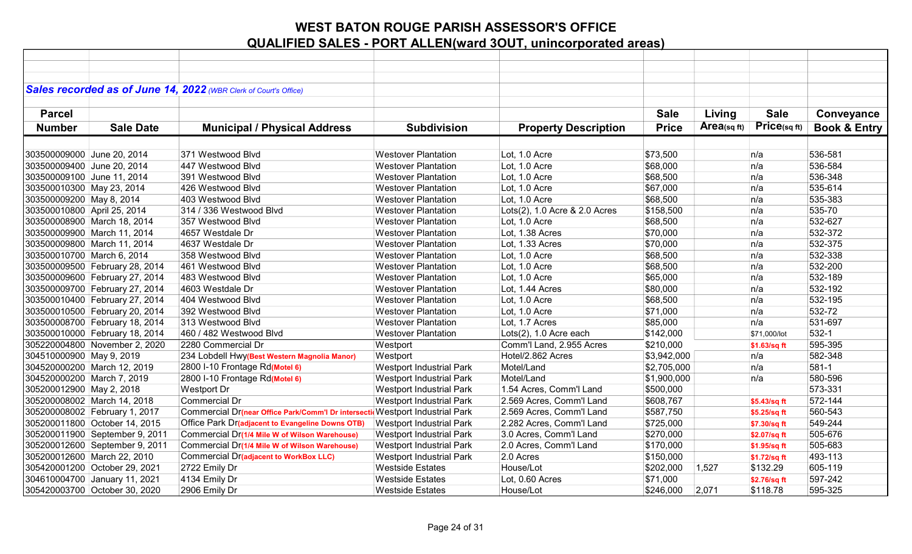|                             |                                | Sales recorded as of June 14, 2022 (WBR Clerk of Court's Office)             |                                 |                               |              |            |              |                         |
|-----------------------------|--------------------------------|------------------------------------------------------------------------------|---------------------------------|-------------------------------|--------------|------------|--------------|-------------------------|
|                             |                                |                                                                              |                                 |                               |              |            |              |                         |
| <b>Parcel</b>               |                                |                                                                              |                                 |                               | <b>Sale</b>  | Living     | <b>Sale</b>  | Conveyance              |
| <b>Number</b>               | <b>Sale Date</b>               | <b>Municipal / Physical Address</b>                                          | <b>Subdivision</b>              | <b>Property Description</b>   | <b>Price</b> | Area(sqft) | Price(sq ft) | <b>Book &amp; Entry</b> |
|                             |                                |                                                                              |                                 |                               |              |            |              |                         |
| 303500009000 June 20, 2014  |                                | 371 Westwood Blvd                                                            | <b>Westover Plantation</b>      | Lot, 1.0 Acre                 | \$73,500     |            | n/a          | 536-581                 |
| 303500009400 June 20, 2014  |                                | 447 Westwood Blvd                                                            | <b>Westover Plantation</b>      | Lot, 1.0 Acre                 | \$68,000     |            | n/a          | 536-584                 |
| 303500009100 June 11, 2014  |                                | 391 Westwood Blvd                                                            | <b>Westover Plantation</b>      | Lot, 1.0 Acre                 | \$68,500     |            | n/a          | 536-348                 |
| 303500010300 May 23, 2014   |                                | 426 Westwood Blvd                                                            | <b>Westover Plantation</b>      | Lot, 1.0 Acre                 | \$67,000     |            | n/a          | 535-614                 |
| 303500009200 May 8, 2014    |                                | 403 Westwood Blvd                                                            | <b>Westover Plantation</b>      | Lot, 1.0 Acre                 | \$68,500     |            | n/a          | 535-383                 |
| 303500010800 April 25, 2014 |                                | 314 / 336 Westwood Blvd                                                      | <b>Westover Plantation</b>      | Lots(2), 1.0 Acre & 2.0 Acres | \$158,500    |            | n/a          | 535-70                  |
|                             | 303500008900 March 18, 2014    | 357 Westwood Blvd                                                            | <b>Westover Plantation</b>      | Lot, 1.0 Acre                 | \$68,500     |            | n/a          | 532-627                 |
|                             | 303500009900 March 11, 2014    | 4657 Westdale Dr                                                             | <b>Westover Plantation</b>      | Lot, 1.38 Acres               | \$70,000     |            | n/a          | 532-372                 |
|                             | 303500009800 March 11, 2014    | 4637 Westdale Dr                                                             | <b>Westover Plantation</b>      | Lot, 1.33 Acres               | \$70,000     |            | n/a          | 532-375                 |
| 303500010700 March 6, 2014  |                                | 358 Westwood Blvd                                                            | <b>Westover Plantation</b>      | Lot, 1.0 Acre                 | \$68,500     |            | n/a          | 532-338                 |
|                             | 303500009500 February 28, 2014 | 461 Westwood Blvd                                                            | <b>Westover Plantation</b>      | Lot, 1.0 Acre                 | \$68,500     |            | n/a          | 532-200                 |
|                             | 303500009600 February 27, 2014 | 483 Westwood Blvd                                                            | <b>Westover Plantation</b>      | Lot, 1.0 Acre                 | \$65,000     |            | n/a          | 532-189                 |
|                             | 303500009700 February 27, 2014 | 4603 Westdale Dr                                                             | <b>Westover Plantation</b>      | Lot, 1.44 Acres               | \$80,000     |            | n/a          | 532-192                 |
|                             | 303500010400 February 27, 2014 | 404 Westwood Blvd                                                            | <b>Westover Plantation</b>      | Lot, 1.0 Acre                 | \$68,500     |            | n/a          | 532-195                 |
|                             | 303500010500 February 20, 2014 | 392 Westwood Blvd                                                            | <b>Westover Plantation</b>      | Lot, 1.0 Acre                 | \$71,000     |            | n/a          | 532-72                  |
|                             | 303500008700 February 18, 2014 | 313 Westwood Blvd                                                            | <b>Westover Plantation</b>      | Lot, 1.7 Acres                | \$85,000     |            | n/a          | 531-697                 |
|                             | 303500010000 February 18, 2014 | 460 / 482 Westwood Blvd                                                      | <b>Westover Plantation</b>      | Lots(2), 1.0 Acre each        | \$142,000    |            | \$71,000/lot | 532-1                   |
|                             | 305220004800 November 2, 2020  | 2280 Commercial Dr                                                           | Westport                        | Comm'l Land, 2.955 Acres      | \$210,000    |            | \$1.63/sq ft | 595-395                 |
| 304510000900 May 9, 2019    |                                | 234 Lobdell Hwy(Best Western Magnolia Manor)                                 | Westport                        | Hotel/2.862 Acres             | \$3,942,000  |            | n/a          | 582-348                 |
|                             | 304520000200 March 12, 2019    | 2800 I-10 Frontage Rd(Motel 6)                                               | <b>Westport Industrial Park</b> | Motel/Land                    | \$2,705,000  |            | n/a          | 581-1                   |
| 304520000200 March 7, 2019  |                                | 2800 I-10 Frontage Rd(Motel 6)                                               | <b>Westport Industrial Park</b> | Motel/Land                    | \$1,900,000  |            | n/a          | 580-596                 |
| 305200012900 May 2, 2018    |                                | Westport Dr                                                                  | <b>Westport Industrial Park</b> | 1.54 Acres, Comm'l Land       | \$500,000    |            |              | 573-331                 |
|                             | 305200008002 March 14, 2018    | Commercial Dr                                                                | <b>Westport Industrial Park</b> | 2.569 Acres, Comm'l Land      | \$608,767    |            | \$5.43/sq ft | 572-144                 |
|                             | 305200008002 February 1, 2017  | Commercial Dr(near Office Park/Comm'l Dr intersecti Westport Industrial Park |                                 | 2.569 Acres, Comm'l Land      | \$587,750    |            | \$5.25/sq ft | 560-543                 |
|                             | 305200011800 October 14, 2015  | Office Park Dr(adjacent to Evangeline Downs OTB)                             | <b>Westport Industrial Park</b> | 2.282 Acres, Comm'l Land      | \$725,000    |            | \$7.30/sq ft | 549-244                 |
|                             | 305200011900 September 9, 2011 | Commercial Dr(1/4 Mile W of Wilson Warehouse)                                | <b>Westport Industrial Park</b> | 3.0 Acres, Comm'l Land        | \$270,000    |            | \$2.07/sq ft | 505-676                 |
|                             | 305200012600 September 9, 2011 | Commercial Dr(1/4 Mile W of Wilson Warehouse)                                | <b>Westport Industrial Park</b> | 2.0 Acres, Comm'l Land        | \$170,000    |            | \$1.95/sq ft | 505-683                 |
|                             | 305200012600 March 22, 2010    | Commercial Dr(adjacent to WorkBox LLC)                                       | <b>Westport Industrial Park</b> | 2.0 Acres                     | \$150,000    |            | \$1.72/sq ft | 493-113                 |
|                             | 305420001200 October 29, 2021  | 2722 Emily Dr                                                                | <b>Westside Estates</b>         | House/Lot                     | \$202,000    | 1,527      | \$132.29     | 605-119                 |
|                             | 304610004700 January 11, 2021  | 4134 Emily Dr                                                                | <b>Westside Estates</b>         | Lot, 0.60 Acres               | \$71,000     |            | \$2.76/sq ft | 597-242                 |
|                             | 305420003700 October 30, 2020  | 2906 Emily Dr                                                                | <b>Westside Estates</b>         | House/Lot                     | \$246,000    | 2,071      | \$118.78     | 595-325                 |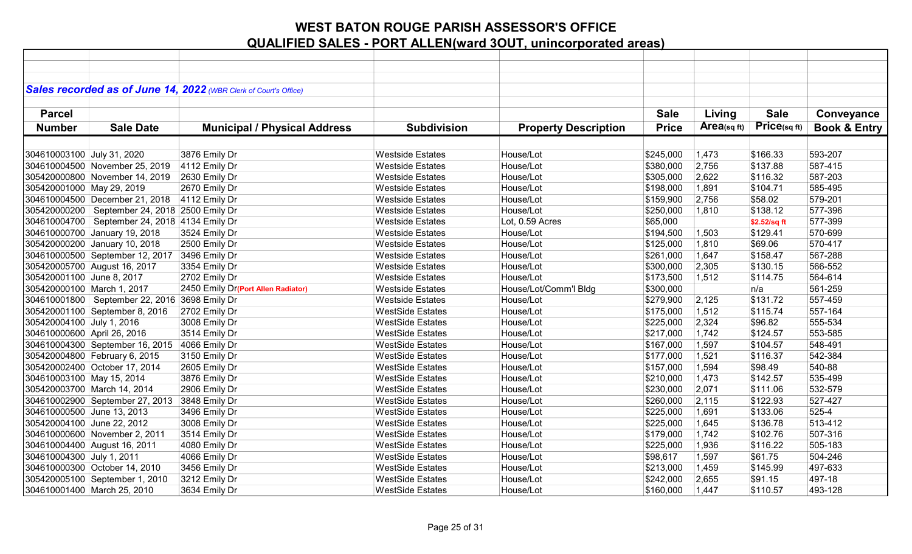|                             |                                                 | Sales recorded as of June 14, 2022 (WBR Clerk of Court's Office) |                         |                             |              |            |              |                         |
|-----------------------------|-------------------------------------------------|------------------------------------------------------------------|-------------------------|-----------------------------|--------------|------------|--------------|-------------------------|
|                             |                                                 |                                                                  |                         |                             |              |            |              |                         |
| <b>Parcel</b>               |                                                 |                                                                  |                         |                             | <b>Sale</b>  | Living     | <b>Sale</b>  |                         |
|                             |                                                 |                                                                  |                         |                             |              |            | Price(sq ft) | Conveyance              |
| <b>Number</b>               | <b>Sale Date</b>                                | <b>Municipal / Physical Address</b>                              | <b>Subdivision</b>      | <b>Property Description</b> | <b>Price</b> | Area(sqft) |              | <b>Book &amp; Entry</b> |
|                             |                                                 |                                                                  |                         |                             |              |            |              |                         |
| 304610003100 July 31, 2020  |                                                 | 3876 Emily Dr                                                    | <b>Westside Estates</b> | House/Lot                   | \$245,000    | 1,473      | \$166.33     | 593-207                 |
|                             | 304610004500 November 25, 2019                  | 4112 Emily Dr                                                    | <b>Westside Estates</b> | House/Lot                   | \$380,000    | 2,756      | \$137.88     | 587-415                 |
|                             | 305420000800 November 14, 2019                  | 2630 Emily Dr                                                    | <b>Westside Estates</b> | House/Lot                   | \$305,000    | 2,622      | \$116.32     | 587-203                 |
| 305420001000 May 29, 2019   |                                                 | 2670 Emily Dr                                                    | <b>Westside Estates</b> | House/Lot                   | \$198,000    | 1,891      | \$104.71     | 585-495                 |
|                             | 304610004500 December 21, 2018                  | 4112 Emily Dr                                                    | <b>Westside Estates</b> | House/Lot                   | \$159,900    | 2,756      | \$58.02      | 579-201                 |
|                             | 305420000200   September 24, 2018 2500 Emily Dr |                                                                  | <b>Westside Estates</b> | House/Lot                   | \$250,000    | 1,810      | \$138.12     | 577-396                 |
|                             | 304610004700   September 24, 2018 4134 Emily Dr |                                                                  | <b>Westside Estates</b> | Lot, 0.59 Acres             | \$65,000     |            | \$2.52/sq ft | 577-399                 |
|                             | 304610000700 January 19, 2018                   | 3524 Emily Dr                                                    | <b>Westside Estates</b> | House/Lot                   | \$194,500    | 1,503      | \$129.41     | 570-699                 |
|                             | 305420000200 January 10, 2018                   | 2500 Emily Dr                                                    | <b>Westside Estates</b> | House/Lot                   | \$125,000    | 1,810      | \$69.06      | 570-417                 |
|                             | 304610000500 September 12, 2017                 | 3496 Emily Dr                                                    | <b>Westside Estates</b> | House/Lot                   | \$261,000    | 1,647      | \$158.47     | 567-288                 |
|                             | 305420005700 August 16, 2017                    | 3354 Emily Dr                                                    | <b>Westside Estates</b> | House/Lot                   | \$300,000    | 2,305      | \$130.15     | 566-552                 |
| 305420001100 June 8, 2017   |                                                 | 2702 Emily Dr                                                    | <b>Westside Estates</b> | House/Lot                   | \$173,500    | 1,512      | \$114.75     | 564-614                 |
| 305420000100 March 1, 2017  |                                                 | 2450 Emily Dr(Port Allen Radiator)                               | <b>Westside Estates</b> | House/Lot/Comm'l Bldg       | \$300,000    |            | n/a          | 561-259                 |
|                             | 304610001800   September 22, 2016               | 3698 Emily Dr                                                    | <b>Westside Estates</b> | House/Lot                   | \$279,900    | 2,125      | \$131.72     | 557-459                 |
|                             | 305420001100 September 8, 2016                  | 2702 Emily Dr                                                    | <b>WestSide Estates</b> | House/Lot                   | \$175,000    | 1,512      | \$115.74     | 557-164                 |
| 305420004100 July 1, 2016   |                                                 | 3008 Emily Dr                                                    | <b>WestSide Estates</b> | House/Lot                   | \$225,000    | 2,324      | \$96.82      | 555-534                 |
| 304610000600 April 26, 2016 |                                                 | 3514 Emily Dr                                                    | <b>WestSide Estates</b> | House/Lot                   | \$217,000    | 1,742      | \$124.57     | 553-585                 |
|                             | 304610004300 September 16, 2015                 | 4066 Emily Dr                                                    | <b>WestSide Estates</b> | House/Lot                   | \$167,000    | 1,597      | \$104.57     | 548-491                 |
|                             | 305420004800 February 6, 2015                   | 3150 Emily Dr                                                    | <b>WestSide Estates</b> | House/Lot                   | \$177,000    | 1,521      | \$116.37     | 542-384                 |
|                             | 305420002400 October 17, 2014                   | 2605 Emily Dr                                                    | <b>WestSide Estates</b> | House/Lot                   | \$157,000    | 1,594      | \$98.49      | 540-88                  |
| 304610003100 May 15, 2014   |                                                 | 3876 Emily Dr                                                    | <b>WestSide Estates</b> | House/Lot                   | \$210,000    | 1,473      | \$142.57     | 535-499                 |
|                             | 305420003700 March 14, 2014                     | 2906 Emily Dr                                                    | <b>WestSide Estates</b> | House/Lot                   | \$230,000    | 2,071      | \$111.06     | 532-579                 |
|                             | 304610002900 September 27, 2013                 | 3848 Emily Dr                                                    | <b>WestSide Estates</b> | House/Lot                   | \$260,000    | 2,115      | \$122.93     | 527-427                 |
| 304610000500 June 13, 2013  |                                                 | 3496 Emily Dr                                                    | <b>WestSide Estates</b> | House/Lot                   | \$225,000    | 1,691      | \$133.06     | 525-4                   |
| 305420004100 June 22, 2012  |                                                 | 3008 Emily Dr                                                    | <b>WestSide Estates</b> | House/Lot                   | \$225,000    | 1,645      | \$136.78     | 513-412                 |
|                             | 304610000600 November 2, 2011                   | 3514 Emily Dr                                                    | <b>WestSide Estates</b> | House/Lot                   | \$179,000    | 1,742      | \$102.76     | 507-316                 |
|                             | 304610004400 August 16, 2011                    | 4080 Emily Dr                                                    | <b>WestSide Estates</b> | House/Lot                   | \$225,000    | 1,936      | \$116.22     | 505-183                 |
| 304610004300 July 1, 2011   |                                                 | 4066 Emily Dr                                                    | <b>WestSide Estates</b> | House/Lot                   | \$98,617     | 1,597      | \$61.75      | 504-246                 |
|                             | 304610000300 October 14, 2010                   | 3456 Emily Dr                                                    | <b>WestSide Estates</b> | House/Lot                   | \$213,000    | 1,459      | \$145.99     | 497-633                 |
|                             | 305420005100 September 1, 2010                  | 3212 Emily Dr                                                    | <b>WestSide Estates</b> | House/Lot                   | \$242,000    | 2,655      | \$91.15      | 497-18                  |
|                             | 304610001400 March 25, 2010                     | 3634 Emily Dr                                                    | <b>WestSide Estates</b> | House/Lot                   | \$160,000    | 1,447      | \$110.57     | 493-128                 |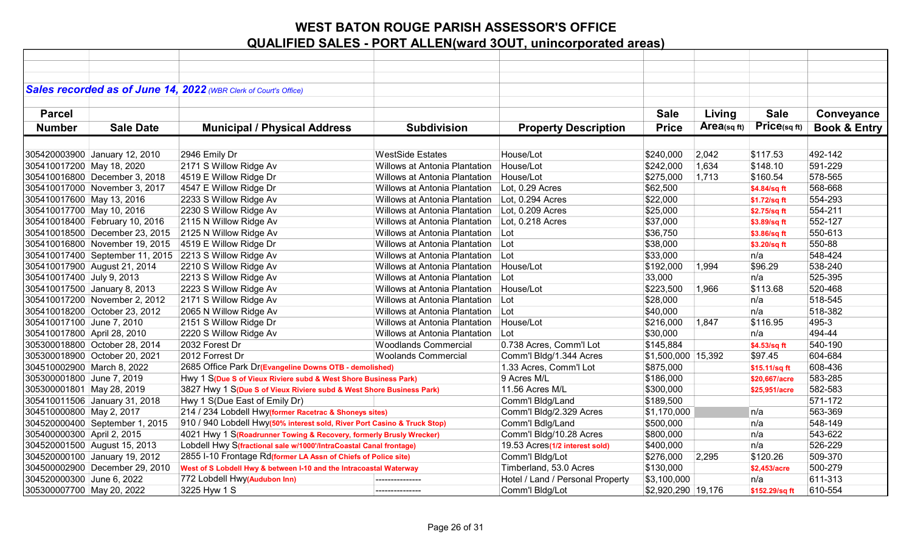|                             |                                | Sales recorded as of June 14, 2022 (WBR Clerk of Court's Office)         |                                      |                                  |                        |             |                |                         |
|-----------------------------|--------------------------------|--------------------------------------------------------------------------|--------------------------------------|----------------------------------|------------------------|-------------|----------------|-------------------------|
|                             |                                |                                                                          |                                      |                                  |                        |             |                |                         |
| <b>Parcel</b>               |                                |                                                                          |                                      |                                  | <b>Sale</b>            | Living      | <b>Sale</b>    | Conveyance              |
| <b>Number</b>               | <b>Sale Date</b>               | <b>Municipal / Physical Address</b>                                      | <b>Subdivision</b>                   | <b>Property Description</b>      | <b>Price</b>           | Area(sq ft) | Price(sq ft)   | <b>Book &amp; Entry</b> |
|                             |                                |                                                                          |                                      |                                  |                        |             |                |                         |
|                             |                                | 2946 Emily Dr                                                            | <b>WestSide Estates</b>              |                                  |                        | 2,042       | \$117.53       | 492-142                 |
|                             | 305420003900 January 12, 2010  |                                                                          | Willows at Antonia Plantation        | House/Lot<br>House/Lot           | \$240,000<br>\$242,000 |             | \$148.10       | 591-229                 |
| 305410017200 May 18, 2020   |                                | 2171 S Willow Ridge Av                                                   |                                      |                                  |                        | 1,634       |                |                         |
|                             | 305410016800 December 3, 2018  | 4519 E Willow Ridge Dr                                                   | Willows at Antonia Plantation        | House/Lot                        | \$275,000              | 1,713       | \$160.54       | 578-565                 |
|                             | 305410017000 November 3, 2017  | 4547 E Willow Ridge Dr                                                   | Willows at Antonia Plantation        | Lot, 0.29 Acres                  | \$62,500               |             | \$4.84/sq ft   | 568-668                 |
| 305410017600 May 13, 2016   |                                | 2233 S Willow Ridge Av                                                   | Willows at Antonia Plantation        | Lot, 0.294 Acres                 | \$22,000               |             | \$1.72/sq ft   | 554-293                 |
| 305410017700 May 10, 2016   |                                | 2230 S Willow Ridge Av                                                   | Willows at Antonia Plantation        | Lot, 0.209 Acres                 | \$25,000               |             | \$2.75/sq ft   | 554-211                 |
|                             | 305410018400 February 10, 2016 | 2115 N Willow Ridge Av                                                   | Willows at Antonia Plantation        | Lot, 0.218 Acres                 | \$37,000               |             | \$3.89/sq ft   | 552-127                 |
|                             | 305410018500 December 23, 2015 | 2125 N Willow Ridge Av                                                   | Willows at Antonia Plantation        | $ $ Lot                          | \$36,750               |             | \$3.86/sq ft   | 550-613                 |
|                             | 305410016800 November 19, 2015 | 4519 E Willow Ridge Dr                                                   | Willows at Antonia Plantation   Lot  |                                  | \$38,000               |             | \$3.20/sq ft   | 550-88                  |
|                             |                                | 305410017400 September 11, 2015 2213 S Willow Ridge Av                   | Willows at Antonia Plantation        | Lot                              | \$33,000               |             | n/a            | 548-424                 |
|                             | 305410017900 August 21, 2014   | 2210 S Willow Ridge Av                                                   | Willows at Antonia Plantation        | House/Lot                        | \$192,000              | 1,994       | \$96.29        | 538-240                 |
| 305410017400 July 9, 2013   |                                | 2213 S Willow Ridge Av                                                   | <b>Willows at Antonia Plantation</b> | Lot                              | 33,000                 |             | n/a            | 525-395                 |
|                             | 305410017500 January 8, 2013   | 2223 S Willow Ridge Av                                                   | Willows at Antonia Plantation        | House/Lot                        | \$223,500              | 1,966       | \$113.68       | 520-468                 |
|                             | 305410017200 November 2, 2012  | 2171 S Willow Ridge Av                                                   | Willows at Antonia Plantation        | ⊺Lot                             | \$28,000               |             | n/a            | 518-545                 |
|                             | 305410018200 October 23, 2012  | 2065 N Willow Ridge Av                                                   | Willows at Antonia Plantation        | Lot                              | \$40,000               |             | n/a            | 518-382                 |
| 305410017100 June 7, 2010   |                                | 2151 S Willow Ridge Dr                                                   | Willows at Antonia Plantation        | House/Lot                        | \$216,000              | 1,847       | \$116.95       | 495-3                   |
| 305410017800 April 28, 2010 |                                | 2220 S Willow Ridge Av                                                   | Willows at Antonia Plantation        | Lot                              | \$30,000               |             | n/a            | 494-44                  |
|                             | 305300018800 October 28, 2014  | 2032 Forest Dr                                                           | <b>Woodlands Commercial</b>          | 0.738 Acres, Comm'l Lot          | \$145,884              |             | \$4.53/sq ft   | 540-190                 |
|                             | 305300018900 October 20, 2021  | 2012 Forrest Dr                                                          | <b>Woolands Commercial</b>           | Comm'l Bldg/1.344 Acres          | $ $1,500,000$   15,392 |             | \$97.45        | 604-684                 |
| 304510002900 March 8, 2022  |                                | 2685 Office Park Dr(Evangeline Downs OTB - demolished)                   |                                      | 1.33 Acres, Comm'l Lot           | \$875,000              |             | \$15.11/sq ft  | 608-436                 |
| 305300001800 June 7, 2019   |                                | Hwy 1 S(Due S of Vieux Riviere subd & West Shore Business Park)          |                                      | 9 Acres M/L                      | \$186,000              |             | \$20,667/acre  | 583-285                 |
| 305300001801 May 28, 2019   |                                | 3827 Hwy 1 S(Due S of Vieux Riviere subd & West Shore Business Park)     |                                      | 11.56 Acres M/L                  | \$300,000              |             | \$25,951/acre  | 582-583                 |
|                             | 305410011506 January 31, 2018  | Hwy 1 S(Due East of Emily Dr)                                            |                                      | Comm'l Bldg/Land                 | \$189,500              |             |                | 571-172                 |
| 304510000800 May 2, 2017    |                                | 214 / 234 Lobdell Hwy(former Racetrac & Shoneys sites)                   |                                      | Comm'l Bldg/2.329 Acres          | \$1,170,000            |             | n/a            | 563-369                 |
|                             | 304520000400 September 1, 2015 | 910 / 940 Lobdell Hwy(50% interest sold, River Port Casino & Truck Stop) |                                      | Comm'l Bdlg/Land                 | \$500,000              |             | n/a            | 548-149                 |
| 305400000300 April 2, 2015  |                                | 4021 Hwy 1 S(Roadrunner Towing & Recovery, formerly Brusly Wrecker)      |                                      | Comm'l Bldg/10.28 Acres          | \$800,000              |             | n/a            | 543-622                 |
|                             | 304520001500 August 15, 2013   | Lobdell Hwy S(fractional sale w/1000'/IntraCoastal Canal frontage)       |                                      | 19.53 Acres(1/2 interest sold)   | \$400,000              |             | n/a            | 526-229                 |
|                             | 304520000100 January 19, 2012  | 2855 I-10 Frontage Rd(former LA Assn of Chiefs of Police site)           |                                      | Comm'l Bldg/Lot                  | \$276,000              | 2,295       | \$120.26       | 509-370                 |
|                             | 304500002900 December 29, 2010 | West of S Lobdell Hwy & between I-10 and the Intracoastal Waterway       |                                      | Timberland, 53.0 Acres           | \$130,000              |             | \$2,453/acre   | 500-279                 |
| 304520000300 June 6, 2022   |                                | 772 Lobdell Hwy(Audubon Inn)                                             |                                      | Hotel / Land / Personal Property | \$3,100,000            |             | n/a            | 611-313                 |
| 305300007700 May 20, 2022   |                                | 3225 Hyw 1 S                                                             | ---------------                      | Comm'l Bldg/Lot                  | \$2,920,290 19,176     |             | \$152.29/sq ft | 610-554                 |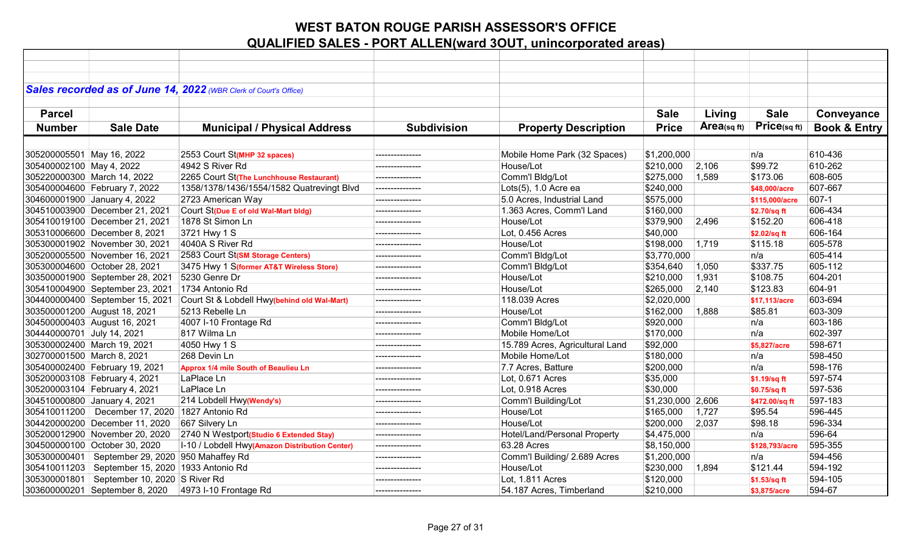|                             |                                                     | Sales recorded as of June 14, 2022 (WBR Clerk of Court's Office) |                    |                                 |                   |                |                |                         |
|-----------------------------|-----------------------------------------------------|------------------------------------------------------------------|--------------------|---------------------------------|-------------------|----------------|----------------|-------------------------|
| <b>Parcel</b>               |                                                     |                                                                  |                    |                                 | <b>Sale</b>       | Living         | <b>Sale</b>    | Conveyance              |
|                             |                                                     |                                                                  |                    |                                 |                   |                |                |                         |
| <b>Number</b>               | <b>Sale Date</b>                                    | <b>Municipal / Physical Address</b>                              | <b>Subdivision</b> | <b>Property Description</b>     | <b>Price</b>      | Area(sq $ft$ ) | Price(sq ft)   | <b>Book &amp; Entry</b> |
|                             |                                                     |                                                                  |                    |                                 |                   |                |                |                         |
| 305200005501 May 16, 2022   |                                                     | 2553 Court St(MHP 32 spaces)                                     | ---------------    | Mobile Home Park (32 Spaces)    | \$1,200,000       |                | n/a            | 610-436                 |
| 305400002100 May 4, 2022    |                                                     | 4942 S River Rd                                                  | --------------     | House/Lot                       | \$210,000         | 2,106          | \$99.72        | 610-262                 |
|                             | 305220000300 March 14, 2022                         | 2265 Court St(The Lunchhouse Restaurant)                         | ---------------    | Comm'l Bldg/Lot                 | \$275,000         | 1,589          | \$173.06       | 608-605                 |
|                             | 305400004600 February 7, 2022                       | 1358/1378/1436/1554/1582 Quatrevingt Blvd                        | ---------------    | Lots(5), 1.0 Acre ea            | \$240,000         |                | \$48,000/acre  | 607-667                 |
|                             | 304600001900 January 4, 2022                        | 2723 American Way                                                | ---------------    | 5.0 Acres, Industrial Land      | \$575,000         |                | \$115,000/acre | 607-1                   |
|                             | 304510003900 December 21, 2021                      | Court St(Due E of old Wal-Mart bldg)                             |                    | 1.363 Acres, Comm'l Land        | \$160,000         |                | \$2.70/sq ft   | 606-434                 |
|                             | 305410019100 December 21, 2021                      | 1878 St Simon Ln                                                 |                    | House/Lot                       | \$379,900         | 2,496          | \$152.20       | 606-418                 |
|                             | 305310006600 December 8, 2021                       | 3721 Hwy 1 S                                                     | ---------------    | Lot, 0.456 Acres                | \$40,000          |                | \$2.02/sq ft   | 606-164                 |
|                             | 305300001902 November 30, 2021                      | 4040A S River Rd                                                 |                    | House/Lot                       | \$198,000         | 1,719          | \$115.18       | 605-578                 |
|                             | 305200005500 November 16, 2021                      | 2583 Court St(SM Storage Centers)                                | ---------------    | Comm'l Bldg/Lot                 | \$3,770,000       |                | n/a            | 605-414                 |
|                             | 305300004600 October 28, 2021                       | 3475 Hwy 1 S(former AT&T Wireless Store)                         | --------------     | Comm'l Bldg/Lot                 | \$354,640         | 1,050          | \$337.75       | 605-112                 |
|                             | 303500001900 September 28, 2021                     | 5230 Genre Dr                                                    | ---------------    | House/Lot                       | \$210,000         | 1,931          | \$108.75       | 604-201                 |
|                             | 305410004900 September 23, 2021                     | 1734 Antonio Rd                                                  | ---------------    | House/Lot                       | \$265,000         | 2,140          | \$123.83       | 604-91                  |
|                             | 304400000400 September 15, 2021                     | Court St & Lobdell Hwy(behind old Wal-Mart)                      | ---------------    | 118.039 Acres                   | \$2,020,000       |                | \$17.113/acre  | 603-694                 |
|                             | 303500001200 August 18, 2021                        | 5213 Rebelle Ln                                                  |                    | House/Lot                       | \$162,000         | 1,888          | \$85.81        | 603-309                 |
|                             | 304500000403 August 16, 2021                        | 4007 I-10 Frontage Rd                                            | ---------------    | Comm'l Bldg/Lot                 | \$920,000         |                | n/a            | 603-186                 |
| 304440000701 July 14, 2021  |                                                     | 817 Wilma Ln                                                     |                    | Mobile Home/Lot                 | \$170,000         |                | n/a            | 602-397                 |
| 305300002400 March 19, 2021 |                                                     | 4050 Hwy 1 S                                                     | ---------------    | 15.789 Acres, Agricultural Land | \$92,000          |                | \$5.827/acre   | 598-671                 |
| 302700001500 March 8, 2021  |                                                     | 268 Devin Ln                                                     | ---------------    | Mobile Home/Lot                 | \$180,000         |                | n/a            | 598-450                 |
|                             | 305400002400 February 19, 2021                      | Approx 1/4 mile South of Beaulieu Ln                             | ---------------    | 7.7 Acres, Batture              | \$200,000         |                | n/a            | 598-176                 |
|                             | 305200003108 February 4, 2021                       | LaPlace Ln                                                       | ---------------    | Lot, 0.671 Acres                | \$35,000          |                | \$1.19/sq ft   | 597-574                 |
|                             | 305200003104 February 4, 2021                       | LaPlace Ln                                                       | --------------     | Lot, 0.918 Acres                | \$30,000          |                | \$0.75/sq ft   | 597-536                 |
|                             | 304510000800 January 4, 2021                        | 214 Lobdell Hwy(Wendy's)                                         | ---------------    | Comm'l Building/Lot             | \$1,230,000 2,606 |                | \$472.00/sq ft | 597-183                 |
|                             | 305410011200   December 17, 2020   1827 Antonio Rd  |                                                                  | ---------------    | House/Lot                       | \$165,000         | 1,727          | \$95.54        | 596-445                 |
|                             | 304420000200 December 11, 2020                      | 667 Silvery Ln                                                   | ---------------    | House/Lot                       | \$200,000         | 2,037          | \$98.18        | 596-334                 |
|                             | 305200012900 November 20, 2020                      | 2740 N Westport(Studio 6 Extended Stay)                          | ---------------    | Hotel/Land/Personal Property    | \$4,475,000       |                | n/a            | 596-64                  |
|                             | 304500000100 October 30, 2020                       | I-10 / Lobdell Hwy(Amazon Distribution Center)                   | ---------------    | 63.28 Acres                     | \$8,150,000       |                | \$128,793/acre | 595-355                 |
|                             | 305300000401   September 29, 2020 950 Mahaffey Rd   |                                                                  | ---------------    | Comm'l Building/ 2.689 Acres    | \$1,200,000       |                | n/a            | 594-456                 |
|                             | 305410011203   September 15, 2020   1933 Antonio Rd |                                                                  | ---------------    | House/Lot                       | \$230,000         | 1,894          | \$121.44       | 594-192                 |
| 305300001801                | September 10, 2020 S River Rd                       |                                                                  | ---------------    | Lot, 1.811 Acres                | \$120,000         |                | \$1.53/sq ft   | 594-105                 |
|                             | 303600000201 September 8, 2020                      | 4973 I-10 Frontage Rd                                            | ---------------    | 54.187 Acres, Timberland        | \$210,000         |                | \$3,875/acre   | 594-67                  |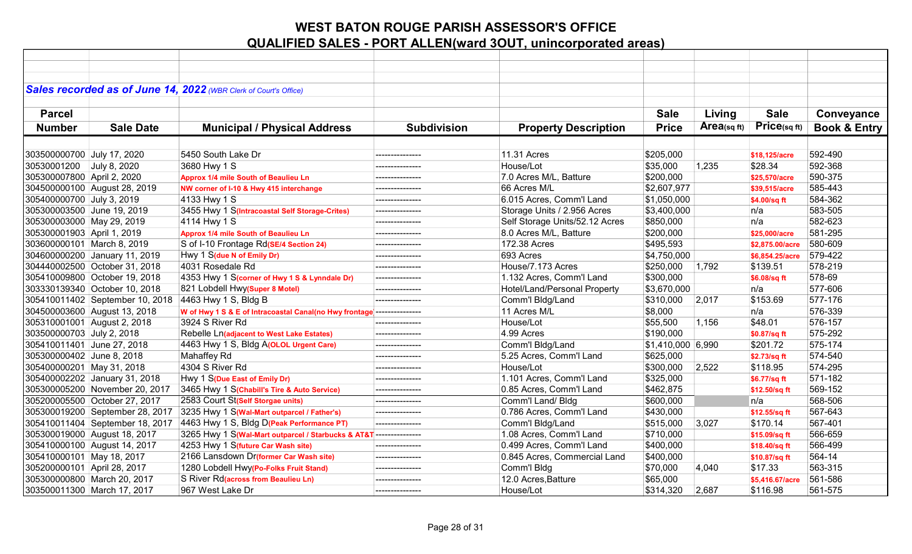|                             |                                 | Sales recorded as of June 14, 2022 (WBR Clerk of Court's Office)       |                    |                                |                    |             |                 |                         |
|-----------------------------|---------------------------------|------------------------------------------------------------------------|--------------------|--------------------------------|--------------------|-------------|-----------------|-------------------------|
|                             |                                 |                                                                        |                    |                                |                    |             |                 |                         |
| <b>Parcel</b>               |                                 |                                                                        |                    |                                | <b>Sale</b>        | Living      | <b>Sale</b>     | Conveyance              |
| <b>Number</b>               | <b>Sale Date</b>                | <b>Municipal / Physical Address</b>                                    | <b>Subdivision</b> | <b>Property Description</b>    | <b>Price</b>       | Area(sq ft) | Price(sqft)     | <b>Book &amp; Entry</b> |
|                             |                                 |                                                                        |                    |                                |                    |             |                 |                         |
| 303500000700 July 17, 2020  |                                 | 5450 South Lake Dr                                                     |                    | 11.31 Acres                    | \$205,000          |             | \$18,125/acre   | 592-490                 |
| 30530001200                 | July 8, 2020                    | 3680 Hwy 1 S                                                           | ---------------    | House/Lot                      | \$35,000           | 1,235       | \$28.34         | 592-368                 |
| 305300007800 April 2, 2020  |                                 | Approx 1/4 mile South of Beaulieu Ln                                   |                    | 7.0 Acres M/L, Batture         | \$200,000          |             | \$25,570/acre   | 590-375                 |
|                             | 304500000100 August 28, 2019    | NW corner of I-10 & Hwy 415 interchange                                | ---------------    | 66 Acres M/L                   | \$2,607,977        |             | \$39,515/acre   | 585-443                 |
| 305400000700 July 3, 2019   |                                 | 4133 Hwy 1 S                                                           | --------------     | 6.015 Acres, Comm'l Land       | \$1,050,000        |             | \$4.00/sq ft    | 584-362                 |
| 305300003500 June 19, 2019  |                                 | 3455 Hwy 1 S(Intracoastal Self Storage-Crites)                         | ---------------    | Storage Units / 2.956 Acres    | \$3,400,000        |             | n/a             | 583-505                 |
| 305300003000 May 29, 2019   |                                 | 4114 Hwy 1 S                                                           | ---------------    | Self Storage Units/52.12 Acres | \$850,000          |             | n/a             | 582-623                 |
| 305300001903 April 1, 2019  |                                 | Approx 1/4 mile South of Beaulieu Ln                                   | ---------------    | 8.0 Acres M/L, Batture         | \$200,000          |             | \$25,000/acre   | 581-295                 |
| 303600000101 March 8, 2019  |                                 | S of I-10 Frontage Rd(SE/4 Section 24)                                 |                    | 172.38 Acres                   | \$495,593          |             | \$2,875.00/acre | 580-609                 |
|                             | 304600000200 January 11, 2019   | Hwy 1 S(due N of Emily Dr)                                             | ---------------    | 693 Acres                      | \$4,750,000        |             | \$6,854.25/acre | 579-422                 |
|                             | 304440002500 October 31, 2018   | 4031 Rosedale Rd                                                       | ---------------    | House/7.173 Acres              | \$250,000          | 1,792       | \$139.51        | 578-219                 |
|                             | 305410009800 October 19, 2018   | 4353 Hwy 1 S(corner of Hwy 1 S & Lynndale Dr)                          | ---------------    | 1.132 Acres, Comm'l Land       | \$300,000          |             | \$6.08/sq ft    | 578-69                  |
|                             | 303330139340 October 10, 2018   | 821 Lobdell Hwy(Super 8 Motel)                                         | ---------------    | Hotel/Land/Personal Property   | \$3,670,000        |             | n/a             | 577-606                 |
|                             | 305410011402 September 10, 2018 | 4463 Hwy 1 S, Bldg B                                                   | ---------------    | Comm'l Bldg/Land               | \$310,000          | 2,017       | \$153.69        | 577-176                 |
|                             | 304500003600 August 13, 2018    | W of Hwy 1 S & E of Intracoastal Canal(no Hwy frontage --------------- |                    | 11 Acres M/L                   | \$8,000            |             | n/a             | 576-339                 |
|                             | 305310001001 August 2, 2018     | 3924 S River Rd                                                        | ---------------    | House/Lot                      | \$55,500           | 1,156       | \$48.01         | 576-157                 |
| 303500000703 July 2, 2018   |                                 | Rebelle Ln(adjacent to West Lake Estates)                              | ---------------    | 4.99 Acres                     | \$190,000          |             | \$0.87/sq ft    | 575-292                 |
| 305410011401 June 27, 2018  |                                 | 4463 Hwy 1 S, Bldg A(OLOL Urgent Care)                                 | ---------------    | Comm'l Bldg/Land               | $$1,410,000$ 6,990 |             | \$201.72        | 575-174                 |
| 305300000402 June 8, 2018   |                                 | Mahaffey Rd                                                            | ---------------    | 5.25 Acres, Comm'l Land        | \$625,000          |             | \$2.73/sq ft    | 574-540                 |
| 305400000201 May 31, 2018   |                                 | 4304 S River Rd                                                        | ---------------    | House/Lot                      | \$300,000          | 2,522       | \$118.95        | 574-295                 |
|                             | 305400002202 January 31, 2018   | Hwy 1 S(Due East of Emily Dr)                                          | ---------------    | 1.101 Acres, Comm'l Land       | \$325,000          |             | \$6.77/sq ft    | 571-182                 |
|                             | 305300005200 November 20, 2017  | 3465 Hwy 1 S(Chabill's Tire & Auto Service)                            | ---------------    | 0.85 Acres, Comm'l Land        | \$462,875          |             | \$12.50/sq ft   | 569-152                 |
|                             | 305200005500 October 27, 2017   | 2583 Court St(Self Storgae units)                                      | ---------------    | Comm'l Land/ Bldg              | \$600,000          |             | n/a             | 568-506                 |
|                             | 305300019200 September 28, 2017 | 3235 Hwy 1 S(Wal-Mart outparcel / Father's)                            | ---------------    | 0.786 Acres, Comm'l Land       | \$430,000          |             | \$12.55/sq ft   | 567-643                 |
|                             | 305410011404 September 18, 2017 | 4463 Hwy 1 S, Bldg D(Peak Performance PT)                              | ---------------    | Comm'l Bldg/Land               | \$515,000          | 3,027       | \$170.14        | 567-401                 |
|                             | 305300019000 August 18, 2017    | 3265 Hwy 1 S(Wal-Mart outparcel / Starbucks & AT&T ---------------     |                    | 1.08 Acres, Comm'l Land        | \$710,000          |             | \$15.09/sq ft   | 566-659                 |
|                             | 305410000100 August 14, 2017    | 4253 Hwy 1 S(future Car Wash site)                                     | ---------------    | 0.499 Acres, Comm'l Land       | \$400,000          |             | \$18.40/sq ft   | 566-499                 |
| 305410000101 May 18, 2017   |                                 | 2166 Lansdown Dr(former Car Wash site)                                 | ---------------    | 0.845 Acres, Commercial Land   | \$400,000          |             | \$10.87/sq ft   | 564-14                  |
| 305200000101 April 28, 2017 |                                 | 1280 Lobdell Hwy(Po-Folks Fruit Stand)                                 | ---------------    | Comm'l Bldg                    | \$70,000           | 4,040       | \$17.33         | 563-315                 |
|                             | 305300000800 March 20, 2017     | S River Rd(across from Beaulieu Ln)                                    | ---------------    | 12.0 Acres, Batture            | \$65,000           |             | \$5,416.67/acre | 561-586                 |
|                             | 303500011300 March 17, 2017     | 967 West Lake Dr                                                       | ---------------    | House/Lot                      | \$314,320          | 2,687       | \$116.98        | 561-575                 |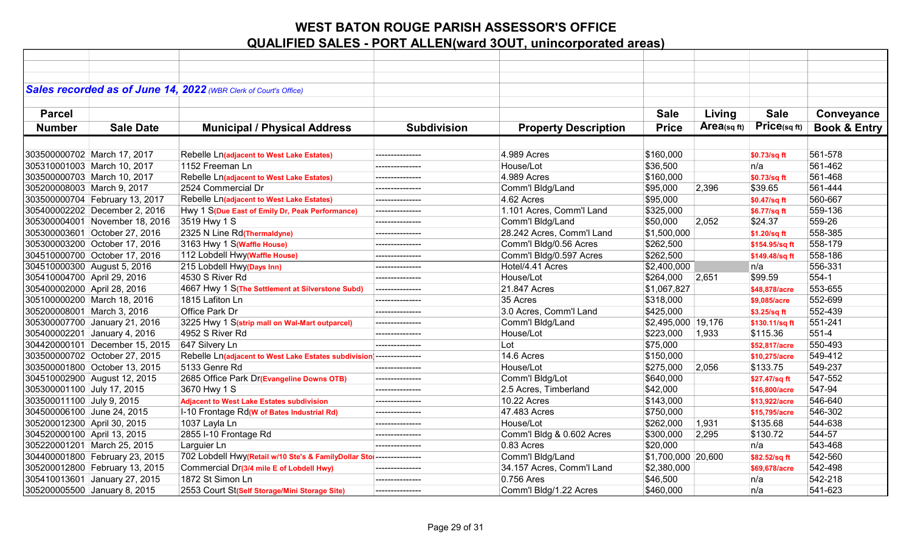|                             |                                | Sales recorded as of June 14, 2022 (WBR Clerk of Court's Office)      |                    |                             |                    |             |                |                         |
|-----------------------------|--------------------------------|-----------------------------------------------------------------------|--------------------|-----------------------------|--------------------|-------------|----------------|-------------------------|
| <b>Parcel</b>               |                                |                                                                       |                    |                             | <b>Sale</b>        | Living      | <b>Sale</b>    | Conveyance              |
| <b>Number</b>               | <b>Sale Date</b>               |                                                                       | <b>Subdivision</b> |                             | <b>Price</b>       | Area(sq ft) | Price(sq ft)   | <b>Book &amp; Entry</b> |
|                             |                                | <b>Municipal / Physical Address</b>                                   |                    | <b>Property Description</b> |                    |             |                |                         |
|                             |                                |                                                                       |                    |                             |                    |             |                |                         |
|                             | 303500000702 March 17, 2017    | Rebelle Ln(adjacent to West Lake Estates)                             | ---------------    | 4.989 Acres                 | \$160,000          |             | \$0.73/sq ft   | 561-578                 |
|                             | 305310001003 March 10, 2017    | 1152 Freeman Ln                                                       | ---------------    | House/Lot                   | \$36,500           |             | n/a            | 561-462                 |
|                             | 303500000703 March 10, 2017    | Rebelle Ln(adjacent to West Lake Estates)                             | ---------------    | 4.989 Acres                 | \$160,000          |             | \$0.73/sq ft   | 561-468                 |
| 305200008003 March 9, 2017  |                                | 2524 Commercial Dr                                                    |                    | Comm'l Bldg/Land            | \$95,000           | 2,396       | \$39.65        | 561-444                 |
|                             | 303500000704 February 13, 2017 | Rebelle Ln(adjacent to West Lake Estates)                             | ---------------    | 4.62 Acres                  | \$95,000           |             | \$0.47/sq ft   | 560-667                 |
|                             | 305400002202 December 2, 2016  | Hwy 1 S(Due East of Emily Dr, Peak Performance)                       | ---------------    | 1.101 Acres, Comm'l Land    | \$325,000          |             | \$6.77/sq ft   | 559-136                 |
|                             | 305300004001 November 18, 2016 | 3519 Hwy 1 S                                                          | --------------     | Comm'l Bldg/Land            | \$50,000           | 2,052       | \$24.37        | 559-26                  |
|                             | 305300003601 October 27, 2016  | 2325 N Line Rd(Thermaldyne)                                           | ---------------    | 28.242 Acres, Comm'l Land   | \$1,500,000        |             | \$1.20/sq ft   | 558-385                 |
|                             | 305300003200 October 17, 2016  | 3163 Hwy 1 S(Waffle House)                                            | ---------------    | Comm'l Bldg/0.56 Acres      | \$262,500          |             | \$154.95/sq ft | 558-179                 |
|                             | 304510000700 October 17, 2016  | 112 Lobdell Hwy(Waffle House)                                         | ---------------    | Comm'l Bldg/0.597 Acres     | \$262,500          |             | \$149.48/sq ft | 558-186                 |
| 304510000300 August 5, 2016 |                                | 215 Lobdell Hwy(Days Inn)                                             | ---------------    | Hotel/4.41 Acres            | \$2,400,000        |             | n/a            | 556-331                 |
| 305410004700 April 29, 2016 |                                | 4530 S River Rd                                                       | ---------------    | House/Lot                   | \$264,000          | 2,651       | \$99.59        | 554-1                   |
| 305400002000 April 28, 2016 |                                | 4667 Hwy 1 S(The Settlement at Silverstone Subd)                      | ---------------    | 21.847 Acres                | \$1,067,827        |             | \$48,878/acre  | 553-655                 |
|                             | 305100000200 March 18, 2016    | 1815 Lafiton Ln                                                       | ---------------    | 35 Acres                    | \$318,000          |             | \$9,085/acre   | 552-699                 |
| 305200008001 March 3, 2016  |                                | Office Park Dr                                                        | ---------------    | 3.0 Acres, Comm'l Land      | \$425,000          |             | \$3.25/sq ft   | 552-439                 |
|                             | 305300007700 January 21, 2016  | 3225 Hwy 1 S(strip mall on Wal-Mart outparcel)                        | ---------------    | Comm'l Bldg/Land            | \$2,495,000 19,176 |             | \$130.11/sq ft | 551-241                 |
|                             | 305400002201 January 4, 2016   | 4952 S River Rd                                                       |                    | House/Lot                   | \$223,000          | 1,933       | \$115.36       | 551-4                   |
|                             | 304420000101 December 15, 2015 | 647 Silvery Ln                                                        | ---------------    | Lot                         | \$75,000           |             | \$52,817/acre  | 550-493                 |
|                             | 303500000702 October 27, 2015  | Rebelle Ln(adjacent to West Lake Estates subdivision  --------------- |                    | 14.6 Acres                  | \$150,000          |             | \$10,275/acre  | 549-412                 |
|                             | 303500001800 October 13, 2015  | 5133 Genre Rd                                                         | ---------------    | House/Lot                   | \$275,000          | 2,056       | \$133.75       | 549-237                 |
|                             | 304510002900 August 12, 2015   | 2685 Office Park Dr(Evangeline Downs OTB)                             | ---------------    | Comm'l Bldg/Lot             | \$640,000          |             | \$27.47/sq ft  | 547-552                 |
| 305300001100 July 17, 2015  |                                | 3670 Hwy 1 S                                                          | ---------------    | 2.5 Acres, Timberland       | \$42,000           |             | \$16,800/acre  | 547-94                  |
| 303500011100 July 9, 2015   |                                | <b>Adjacent to West Lake Estates subdivision</b>                      | ---------------    | <b>10.22 Acres</b>          | \$143,000          |             | \$13,922/acre  | 546-640                 |
| 304500006100 June 24, 2015  |                                | I-10 Frontage Rd(W of Bates Industrial Rd)                            | ---------------    | 47.483 Acres                | \$750,000          |             | \$15,795/acre  | 546-302                 |
| 305200012300 April 30, 2015 |                                | 1037 Layla Ln                                                         | ---------------    | House/Lot                   | \$262,000          | 1,931       | \$135.68       | 544-638                 |
| 304520000100 April 13, 2015 |                                | 2855 I-10 Frontage Rd                                                 |                    | Comm'l Bldg & 0.602 Acres   | \$300,000          | 2,295       | \$130.72       | 544-57                  |
|                             | 305220001201 March 25, 2015    | Larguier Ln                                                           | ---------------    | 0.83 Acres                  | \$20,000           |             | n/a            | 543-468                 |
|                             | 304400001800 February 23, 2015 | 702 Lobdell Hwy(Retail w/10 Ste's & FamilyDollar Stol --------------- |                    | Comm'l Bldg/Land            | \$1,700,000 20,600 |             | \$82.52/sq ft  | 542-560                 |
|                             | 305200012800 February 13, 2015 | Commercial Dr(3/4 mile E of Lobdell Hwy)                              | ---------------    | 34.157 Acres, Comm'l Land   | \$2,380,000        |             | \$69,678/acre  | 542-498                 |
|                             | 305410013601 January 27, 2015  | 1872 St Simon Ln                                                      | ---------------    | 0.756 Ares                  | \$46,500           |             | n/a            | 542-218                 |
|                             | 305200005500 January 8, 2015   | 2553 Court St(Self Storage/Mini Storage Site)                         | ---------------    | Comm'l Bldg/1.22 Acres      | \$460,000          |             | n/a            | 541-623                 |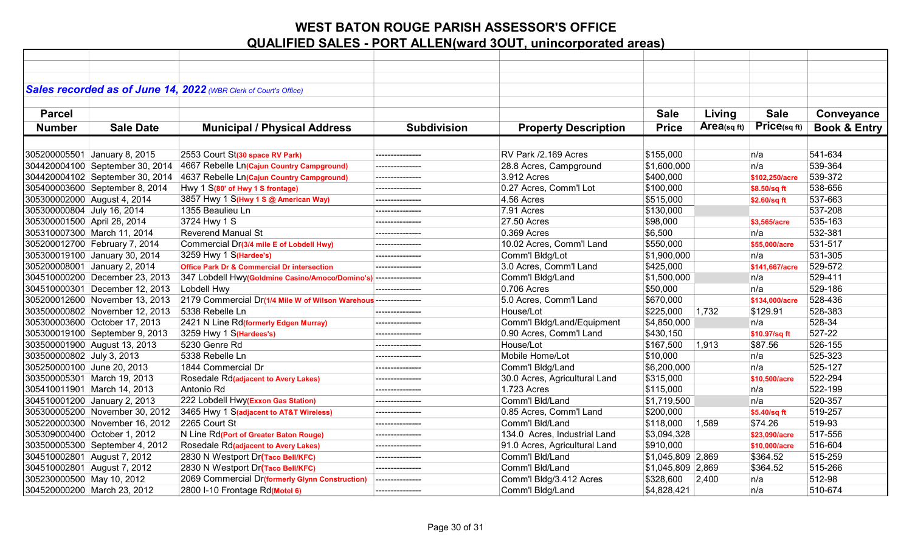|                             |                                 | Sales recorded as of June 14, 2022 (WBR Clerk of Court's Office) |                    |                               |                     |            |                |                         |
|-----------------------------|---------------------------------|------------------------------------------------------------------|--------------------|-------------------------------|---------------------|------------|----------------|-------------------------|
|                             |                                 |                                                                  |                    |                               |                     |            |                |                         |
| <b>Parcel</b>               |                                 |                                                                  |                    |                               | <b>Sale</b>         | Living     | <b>Sale</b>    | Conveyance              |
| <b>Number</b>               | <b>Sale Date</b>                | <b>Municipal / Physical Address</b>                              | <b>Subdivision</b> | <b>Property Description</b>   | <b>Price</b>        | Area(sqft) | Price(sq ft)   | <b>Book &amp; Entry</b> |
|                             |                                 |                                                                  |                    |                               |                     |            |                |                         |
|                             | 305200005501 January 8, 2015    | 2553 Court St(30 space RV Park)                                  | ---------------    | RV Park /2.169 Acres          | \$155,000           |            | n/a            | 541-634                 |
|                             | 304420004100 September 30, 2014 | 4667 Rebelle Ln(Cajun Country Campground)                        |                    | 28.8 Acres, Campground        | \$1,600,000         |            | n/a            | 539-364                 |
|                             | 304420004102 September 30, 2014 | 4637 Rebelle Ln(Cajun Country Campground)                        | ---------------    | 3.912 Acres                   | \$400,000           |            | \$102,250/acre | 539-372                 |
|                             | 305400003600 September 8, 2014  | Hwy 1 S(80' of Hwy 1 S frontage)                                 | ---------------    | 0.27 Acres, Comm'l Lot        | \$100,000           |            | \$8.50/sq ft   | 538-656                 |
| 305300002000 August 4, 2014 |                                 | 3857 Hwy 1 S(Hwy 1 S @ American Way)                             | ---------------    | 4.56 Acres                    | \$515,000           |            | \$2.60/sq ft   | 537-663                 |
| 305300000804 July 16, 2014  |                                 | 1355 Beaulieu Ln                                                 | ---------------    | 7.91 Acres                    | \$130,000           |            |                | 537-208                 |
| 305300001500 April 28, 2014 |                                 | 3724 Hwy 1 S                                                     | ---------------    | 27.50 Acres                   | \$98,000            |            | \$3,565/acre   | 535-163                 |
|                             | 305310007300 March 11, 2014     | <b>Reverend Manual St</b>                                        | ---------------    | 0.369 Acres                   | \$6,500             |            | n/a            | 532-381                 |
|                             | 305200012700 February 7, 2014   | Commercial Dr(3/4 mile E of Lobdell Hwy)                         | ---------------    | 10.02 Acres, Comm'l Land      | \$550,000           |            | \$55,000/acre  | 531-517                 |
|                             | 305300019100 January 30, 2014   | 3259 Hwy 1 S(Hardee's)                                           | ---------------    | Comm'l Bldg/Lot               | \$1,900,000         |            | n/a            | 531-305                 |
|                             | 305200008001 January 2, 2014    | <b>Office Park Dr &amp; Commercial Dr intersection</b>           | ---------------    | 3.0 Acres, Comm'l Land        | \$425,000           |            | \$141,667/acre | 529-572                 |
|                             | 304510000200 December 23, 2013  | 347 Lobdell Hwy(Goldmine Casino/Amoco/Domino's) ---------------  |                    | Comm'l Bldg/Land              | \$1,500,000         |            | n/a            | 529-411                 |
|                             | 304510000301 December 12, 2013  | Lobdell Hwy                                                      | ---------------    | 0.706 Acres                   | \$50,000            |            | n/a            | 529-186                 |
|                             | 305200012600 November 13, 2013  | 2179 Commercial Dr(1/4 Mile W of Wilson Warehous --------------- |                    | 5.0 Acres, Comm'l Land        | \$670,000           |            | \$134.000/acre | 528-436                 |
|                             | 303500000802 November 12, 2013  | 5338 Rebelle Ln                                                  | ---------------    | House/Lot                     | \$225,000           | 1,732      | \$129.91       | 528-383                 |
|                             | 305300003600 October 17, 2013   | 2421 N Line Rd(formerly Edgen Murray)                            | ---------------    | Comm'l Bldg/Land/Equipment    | \$4,850,000         |            | n/a            | 528-34                  |
|                             | 305300019100 September 9, 2013  | 3259 Hwy 1 S(Hardees's)                                          | ---------------    | 0.90 Acres, Comm'l Land       | \$430,150           |            | \$10.97/sq ft  | 527-22                  |
|                             | 303500001900 August 13, 2013    | 5230 Genre Rd                                                    |                    | House/Lot                     | \$167,500           | 1,913      | \$87.56        | 526-155                 |
| 303500000802 July 3, 2013   |                                 | 5338 Rebelle Ln                                                  | ---------------    | Mobile Home/Lot               | \$10,000            |            | n/a            | 525-323                 |
| 305250000100 June 20, 2013  |                                 | 1844 Commercial Dr                                               | ---------------    | Comm'l Bldg/Land              | \$6,200,000         |            | n/a            | 525-127                 |
|                             | 303500005301 March 19, 2013     | Rosedale Rd(adjacent to Avery Lakes)                             | ---------------    | 30.0 Acres, Agricultural Land | \$315,000           |            | \$10,500/acre  | 522-294                 |
|                             | 305410011901 March 14, 2013     | Antonio Rd                                                       | ---------------    | 1.723 Acres                   | \$115,000           |            | n/a            | 522-199                 |
|                             | 304510001200 January 2, 2013    | 222 Lobdell Hwy(Exxon Gas Station)                               | ---------------    | Comm'l Bld/Land               | \$1,719,500         |            | n/a            | 520-357                 |
|                             | 305300005200 November 30, 2012  | 3465 Hwy 1 S(adjacent to AT&T Wireless)                          | ---------------    | 0.85 Acres, Comm'l Land       | \$200,000           |            | \$5.40/sq ft   | 519-257                 |
|                             | 305220000300 November 16, 2012  | 2265 Court St                                                    | --------------     | Comm'l Bld/Land               | \$118,000           | 1,589      | \$74.26        | 519-93                  |
|                             | 305309000400 October 1, 2012    | N Line Rd(Port of Greater Baton Rouge)                           | ---------------    | 134.0 Acres, Industrial Land  | \$3,094,328         |            | \$23,090/acre  | 517-556                 |
|                             | 303500005300 September 4, 2012  | Rosedale Rd(adjacent to Avery Lakes)                             | ---------------    | 91.0 Acres, Agricultural Land | \$910,000           |            | \$10,000/acre  | 516-604                 |
|                             | 304510002801 August 7, 2012     | 2830 N Westport Dr(Taco Bell/KFC)                                | ---------------    | Comm'l Bld/Land               | $ $1,045,809$ 2,869 |            | \$364.52       | 515-259                 |
|                             | 304510002801 August 7, 2012     | 2830 N Westport Dr(Taco Bell/KFC)                                | ---------------    | Comm'l Bld/Land               | \$1,045,809 2,869   |            | \$364.52       | 515-266                 |
| 305230000500 May 10, 2012   |                                 | 2069 Commercial Dr(formerly Glynn Construction)                  | ---------------    | Comm'l Bldg/3.412 Acres       | \$328,600           | 2,400      | n/a            | 512-98                  |
|                             | 304520000200 March 23, 2012     | 2800 I-10 Frontage Rd(Motel 6)                                   | ---------------    | Comm'l Bldg/Land              | \$4,828,421         |            | n/a            | 510-674                 |